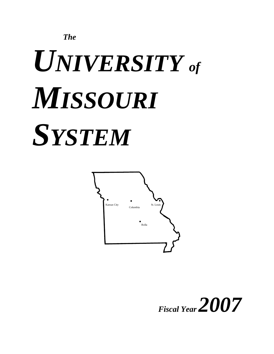

# *UNIVERSITY of MISSOURI SYSTEM*



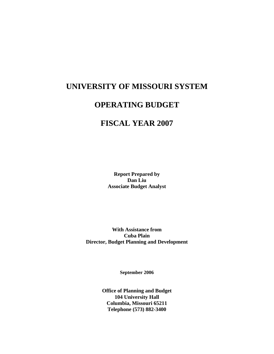# **UNIVERSITY OF MISSOURI SYSTEM**

# **OPERATING BUDGET**

# **FISCAL YEAR 2007**

**Report Prepared by Dan Liu Associate Budget Analyst** 

**With Assistance from Cuba Plain Director, Budget Planning and Development** 

**September 2006** 

**Office of Planning and Budget 104 University Hall Columbia, Missouri 65211 Telephone (573) 882-3400**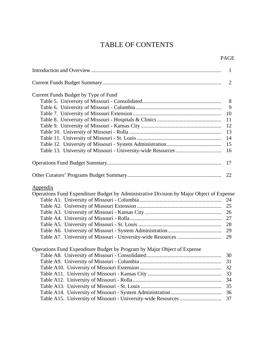# TABLE OF CONTENTS

# PAGE

|                                                                                          | $\mathbf{1}$ |
|------------------------------------------------------------------------------------------|--------------|
|                                                                                          | 2            |
| Current Funds Budget by Type of Fund                                                     |              |
|                                                                                          | 8            |
|                                                                                          | 9            |
|                                                                                          | 10           |
|                                                                                          | 11           |
|                                                                                          | 12           |
|                                                                                          | 13           |
|                                                                                          | 14           |
|                                                                                          | 15           |
|                                                                                          | 16           |
|                                                                                          |              |
|                                                                                          | 17           |
|                                                                                          |              |
| <u>Appendix</u>                                                                          |              |
| Operations Fund Expenditure Budget by Administrative Division by Major Object of Expense |              |
|                                                                                          | 24           |
|                                                                                          |              |
|                                                                                          |              |
|                                                                                          | 27           |
|                                                                                          | 28           |
|                                                                                          | 29           |
|                                                                                          | 29           |
| Operations Fund Expenditure Budget by Program by Major Object of Expense                 |              |
|                                                                                          | 30           |
|                                                                                          |              |
|                                                                                          | 32           |
|                                                                                          | 33           |
|                                                                                          | 34           |
|                                                                                          | 35           |
|                                                                                          | 36           |
|                                                                                          | 37           |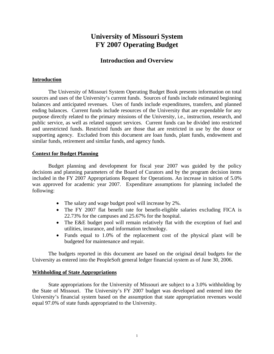# **University of Missouri System FY 2007 Operating Budget**

# **Introduction and Overview**

# **Introduction**

The University of Missouri System Operating Budget Book presents information on total sources and uses of the University's current funds. Sources of funds include estimated beginning balances and anticipated revenues. Uses of funds include expenditures, transfers, and planned ending balances. Current funds include resources of the University that are expendable for any purpose directly related to the primary missions of the University, i.e., instruction, research, and public service, as well as related support services. Current funds can be divided into restricted and unrestricted funds. Restricted funds are those that are restricted in use by the donor or supporting agency. Excluded from this document are loan funds, plant funds, endowment and similar funds, retirement and similar funds, and agency funds.

# **Context for Budget Planning**

Budget planning and development for fiscal year 2007 was guided by the policy decisions and planning parameters of the Board of Curators and by the program decision items included in the FY 2007 Appropriations Request for Operations. An increase in tuition of 5.0% was approved for academic year 2007. Expenditure assumptions for planning included the following:

- The salary and wage budget pool will increase by 2%.
- The FY 2007 flat benefit rate for benefit-eligible salaries excluding FICA is 22.73% for the campuses and 25.67% for the hospital.
- The E&E budget pool will remain relatively flat with the exception of fuel and utilities, insurance, and information technology.
- Funds equal to 1.0% of the replacement cost of the physical plant will be budgeted for maintenance and repair.

The budgets reported in this document are based on the original detail budgets for the University as entered into the PeopleSoft general ledger financial system as of June 30, 2006.

# **Withholding of State Appropriations**

State appropriations for the University of Missouri are subject to a 3.0% withholding by the State of Missouri. The University's FY 2007 budget was developed and entered into the University's financial system based on the assumption that state appropriation revenues would equal 97.0% of state funds appropriated to the University.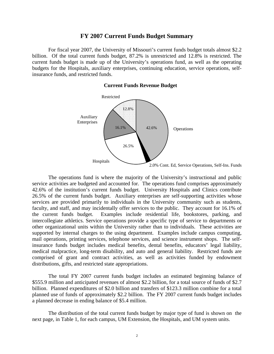# **FY 2007 Current Funds Budget Summary**

For fiscal year 2007, the University of Missouri's current funds budget totals almost \$2.2 billion. Of the total current funds budget, 87.2% is unrestricted and 12.8% is restricted. The current funds budget is made up of the University's operations fund, as well as the operating budgets for the Hospitals, auxiliary enterprises, continuing education, service operations, selfinsurance funds, and restricted funds.

#### **Current Funds Revenue Budget**



 The operations fund is where the majority of the University's instructional and public service activities are budgeted and accounted for. The operations fund comprises approximately 42.6% of the institution's current funds budget. University Hospitals and Clinics contribute 26.5% of the current funds budget. Auxiliary enterprises are self-supporting activities whose services are provided primarily to individuals in the University community such as students, faculty, and staff, and may incidentally offer services to the public. They account for 16.1% of the current funds budget. Examples include residential life, bookstores, parking, and intercollegiate athletics. Service operations provide a specific type of service to departments or other organizational units within the University rather than to individuals. These activities are supported by internal charges to the using department. Examples include campus computing, mail operations, printing services, telephone services, and science instrument shops. The selfinsurance funds budget includes medical benefits, dental benefits, educators' legal liability, medical malpractice, long-term disability, and auto and general liability. Restricted funds are comprised of grant and contract activities, as well as activities funded by endowment distributions, gifts, and restricted state appropriations.

The total FY 2007 current funds budget includes an estimated beginning balance of \$555.9 million and anticipated revenues of almost \$2.2 billion, for a total source of funds of \$2.7 billion. Planned expenditures of \$2.0 billion and transfers of \$123.3 million combine for a total planned use of funds of approximately \$2.2 billion. The FY 2007 current funds budget includes a planned decrease in ending balance of \$5.4 million.

The distribution of the total current funds budget by major type of fund is shown on the next page, in Table 1, for each campus, UM Extension, the Hospitals, and UM system units.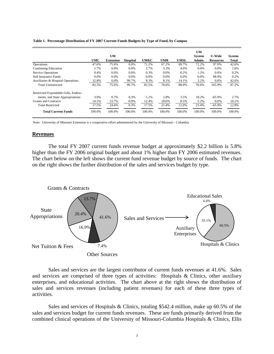#### **Table 1. Percentage Distribution of FY 2007 Current Funds Budgets by Type of Fund, by Campus**

|                                     |            |                  |          |             |            |             | UM            |                  |               |
|-------------------------------------|------------|------------------|----------|-------------|------------|-------------|---------------|------------------|---------------|
|                                     |            | UM               |          |             |            |             | <b>System</b> | <b>U-Wide</b>    | <b>System</b> |
|                                     | <b>UMC</b> | <b>Extension</b> | Hospital | <b>UMKC</b> | <b>UMR</b> | <b>UMSL</b> | Admin.        | <b>Resources</b> | <b>Total</b>  |
| Operations                          | 47.6%      | 75.6%            | 0.0%     | 71.2%       | 67.2%      | 69.7%       | 72.2%         | 97.0%            | 42.6%         |
| <b>Continuing Education</b>         | 1.7%       | 0.0%             | 0.0%     | 2.7%        | 3.3%       | 4.0%        | 0.0%          | 0.0%             | 1.6%          |
| <b>Service Operations</b>           | 0.4%       | 0.0%             | 0.0%     | 0.3%        | 0.0%       | 0.2%        | 1.2%          | 0.0%             | 0.2%          |
| Self Insurance Funds                | 0.0%       | 0.0%             | 0.0%     | $0.0\%$     | 0.0%       | $0.0\%$     | 0.0%          | 68.9%            | 0.2%          |
| Auxiliaries & Hospital Operations   | 32.8%      | 0.0%             | 99.7%    | 8.3%        | 8.1%       | 14.1%       | 3.2%          | 0.0%             | 42.6%         |
| <b>Total Unrestricted</b>           | 82.5%      | 75.6%            | 99.7%    | 82.5%       | 78.6%      | 88.0%       | 76.6%         | 165.9%           | 87.2%         |
| Restricted Expendable Gifts, Endow- |            |                  |          |             |            |             |               |                  |               |
| ments, and State Appropriations     | 3.0%       | 0.7%             | 0.3%     | 5.1%        | 2.8%       | 3.5%        | 18.2%         | $-65.9%$         | 2.7%          |
| <b>Grants and Contracts</b>         | 14.5%      | 23.7%            | 0.0%     | 12.4%       | 18.6%      | 8.5%        | 5.2%          | 0.0%             | 10.1%         |
| <b>Total Restricted</b>             | 17.5%      | 24.4%            | 0.3%     | 17.5%       | 21.4%      | 12.0%       | 23.4%         | $-65.9%$         | 12.8%         |
| <b>Total Current Funds</b>          | 100.0%     | 100.0%           | 100.0%   | 100.0%      | 100.0%     | 100.0%      | 100.0%        | 100.0%           | 100.0%        |

Note: University of Missouri Extension is a cooperative effort administered by the University of Missouri - Columbia

# **Revenues**

 The total FY 2007 current funds revenue budget at approximately \$2.2 billion is 5.8% higher than the FY 2006 original budget and about 1% higher than FY 2006 estimated revenues. The chart below on the left shows the current fund revenue budget by source of funds. The chart on the right shows the further distribution of the sales and services budget by type.

![](_page_5_Figure_5.jpeg)

Sales and services are the largest contributor of current funds revenues at 41.6%. Sales and services are comprised of three types of activities: Hospitals & Clinics, other auxiliary enterprises, and educational activities. The chart above at the right shows the distribution of sales and services revenues (including patient revenues) for each of these three types of activities.

Sales and services of Hospitals & Clinics, totaling \$542.4 million, make up 60.5% of the sales and services budget for current funds revenues. These are funds primarily derived from the combined clinical operations of the University of Missouri-Columbia Hospitals & Clinics, Ellis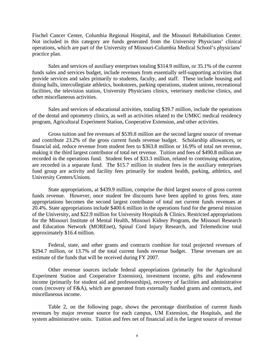Fischel Cancer Center, Columbia Regional Hospital, and the Missouri Rehabilitation Center. Not included in this category are funds generated from the University Physicians' clinical operations, which are part of the University of Missouri-Columbia Medical School's physicians' practice plan.

Sales and services of auxiliary enterprises totaling \$314.9 million, or 35.1% of the current funds sales and services budget, include revenues from essentially self-supporting activities that provide services and sales primarily to students, faculty, and staff. These include housing and dining halls, intercollegiate athletics, bookstores, parking operations, student unions, recreational facilities, the television station, University Physicians clinics, veterinary medicine clinics, and other miscellaneous activities.

Sales and services of educational activities, totaling \$39.7 million, include the operations of the dental and optometry clinics, as well as activities related to the UMKC medical residency program, Agricultural Experiment Station, Cooperative Extension, and other activities.

Gross tuition and fee revenues of \$539.8 million are the second largest source of revenue and contribute 23.2% of the gross current funds revenue budget. Scholarship allowances, or financial aid, reduce revenue from student fees to \$363.8 million or 16.9% of total net revenue, making it the third largest contributor of total net revenue. Tuition and fees of \$490.8 million are recorded in the operations fund. Student fees of \$33.3 million, related to continuing education, are recorded in a separate fund. The \$15.7 million in student fees in the auxiliary enterprises fund group are activity and facility fees primarily for student health, parking, athletics, and University Centers/Unions.

State appropriations, at \$439.9 million, comprise the third largest source of gross current funds revenue. However, once student fee discounts have been applied to gross fees, state appropriations becomes the second largest contributor of total net current funds revenues at 20.4%. State appropriations include \$400.6 million in the operations fund for the general mission of the University, and \$22.9 million for University Hospitals & Clinics. Restricted appropriations for the Missouri Institute of Mental Health, Missouri Kidney Program, the Missouri Research and Education Network (MOREnet), Spinal Cord Injury Research, and Telemedicine total approximately \$16.4 million.

Federal, state, and other grants and contracts combine for total projected revenues of \$294.7 million, or 13.7% of the total current funds revenue budget. These revenues are an estimate of the funds that will be received during FY 2007.

Other revenue sources include federal appropriations (primarily for the Agricultural Experiment Station and Cooperative Extension), investment income, gifts and endowment income (primarily for student aid and professorships), recovery of facilities and administrative costs (recovery of F&A), which are generated from externally funded grants and contracts, and miscellaneous income.

Table 2, on the following page, shows the percentage distribution of current funds revenues by major revenue source for each campus, UM Extension, the Hospitals, and the system administrative units. Tuition and fees net of financial aid is the largest source of revenue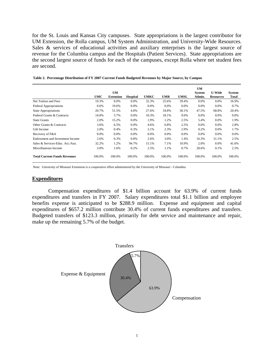for the St. Louis and Kansas City campuses. State appropriations is the largest contributor for UM Extension, the Rolla campus, UM System Administration, and University-Wide Resources. Sales & services of educational activities and auxiliary enterprises is the largest source of revenue for the Columbia campus and the Hospitals (Patient Services). State appropriations are the second largest source of funds for each of the campuses, except Rolla where net student fees are second.

|                                     |         |                  |                 |         |         |             | <b>UM</b>     |                  |               |
|-------------------------------------|---------|------------------|-----------------|---------|---------|-------------|---------------|------------------|---------------|
|                                     |         | UM               |                 |         |         |             | <b>System</b> | <b>U-Wide</b>    | <b>System</b> |
|                                     | UMC     | <b>Extension</b> | <b>Hospital</b> | UMKC    | UMR     | <b>UMSL</b> | Admin.        | <b>Resources</b> | Total         |
| Net Tuition and Fees                | 19.3%   | 0.0%             | 0.0%            | 32.3%   | 25.6%   | 39.4%       | 0.0%          | 0.0%             | 16.9%         |
| <b>Federal Appropriations</b>       | 0.6%    | 19.6%            | 0.0%            | 0.0%    | 0.0%    | 0.0%        | 0.0%          | $0.0\%$          | 0.7%          |
| <b>State Appropriations</b>         | 20.7%   | 51.5%            | 4.0%            | 27.6%   | 34.8%   | 30.1%       | 47.5%         | 68.8%            | 20.4%         |
| Federal Grants & Contracts          | 14.0%   | 3.7%             | $0.0\%$         | 10.3%   | 18.1%   | 9.6%        | 0.0%          | $0.0\%$          | 9.0%          |
| <b>State Grants</b>                 | 2.0%    | 15.2%            | 0.0%            | 1.9%    | 1.2%    | 2.5%        | 5.4%          | $0.0\%$          | 1.9%          |
| Other Grants & Contracts            | 3.6%    | 6.5%             | 0.0%            | 4.6%    | 6.8%    | 2.5%        | $0.0\%$       | $0.0\%$          | 2.8%          |
| Gift Income                         | 2.0%    | 0.4%             | 0.3%            | 3.1%    | 2.3%    | 2.9%        | 0.2%          | $0.0\%$          | 1.7%          |
| Recovery of F&A                     | $0.0\%$ | 0.0%             | 0.0%            | $0.0\%$ | $0.0\%$ | $0.0\%$     | $0.0\%$       | $0.0\%$          | 0.0%          |
| Endowment and Investment Income     | 2.6%    | 0.3%             | 0.8%            | 2.6%    | 3.0%    | 1.4%        | 16.3%         | 31.1%            | 2.5%          |
| Sales & Services-Educ. Act./Aux.    | 32.2%   | 1.2%             | 94.7%           | 15.1%   | 7.1%    | 10.9%       | 2.0%          | $0.0\%$          | 41.6%         |
| Miscellaneous Income                | 3.0%    | 1.6%             | 0.2%            | 2.5%    | 1.1%    | 0.7%        | 28.6%         | 0.1%             | 2.5%          |
| <b>Total Current Funds Revenues</b> | 100.0%  | 100.0%           | 100.0%          | 100.0%  | 100.0%  | 100.0%      | 100.0%        | 100.0%           | 100.0%        |

**Table 2. Percentage Distribution of FY 2007 Current Funds Budgeted Revenues by Major Source, by Campus**

Note: University of Missouri Extension is a cooperative effort administered by the University of Missouri - Columbia

# **Expenditures**

 Compensation expenditures of \$1.4 billion account for 63.9% of current funds expenditures and transfers in FY 2007. Salary expenditures total \$1.1 billion and employee benefits expense is anticipated to be \$288.9 million. Expense and equipment and capital expenditures of \$657.2 million contribute 30.4% of current funds expenditures and transfers. Budgeted transfers of \$123.3 million, primarily for debt service and maintenance and repair, make up the remaining 5.7% of the budget.

![](_page_7_Figure_6.jpeg)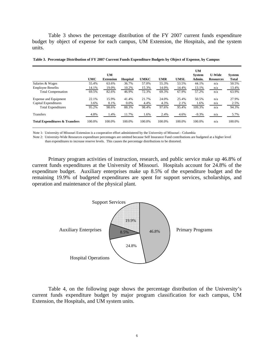Table 3 shows the percentage distribution of the FY 2007 current funds expenditure budget by object of expense for each campus, UM Extension, the Hospitals, and the system units.

|                                           | <b>UMC</b> | <b>UM</b><br><b>Extension</b> | <b>Hospital</b> | <b>UMKC</b> | <b>UMR</b> | <b>UMSL</b> | <b>UM</b><br><b>System</b><br>Admin. | <b>U-Wide</b><br><b>Resources</b> | <b>System</b><br><b>Total</b> |
|-------------------------------------------|------------|-------------------------------|-----------------|-------------|------------|-------------|--------------------------------------|-----------------------------------|-------------------------------|
| Salaries & Wages                          | 55.4%      | 63.6%                         | 36.7%           | 57.0%       | 55.3%      | 53.5%       | 44.1%                                | n/a                               | 50.5%                         |
| <b>Employee Benefits</b>                  | 14.1%      | 19.0%                         | 10.2%           | 15.3%       | 14.0%      | 14.4%       | 13.1%                                | n/a                               | 13.4%                         |
| <b>Total Compensation</b>                 | 69.5%      | 82.6%                         | 46.9%           | 72.3%       | 69.3%      | 67.9%       | 57.2%                                | n/a                               | 63.9%                         |
| <b>Expense and Equipment</b>              | 22.1%      | 15.9%                         | 41.4%           | 21.7%       | 24.0%      | 25.4%       | 50.5%                                | n/a                               | 27.9%                         |
| Capital Expenditures                      | 3.6%       | 0.1%                          | 0.0%            | 4.4%        | 4.3%       | 2.1%        | 1.6%                                 | n/a                               | 2.5%                          |
| <b>Total Expenditures</b>                 | 95.2%      | 98.6%                         | 88.3%           | 98.4%       | 97.6%      | 95.4%       | 109.3%                               | n/a                               | 94.3%                         |
| Transfers                                 | 4.8%       | 1.4%                          | 11.7%           | 1.6%        | 2.4%       | 4.6%        | $-9.3%$                              | n/a                               | 5.7%                          |
| <b>Total Expenditures &amp; Transfers</b> | 100.0%     | 100.0%                        | 100.0%          | 100.0%      | 100.0%     | 100.0%      | 100.0%                               | n/a                               | 100.0%                        |

**Table 3. Percentage Distribution of FY 2007 Current Funds Expenditure Budgets by Object of Expense, by Campus**

Note 1: University of Missouri Extension is a cooperative effort administered by the University of Missouri - Columbia

Note 2: University-Wide Resources expenditure percentages are omitted because Self Insurance Fund contributions are budgeted at a higher level

than expenditures to increase reserve levels. This causes the percentage distributions to be distorted.

Primary program activities of instruction, research, and public service make up 46.8% of current funds expenditures at the University of Missouri. Hospitals account for 24.8% of the expenditure budget. Auxiliary enterprises make up 8.5% of the expenditure budget and the remaining 19.9% of budgeted expenditures are spent for support services, scholarships, and operation and maintenance of the physical plant.

![](_page_8_Figure_7.jpeg)

Table 4, on the following page shows the percentage distribution of the University's current funds expenditure budget by major program classification for each campus, UM Extension, the Hospitals, and UM system units.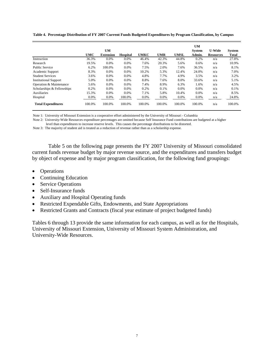|                              |            |                  |                 |             |            |             | <b>UM</b>     |                  |               |
|------------------------------|------------|------------------|-----------------|-------------|------------|-------------|---------------|------------------|---------------|
|                              |            | <b>UM</b>        |                 |             |            |             | <b>System</b> | <b>U-Wide</b>    | <b>System</b> |
|                              | <b>UMC</b> | <b>Extension</b> | <b>Hospital</b> | <b>UMKC</b> | <b>UMR</b> | <b>UMSL</b> | Admin.        | <b>Resources</b> | <b>Total</b>  |
| Instruction                  | 36.3%      | 0.0%             | 0.0%            | 46.4%       | 42.3%      | 44.8%       | 0.2%          | n/a              | 27.8%         |
| Research                     | 19.5%      | $0.0\%$          | 0.0%            | 7.6%        | 20.3%      | 5.6%        | 0.6%          | n/a              | 10.9%         |
| <b>Public Service</b>        | 6.2%       | 100.0%           | 0.0%            | 7.5%        | 2.0%       | 7.6%        | 36.5%         | n/a              | 8.1%          |
| Academic Support             | 8.3%       | 0.0%             | 0.0%            | 10.2%       | 5.3%       | 12.4%       | 24.0%         | n/a              | 7.0%          |
| <b>Student Services</b>      | 3.6%       | $0.0\%$          | 0.0%            | 4.8%        | 7.7%       | 4.9%        | 3.5%          | n/a              | 3.2%          |
| <b>Institutional Support</b> | 5.0%       | $0.0\%$          | 0.0%            | 8.8%        | 7.6%       | 8.0%        | 33.6%         | n/a              | 5.1%          |
| Operation & Maintenance      | 5.6%       | $0.0\%$          | 0.0%            | 7.4%        | 8.9%       | 6.3%        | 1.6%          | n/a              | 4.5%          |
| Scholarships & Fellowships   | 0.2%       | 0.0%             | 0.0%            | 0.2%        | 0.1%       | 0.0%        | 0.0%          | n/a              | 0.1%          |
| Auxiliaries                  | 15.3%      | 0.0%             | 0.0%            | 7.1%        | 5.8%       | 10.4%       | 0.0%          | n/a              | 8.5%          |
| Hospital                     | 0.0%       | $0.0\%$          | 100.0%          | 0.0%        | $0.0\%$    | $0.0\%$     | 0.0%          | n/a              | 24.8%         |
| <b>Total Expenditures</b>    | 100.0%     | 100.0%           | 100.0%          | 100.0%      | 100.0%     | 100.0%      | 100.0%        | n/a              | 100.0%        |

**Table 4. Percentage Distribution of FY 2007 Current Funds Budgeted Expenditures by Program Classification, by Campus**

Note 1: University of Missouri Extension is a cooperative effort administered by the University of Missouri - Columbia

Note 2: University-Wide Resources expenditure percentages are omitted because Self Insurance Fund contributions are budgeted at a higher level than expenditures to increase reserve levels. This causes the percentage distributions to be distorted.

Note 3: The majority of student aid is treated as a reduction of revenue rather than as a scholarship expense.

Table 5 on the following page presents the FY 2007 University of Missouri consolidated current funds revenue budget by major revenue source, and the expenditures and transfers budget by object of expense and by major program classification, for the following fund groupings:

- Operations
- Continuing Education
- Service Operations
- Self-Insurance funds
- Auxiliary and Hospital Operating funds
- Restricted Expendable Gifts, Endowments, and State Appropriations
- Restricted Grants and Contracts (fiscal year estimate of project budgeted funds)

Tables 6 through 13 provide the same information for each campus, as well as for the Hospitals, University of Missouri Extension, University of Missouri System Administration, and University-Wide Resources.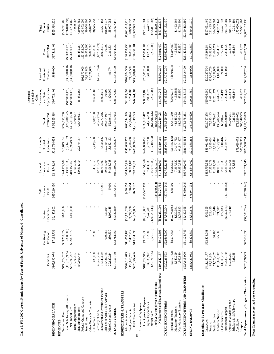|                                                          |                                |                           |                           | Self                 | Subtotal                         | Auxiliaries &                |                                  | Endowments,<br>Expendable<br>Restricted<br>Gifts. | Restricted                           |                                      | Total                          |
|----------------------------------------------------------|--------------------------------|---------------------------|---------------------------|----------------------|----------------------------------|------------------------------|----------------------------------|---------------------------------------------------|--------------------------------------|--------------------------------------|--------------------------------|
|                                                          | Operations                     | Continuing<br>Education   | Operations<br>Service     | Insurance<br>Funds   | Unrestricted<br>$E$ & $G$        | Operations<br>Hospital       | Unrestricted<br>Total            | Appropriations<br>and State                       | Grants and<br>Contracts              | Restricted<br>Total                  | Current<br>Funds               |
| BEGINNING BALANCE                                        | \$165,890,074                  | \$7,183,738               | \$6,447,902               | \$65,219,450         | \$244,741,164                    | \$213,784,654                | \$458,525,818                    | \$96,772,408                                      | \$640,000                            | \$97,412,408                         | \$555,938,226                  |
| Tuition and Fees<br><b>REVENUES</b>                      | \$490,772,232                  | \$33,250,372              | \$100,000                 |                      | \$524,122,604                    | \$15,649,156                 | \$539,771,760                    |                                                   |                                      |                                      | \$539,771,760                  |
| Less: Scholarship Allowances<br>Net Student Fees         | (113,575,935)<br>\$377,196,297 | (388,000)<br>\$32,862,372 | \$100,000                 |                      | (113,963,935)<br>\$410,158,669   | (8,744,187)<br>\$6,904,969   | (122,708,122)<br>\$417,063,638   | (\$17,810,176)<br>$(\$17,810,176)$                | $(\$35,500,000)$<br>$(\$35,500,000)$ | $(\$53,310,176)$<br>$(\$53,310,176)$ | (176,018,298)<br>\$363,753,462 |
| Federal Appropriations                                   | 14,909,587                     |                           |                           |                      | 14,909,587                       |                              | 14,909,587                       |                                                   |                                      |                                      | 14,909,587                     |
| Federal Grants and Contracts<br>State Appropriations     | 400,601,454                    |                           |                           |                      | 400,601,454                      | 22,879,167                   | 423,480,621                      | 16,435,264                                        | 193,872,000                          | 193,872,000<br>16,435,264            | 193,872,000<br>439,915,885     |
| <b>State Grants</b>                                      |                                |                           |                           |                      |                                  |                              |                                  |                                                   | 39,978,800                           | 39,978,800                           | 39,978,800                     |
| Other Grants & Contracts                                 |                                |                           |                           |                      |                                  |                              |                                  |                                                   | 60,827,600                           | 60,827,600                           | 60,827,600                     |
| Gift Income                                              | 435,050                        | 2,500                     |                           |                      | 437,550                          | 7,449,600                    | 7,887,150                        | 28,658,600                                        |                                      | 28,658,600                           | 36,545,750                     |
| Endowment and Investment Income<br>Recovery of F&A       | 42,753,774<br>13,649,649       |                           |                           | 5,137,241            | 18,786,890<br>42,753,774         | 5,490,356                    | 24,277,246<br>42,753,774         | 28,993,912                                        | (42, 753, 774)                       | (42, 753, 774)<br>28,993,912         | 53,271,158                     |
| Sales & Services-Educ Act/Aux                            | 38,481,735                     | 669,365                   | 533,694                   |                      | 39,684,794                       | 857,230,122                  | 896,914,917                      | 30,000                                            |                                      | 30,000                               | 896,944,917                    |
| Miscellaneous Income                                     | 29,129,214                     | 230,630                   | 1,699,145                 | 5,000                | 34,063,988                       | 18,632,163                   | 52,696,151                       | 1,820,060                                         | 491,774                              | 2,311,834                            | 55,007,985                     |
| TOTAL REVENUES                                           | \$917,156,760                  | \$33,764,867              | \$5,332,839               | \$5,142,241          | \$961,396,706                    | \$918,586,377                | \$1,879,983,083                  | \$58,127,660                                      | \$216,916,400                        | \$275,044,060                        | \$2,155,027,144                |
| EXPENDITURES & TRANSFERS                                 |                                |                           |                           |                      |                                  |                              |                                  |                                                   |                                      |                                      |                                |
| <b>Employee Benefits</b><br>Salaries & Wages             | \$569,218,675<br>156,165,751   | \$11,032,183<br>2,482,212 | \$34,124,236<br>9,597,570 | \$470,858<br>138,654 | \$614,845,952<br>168,384,186     | \$345,668,977<br>90,420,658  | \$960,514,929<br>258,804,844     | \$21,509,494<br>5,234,588                         | \$109,024,500<br>24,861,500          | \$130,533,994<br>30,096,088          | \$1,091,048,923<br>288,900,932 |
| Total Compensation<br>8                                  | \$725,384,426                  | \$13,514,395              | \$43,721,805              | \$609,512            | \$783,230,138                    | \$436,089,635                | \$1,219,319,773                  | \$26,744,081                                      | \$133,886,000                        | \$160,630,081                        | \$1,379,949,854                |
| Other Operating Expense<br>Expense and Equipment         | \$185,777,945                  | \$9,175,930               | \$66,358,032              | \$175,542,459        | \$436,854,366                    | \$402,808,051                | \$839,662,417                    | \$38,513,180                                      | \$73,501,204                         | \$112,014,384                        | \$951,676,801                  |
| Capital Expenditures                                     | 34,635,977                     | 102,280                   | ,746,281                  |                      | 37,484,538                       | 3,729,760                    | 41,214,298                       | 2,833,672                                         | 10,400,000                           | 13,233,672                           | 54,447,971                     |
| Employer & Employee Contributions<br>Internal Sales      | (25, 571, 755)                 | (176, 515)                | (120, 329, 413)           | (183,870,214)        | (146, 077, 683)<br>(183,870,214) | (18, 718, 693)               | (183,870,214)<br>(164, 796, 376) | (255,606)                                         |                                      | (255, 606)                           | (165,051,982)<br>(183,870,214) |
| Net Expense and Equipment Expenditures                   | \$194,842,167                  | \$9,101,695               | ,225,100)<br>15()         | (88, 327, 755)       | \$144,391,007                    | 611'618'488                  | \$532,210,125                    | \$41,091,246                                      | \$83,901,204                         | \$124,992,450                        | \$657,202,576                  |
| TOTAL EXPENDITURES                                       | \$920,226,593                  | \$22,616,090              | ,503,294)<br>(3)          | $(\$7,718,243)$      | \$927,621,145                    | \$823,908,754                | \$1,751,529,899                  | \$67,835,327                                      | 8217,787,204                         | \$285,622,531                        | \$2,037,152,430                |
| Internal Transfers                                       | $($ \$317,732)                 | \$8,507,656               | $(\$2,274,865)$           | \$38,000             | \$5,953,059                      | (1,445,479)                  | \$4,507,580                      | $(*3,636,776)$                                    | (8870,804)                           | $(*4,507,580)$                       |                                |
| Non-Mandatory Transfers<br>Mandatory Transfers           | 4,362,810<br>3,347,229         |                           | 12,087,833<br>4,120,391   |                      | 16,450,643<br>7,467,620          | 34,177,732<br>64,844,807     | 41,645,352<br>81,295,450         | (152, 683)<br>472,850                             |                                      | (152, 683)<br>472,850                | 81,768,300<br>41,492,669       |
| TOTAL EXPENDITURES AND TRANSFERS                         | \$927,618,900                  | \$31,123,746              | \$6,430,065               | $(\$7,680,243)$      | \$957,492,467                    | \$921,485,814                | 1878,978,281                     | \$64,518,718                                      | \$216,916,400                        | 8281,435,118                         | \$2,160,413,399                |
| ENDING BALANCE                                           | \$155,427,933                  | \$9,824,859               | ,350,676<br>SS,           | FE6'110'84\$         | \$248,645,402                    | \$210,885,218                | \$459,530,620                    | \$90,381,350                                      | \$640,000                            | \$91,021,350                         | \$550,551,970                  |
| Expenditures by Program Classification                   |                                |                           |                           |                      |                                  |                              |                                  |                                                   |                                      |                                      |                                |
| Instruction                                              | \$411,150,177                  | \$22,404,081              | \$201,325                 |                      | \$433,755,583                    | \$88,031,695                 | \$521,787,278                    | \$25,036,680                                      | \$20,227,504                         | \$45,264,184                         | \$567,051,462                  |
| Public Service<br>Research                               | 71,573,467<br>67,334,654       | 86,700                    | 26,840<br>523,425         |                      | 67,858,079<br>71,687,007         | 7,695,064<br>11,091,424      | 75,553,143<br>82,778,431         | 8,071,473<br>23,261,577                           | 137,860,700<br>58,359,000            | 145,932,173<br>81,620,577            | 221,485,316<br>164,399,008     |
| Academic Support                                         | 118,161,347                    | 125,309                   | 621,907                   |                      | 118,908,563                      | 17,573,911                   | 136,482,474                      | 4,615,675                                         | 1,189,000                            | 5,804,675                            | 142,287,148                    |
| Institutional Support<br><b>Student Services</b>         | 99,439,170<br>61,908,202       |                           | 332,664)<br>177,833       | $(\$7,718,243)$      | 62,086,035<br>82,388,262         | 610,446<br>20,039,787        | 102,428,049<br>62,696,481        | 2,204,520<br>1.754.492                            | 130,000<br>21,000                    | 2,334,520<br>1,775,492               | 64,471,973<br>104,762,569      |
| Operation & Maintenance                                  | 89,931,221                     |                           | 278,040<br>ಲ              |                      | 90,209,261                       |                              | 90,209,261                       | 572,441                                           |                                      | 572,441                              | 90,781,702                     |
| Scholarship & Fellowships<br>Auxiliaries                 | 728,355                        |                           |                           |                      | 728,355                          | 173,620,072                  | 173,620,072<br>728,355           | 1,632,844                                         |                                      | 1,632,844                            | 2,361,199<br>173,620,072       |
| Total Expenditures by Program Classification<br>Hospital | \$920,226,593                  | \$22,616,090              | $(*2,503,294)$            | $(\$7,718,243)$      | \$927,621,145                    | \$823,908,754<br>505,246,355 | 505,246,355<br>\$1,751,529,899   | 685,625<br>\$67,835,327                           | \$217,787,204                        | \$285,622,531<br>685,625             | 505,931,980<br>\$2,037,152,430 |
|                                                          |                                |                           |                           |                      |                                  |                              |                                  |                                                   |                                      |                                      |                                |

Note: Columns may not add due to rounding. **Note: Columns may not add due to rounding.** 

Table 5. FY 2007 Current Funds Budget by Type of Funds, University of Missouri - Consolidated **Table 5. FY 2007 Current Funds Budget by Type of Funds, University of Missouri - Consolidated**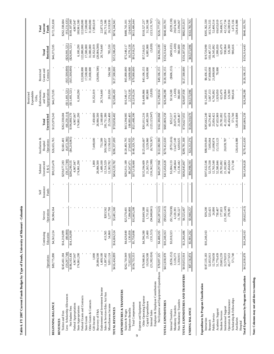|                                                                  |                            |                       |                         |                   |                             |                            |                          | Expendable<br>Restricted           |                          |                           |                           |
|------------------------------------------------------------------|----------------------------|-----------------------|-------------------------|-------------------|-----------------------------|----------------------------|--------------------------|------------------------------------|--------------------------|---------------------------|---------------------------|
|                                                                  |                            | Continuing            | Service                 | Insurance<br>Self | Unrestricted<br>Subtotal    | Auxiliaries &<br>Hospital  | Total                    | Endowments,<br>and State<br>Gifts, | Grants and<br>Restricted | Total                     | Current<br>Total          |
|                                                                  | Operations                 | Education             | Operations              | Funds             | ن<br>با گ                   | Operations                 | Unrestricted             | Appropriations                     | Contracts                | Restricted                | Funds                     |
| <b>BEGINNING BALANCE</b>                                         | \$89,775,890               | \$4,563,224           | \$4,984,364             |                   | \$99,323,478                | \$26,655,765               | \$125,979,243            | \$46,373,595                       |                          | \$46,373,595              | \$172,352,838             |
| <b>REVENUES</b>                                                  |                            |                       |                         |                   |                             |                            |                          |                                    |                          |                           |                           |
| Tuition and Fees                                                 | \$245,461,184              | \$14,216,099          |                         |                   | \$259,677,283               | \$2,661,401                | \$262,338,684            |                                    |                          |                           | \$262,338,684             |
| Less: Scholarship Allowances                                     | (59, 297, 748)             | (80,000)              |                         |                   | (59, 377, 748)              | (6,872,366)                | (66, 250, 114)           | $(\$11,481,521)$                   | (\$15,500,000)           | $(\$26,981,521)$          | (93, 231, 635)            |
| Net Student Fees                                                 | \$186,163,436              | $\sqrt{$14,136,099}$  |                         |                   | \$200,299,535<br>4,967,047  | $(\$4,210,965)$            | \$196,088,570            | $(\$11,481,521)$                   | $(\$15,500,000)$         | $(\$26,981,521)$          | \$169,107,049             |
| Federal Appropriations<br>State Appropriations                   | 174,861,290<br>4,967,047   |                       |                         |                   | 174,861,290                 |                            | 174,861,290<br>4,967,047 | 6,100,290                          |                          | 6,100,290                 | 180,961,580<br>4,967,047  |
| Federal Grants and Contracts                                     |                            |                       |                         |                   |                             |                            |                          |                                    | 122,000,000              | 122,000,000               | 122,000,000               |
| <b>State Grants</b>                                              |                            |                       |                         |                   |                             |                            |                          |                                    | 17,500,000               | 17,500,000                | 17,500,000                |
| Other Grants & Contracts                                         |                            |                       |                         |                   |                             |                            |                          |                                    | 31,000,000               | 31,000,000                | 31,000,000                |
| Gift Income                                                      | 1,000                      |                       |                         |                   | 1,000                       | 7,449,600                  | 7,450,600                | 10,352,019                         |                          | 10,352,019                | 17,802,619                |
| Recovery of F&A                                                  | 28,084,500                 |                       |                         |                   | 28,084,500                  |                            | 28,084,500               |                                    | (28,084,500)             | (28,084,500)              |                           |
| Endowment and Investment Income<br>Sales & Services-Educ Act/Aux | 1,409,100<br>11,897,402    |                       | \$203,562               |                   | 1,409,100                   | 751,589                    | 2,160,689<br>281,711,386 | 20,714,640                         |                          | 20,714,640                | 22,875,329<br>281,711,386 |
| Miscellaneous Income                                             | 9,051,124                  | 413,565<br>54,860     | 3,277,798               |                   | 12,514,529<br>12,383,782    | 13,150,618<br>269,196,857  | 25,534,400               | 201,030                            | 584,500                  | 785,530                   | 26,319,930                |
| TOTAL REVENUES                                                   | \$416,434,899              | \$14,604,524          | \$3,481,360             |                   | \$434,520,782               | \$286,337,699              | \$720,858,482            | \$25,886,459                       | \$127,500,000            | \$153,386,459             | \$874,244,941             |
| EXPENDITURES & TRANSFERS                                         |                            |                       |                         |                   |                             |                            |                          |                                    |                          |                           |                           |
| Salaries & Wages                                                 | \$262,710,949              | \$4,629,840           | \$25,570,401            |                   | \$292,911,189               | \$120,483,795              | \$413,394,985            | \$10,348,117                       | \$65,000,000             | \$75,348,117              | \$488,743,101             |
| Employee Benefits                                                | 72,022,605                 | 1,130,058             | 7,094,808               |                   | 80,247,471                  | 27,845,935                 | 108,093,405              | 2,570,138                          | 14,000,000               | 16,570,138                | 124,663,543               |
| Total Compensation<br>9                                          | \$334,733,553              | \$5,759,898           | \$32,665,208            |                   | \$373,158,660               | \$148,329,730              | \$521,488,390            | \$12,918,254                       | \$79,000,000             | \$91,918,254              | \$613,406,644             |
| Expense and Equipment                                            |                            |                       | \$50,849,388            |                   |                             |                            | \$261,011,216            |                                    | \$43,106,155             |                           | \$318,527,237             |
| Other Operating Expense<br>Capital Expenditures                  | \$79,948,841<br>19,530,508 | \$4,596,380<br>23,400 | 711,831<br>Ξ            |                   | \$135,394,609<br>21,265,739 | 3,229,860<br>\$125,616,607 | 24,495,599               | \$14,409,866<br>885,988            | 6,000,000                | 6,885,988<br>\$57,516,021 | 31,381,588                |
| Internal Sales                                                   | (21, 382, 024)             | (131, 515)            | (94,848,841)            |                   | (116,362,380)               | (6,763,567)                | (123, 125, 947)          | (5, 820)                           |                          | (5, 820)                  | (123, 131, 767)           |
| Employer & Employee Contributions                                |                            |                       |                         |                   |                             |                            |                          |                                    |                          |                           |                           |
| Net Expense and Equipment Expenditures                           | \$78,097,325               | \$4,488,265           | ( \$42, 287, 622)       |                   | \$40,297,968                | \$122,082,900              | \$162,380,868            | \$15,290,034                       | \$49,106,155             | \$64,396,189              | \$226,777,057             |
| TOTAL EXPENDITURES                                               | \$412,830,878              | \$10,248,163          | (9,622,413)             |                   | \$413,456,628               | \$270,412,630              | \$683,869,258            | \$28,208,288                       | \$128,106,155            | \$156,314,443             | \$840,183,701             |
| Internal Transfers                                               | $(\$256, 152)$             | \$3,018,323           | 758,038)<br>(13)        |                   | \$1,004,133                 | $(\$751,616)$              | \$252,517                | \$114,500                          | (\$606, 155)             | $(\$491,655)$             | $(\$239,138)$             |
| Mandatory Transfers                                              | 3,128,273                  |                       | 120,391<br>4.           |                   | 7,248,664                   | 13,427,149                 | 20,675,813               | (1,430)                            |                          | (1,430)                   | 20,674,383                |
| Non-Mandatory Transfers                                          | 3,350,915                  |                       | 785,527<br>$\exists$    |                   | 15,136,442                  | 6,693,025                  | 21,829,467               | 366,600                            |                          | 366,600                   | 22,196,067                |
| TOTAL EXPENDITURES AND TRANSFERS                                 | \$419,658,4                | \$13,266,486          | \$4,525,467             |                   | \$436,845,867               | 881,187,83                 | \$726,627,055            | \$28,687,958                       | \$127,500,000            | \$156,187,958             | \$882,815,013             |
| ENDING BALANCE                                                   | \$87,156,874               | \$5,901,262           | \$3,940,257             |                   | \$96,998,393                | \$23,212,276               | \$120,210,670            | \$43,572,096                       |                          | \$43,572,096              | \$163,782,765             |
| Expenditures by Program Classification                           |                            |                       |                         |                   |                             |                            |                          |                                    |                          |                           |                           |
| Instruction                                                      | \$187,335,183              | \$10,248,163          | \$39,200                |                   | \$197,622,546               | \$88,019,694               | \$285,642,240            | \$11,283,935                       | \$8,436,155              | \$19,720,090              | \$305,362,330             |
| Research                                                         | 52,055,913                 |                       | 523,425                 |                   | 52,579,338                  | 7,695,064                  | 60,274,402               | 5,667,153                          | 97,800,000               | 103,467,153               | 163,741,555               |
| Public Service                                                   | 12,738,658                 |                       | 24,890                  |                   | 12,763,548                  | 11,090,874                 | 23,854,422               | 6,745,892                          | 21,800,000               | 28,545,892                | 52,400,314                |
| Academic Support                                                 | 51,770,439                 |                       | 730,407                 |                   | 52,500,846                  | 15,153,123                 | 67,653,969               | 1,929,050                          | 70,000                   | 1,999,050                 | 69,653,019                |
| Institutional Support<br><b>Student Services</b>                 | 29,603,259<br>32,578,033   |                       | (11,395,149)<br>177,833 |                   | 21,182,883<br>29,781,092    | 20,039,787                 | 41,222,670<br>29,781,092 | 625,479<br>930,064                 |                          | 625,479<br>930,064        | 42,152,734<br>30,406,571  |
| Operation & Maintenance                                          | 46,177,653                 |                       | 276,981                 |                   | 46,454,634                  |                            | 46,454,634               | 126,300                            |                          | 126,300                   | 46,580,934                |
| Scholarship & Fellowships                                        | 571,740                    |                       |                         |                   | 571,740                     |                            | 571,740                  | 900,416                            |                          | 900,416                   | 1,472,156                 |
| Auxiliaries                                                      |                            |                       |                         |                   |                             | 128,414,088                | 128,414,088              |                                    |                          |                           | 128,414,088               |
| Total Expenditures by Program Classification<br>Hospital         | \$412,830,878              | \$10,248,163          | $(\$9,622,413)$         |                   | \$413,456,628               | \$270,412,630              | \$683,869,258            | \$28,208,288                       | \$128,106,155            | \$156,314,443             | \$840,183,701             |
|                                                                  |                            |                       |                         |                   |                             |                            |                          |                                    |                          |                           |                           |

Note: Columns may not add due to rounding. **Note: Columns may not add due to rounding.** 

# Table 6. FY 2007 Current Funds Budget by Type of Funds, University of Missouri - Columbia **Table 6. FY 2007 Current Funds Budget by Type of Funds, University of Missouri - Columbia**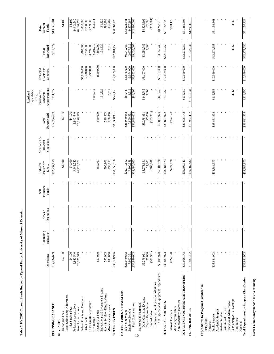|                                                                  |                      |            |            |                   |                          |                           |                      | Restricted                                       |                          |              |                      |
|------------------------------------------------------------------|----------------------|------------|------------|-------------------|--------------------------|---------------------------|----------------------|--------------------------------------------------|--------------------------|--------------|----------------------|
|                                                                  |                      | Continuing | Service    | Insurance<br>Self | Unrestricted<br>Subtotal | Auxiliaries &<br>Hospital | Total                | Endowments,<br>Expendable<br>and State<br>Gifts, | Grants and<br>Restricted | Total        | Current<br>Total     |
|                                                                  | Operations           | Education  | Operations | Funds             | E & G                    | Operations                | Unrestricted         | Appropriations                                   | Contracts                | Restricted   | Funds                |
| BEGINNING BALANCE                                                | \$12,234,659         |            |            |                   | \$12,234,659             |                           | \$12,234,659         | \$911,622                                        |                          | \$911,622    | \$13,146,281         |
| <b>REVENUES</b>                                                  |                      |            |            |                   |                          |                           |                      |                                                  |                          |              |                      |
| Less: Scholarship Allowances<br>Tuition and Fees                 | \$4,100              |            |            |                   | \$4,100                  |                           | \$4,100              |                                                  |                          |              | \$4,100              |
| Net Student Fees                                                 | \$4,100              |            |            |                   | \$4,100                  |                           | \$4,100              |                                                  |                          |              | \$4,100              |
| Federal Appropriations                                           | 9,942,540            |            |            |                   | 9,942,540                |                           | 9,942,540            |                                                  |                          |              | 9,942,540            |
| State Appropriations                                             | 26,126,573           |            |            |                   | 26,126,573               |                           | 26,126,573           |                                                  |                          |              | 26,126,573           |
| Federal Grants and Contracts                                     |                      |            |            |                   |                          |                           |                      |                                                  | \$1,880,000              | 1,880,000    | 1,880,000            |
| State Grants                                                     |                      |            |            |                   |                          |                           |                      |                                                  | 7,730,000                | 7,730,000    | 7,730,000            |
| Other Grants & Contracts                                         |                      |            |            |                   |                          |                           |                      |                                                  | 3,299,000                | 3,299,000    | 3,299,000            |
| Gift Income                                                      |                      |            |            |                   |                          |                           |                      | \$203,211                                        |                          | \$203,211    | 203,211              |
| Recovery of F&A                                                  | 850,000              |            |            |                   | 850,000                  |                           | 850,000              |                                                  | (850,000)                | (850,000)    |                      |
| Endowment and Investment Income<br>Sales & Services-Educ Act/Aux | 596,903              |            |            |                   | 596,903                  |                           | 596,903              | 131,529                                          |                          | 131,529      | 131,529<br>596,903   |
| Miscellaneous Income                                             | 838,850              |            |            |                   | 838,850                  |                           | 838,850              | 7,419                                            |                          | 7,419        | 846,269              |
| TOTAL REVENUES                                                   | \$38,358,966         |            |            |                   | \$38,358,966             |                           | \$38,358,966         | \$342,159                                        | \$12,059,000             | \$12,401,159 | \$50,760,125         |
| EXPENDITURES & TRANSFERS                                         |                      |            |            |                   |                          |                           |                      |                                                  |                          |              |                      |
| Salaries & Wages                                                 | \$26,079,652         |            |            |                   | \$26,079,652             |                           | \$26,079,652         | \$64,489                                         | \$6,878,000              | \$6,942,489  | \$33,022,141         |
| Employee Benefits                                                | 7,800,351            |            |            |                   | 7,800,351                |                           | 7,800,351            | 3.516                                            | 2,074,000                | 2,077,516    | 9,877,867            |
| <b>Total Compensation</b><br>10                                  | \$33,880,003         |            |            |                   | \$33,880,003             |                           | \$33,880,003         | \$68,005                                         | \$8,952,000              | \$9,020,005  | \$42,900,008         |
| Expense and Equipment                                            |                      |            |            |                   |                          |                           |                      |                                                  |                          |              |                      |
| Other Operating Expense                                          | \$5,278,951          |            |            |                   | \$5,278,951              |                           | \$5,278,951          | \$143,745                                        | \$3,107,000              | \$3,250,745  | \$8,529,696          |
| Capital Expenditures<br>Internal Sales                           | (303, 981)<br>27,000 |            |            |                   | (303, 981)<br>27,000     |                           | (303, 981)<br>27,000 | 5,000                                            |                          | 5,000        | (303, 981)<br>32,000 |
| Employer & Employee Contributions                                |                      |            |            |                   |                          |                           |                      |                                                  |                          |              |                      |
| Net Expense and Equipment Expenditures                           | \$5,001,970          |            |            |                   | \$5,001,970              |                           | \$5,001,970          | \$148,745                                        | \$3,107,000              | \$3,255,745  | \$8,257,715          |
| TOTAL EXPENDITURES                                               | \$38,881,973         |            |            |                   | \$38,881,973             |                           | \$38,881,973         | \$216,750                                        | \$12,059,000             | \$12,275,750 | \$51,157,723         |
| Internal Transfers                                               | \$724,170            |            |            |                   | \$724,170                |                           | \$724,170            |                                                  |                          |              | \$724,170            |
| Mandatory Transfers                                              |                      |            |            |                   |                          |                           |                      |                                                  |                          |              |                      |
| Non-Mandatory Transfers                                          |                      |            |            |                   |                          |                           |                      |                                                  |                          |              |                      |
| TOTAL EXPENDITURES AND TRANSFERS                                 | \$39,606,143         |            |            |                   | \$39,606,143             |                           | \$39,606,143         | \$216,750                                        | \$12,059,000             | \$12,275,750 | \$51,881,893         |
| <b>ENDING BALANCE</b>                                            | \$10,987,482         |            |            |                   | \$10,987,482             |                           | \$10,987,482         | \$1,037,031                                      |                          | \$1,037,031  | \$12,024,513         |
| Expenditures by Program Classification                           |                      |            |            |                   |                          |                           |                      |                                                  |                          |              |                      |
| Instruction                                                      |                      |            |            |                   |                          |                           |                      |                                                  |                          |              |                      |
| Research                                                         |                      |            |            |                   |                          |                           |                      |                                                  |                          |              |                      |
| Public Service                                                   | \$38,881,973         |            |            |                   | \$38,881,973             |                           | \$38,881,973         | \$212,388                                        | \$12,059,000             | \$12,271,388 | \$51,153,361         |
| Academic Support                                                 |                      |            |            |                   |                          |                           |                      |                                                  |                          |              |                      |
| Institutional Support<br><b>Student Services</b>                 |                      |            |            |                   |                          |                           |                      |                                                  |                          |              |                      |
| Operation & Maintenance                                          |                      |            |            |                   |                          |                           |                      |                                                  |                          |              |                      |
| Scholarship & Fellowships                                        |                      |            |            |                   |                          |                           |                      | 4,362                                            |                          | 4,362        | 4,362                |
| Auxiliaries                                                      |                      |            |            |                   |                          |                           |                      |                                                  |                          |              |                      |
| Hospital                                                         |                      |            |            |                   |                          |                           |                      |                                                  |                          |              |                      |
| Total Expenditures by Program Classification                     | \$38,881,973         |            |            |                   | \$38,881,973             |                           | \$38,881,973         | \$216,750                                        | \$12,059,000             | \$12,275,750 | \$51,157,723         |

**Table 7. FY 2007 Current Funds Budget by Type of Funds, University of Missouri Extension**

Table 7. FY 2007 Current Funds Budget by Type of Funds, University of Missouri Extension

Note: Columns may not add due to rounding. **Note: Columns may not add due to rounding.**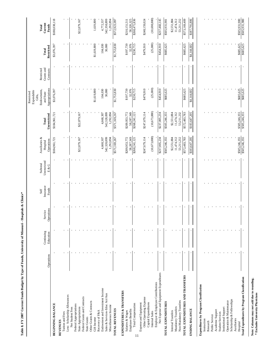|                                                                             |            |                         |                       |                            |                                   |                                         |                          | Expendable<br>Restricted<br>Gifts,         |                                       |                     |                           |
|-----------------------------------------------------------------------------|------------|-------------------------|-----------------------|----------------------------|-----------------------------------|-----------------------------------------|--------------------------|--------------------------------------------|---------------------------------------|---------------------|---------------------------|
|                                                                             | Operations | Continuing<br>Education | Operations<br>Service | Insurance<br>Funds<br>Self | Unrestricted<br>Subtotal<br>E & G | Auxiliaries &<br>Operations<br>Hospital | Unrestricted<br>Total    | Appropriations<br>Endowments,<br>and State | Grants and<br>Restricted<br>Contracts | Restricted<br>Total | Current<br>Funds<br>Total |
| BEGINNING BALANCE                                                           |            | ٠                       |                       |                            |                                   | \$184,961,721                           | \$184,961,721            | \$3,076,397                                |                                       | \$3,076,397         | \$188,038,118             |
| <b>REVENUES</b>                                                             |            |                         |                       |                            |                                   |                                         |                          |                                            |                                       |                     |                           |
| Tuition and Fees                                                            |            |                         |                       |                            |                                   |                                         |                          |                                            |                                       |                     |                           |
| Less: Scholarship Allowances                                                |            |                         |                       |                            |                                   |                                         |                          |                                            |                                       |                     |                           |
| Net Student Fees                                                            |            |                         |                       |                            |                                   |                                         |                          |                                            |                                       |                     |                           |
| Federal Appropriations                                                      |            |                         |                       |                            |                                   | \$22,879,167                            | \$22,879,167             |                                            |                                       |                     | \$22,879,167              |
| Federal Grants and Contracts<br>State Appropriations                        |            |                         |                       |                            |                                   |                                         |                          |                                            |                                       |                     |                           |
| <b>State Grants</b>                                                         |            |                         |                       |                            |                                   |                                         |                          |                                            |                                       |                     |                           |
| Other Grants & Contracts                                                    |            |                         |                       |                            |                                   |                                         |                          |                                            |                                       |                     |                           |
| Gift Income                                                                 |            |                         |                       |                            |                                   |                                         |                          | \$1,619,800                                |                                       | \$1,619,800         | 1,619,800                 |
| Recovery of F&A                                                             |            |                         |                       |                            |                                   |                                         |                          |                                            |                                       |                     |                           |
| Endowment and Investment Income                                             |            |                         |                       |                            |                                   | 4,668,307                               | 4,668,307                | 104,030                                    |                                       | 104,030             | 4,772,337                 |
| Sales & Services-Educ Act/Aux                                               |            |                         |                       |                            |                                   | 542,328,899<br>1,292,894                | 542,328,899<br>1,292,894 | 30,000                                     |                                       | 30,000              | 542,358,899<br>1,292,894  |
| Miscellaneous Income                                                        |            |                         |                       |                            |                                   |                                         |                          |                                            |                                       |                     |                           |
| TOTAL REVENUES                                                              |            |                         |                       |                            |                                   | \$571,169,267                           | \$571,169,267            | \$1,753,830                                |                                       | \$1,753,830         | \$572,923,097             |
| EXPENDITURES & TRANSFERS                                                    |            |                         |                       |                            |                                   |                                         |                          |                                            |                                       |                     |                           |
| Salaries & Wages                                                            |            |                         |                       |                            |                                   | \$209,953,772                           | \$209,953,772            | \$197,739                                  |                                       | \$197,739           | \$210,151,511             |
| <b>Employee Benefits</b>                                                    |            |                         |                       |                            |                                   | 58,287,349                              | 58,287,349               | 32,976                                     |                                       | 32,976              | 58,320,325                |
| Total Compensation<br>11                                                    |            |                         |                       |                            |                                   | \$268,241,121                           | \$268,241,121            | \$230,715                                  |                                       | \$230,715           | \$268,471,836             |
| Expense and Equipment                                                       |            |                         |                       |                            |                                   |                                         |                          |                                            |                                       |                     |                           |
| Other Operating Expense                                                     |            |                         |                       |                            |                                   | \$247,679,114                           | \$247,679,114            | \$479,910                                  |                                       | \$479,910           | \$248,159,024             |
| Capital Expenditures                                                        |            |                         |                       |                            |                                   |                                         |                          |                                            |                                       |                     |                           |
| Internal Sales                                                              |            |                         |                       |                            |                                   | (10, 673, 880)                          | (10, 673, 880)           | (25,000)                                   |                                       | (25,000)            | (10, 698, 880)            |
| Net Expense and Equipment Expenditures<br>Employer & Employee Contributions |            |                         |                       |                            |                                   | \$237,005,234                           | \$237,005,234            | 016'4348                                   |                                       | 016'454\$           | \$237,460,145             |
|                                                                             |            |                         |                       |                            |                                   |                                         |                          |                                            |                                       |                     |                           |
| TOTAL EXPENDITURES                                                          |            |                         |                       |                            |                                   | \$505,246,355                           | \$505,246,355            | \$685,625                                  |                                       | \$685,625           | 186'186'2058              |
| Internal Transfers                                                          |            |                         |                       |                            |                                   | \$2,551,884                             | \$2,551,884              |                                            |                                       |                     | \$2,551,884               |
| Mandatory Transfers                                                         |            |                         |                       |                            |                                   | 11,474,312                              | 11,474,312               |                                            |                                       |                     | 11,474,312                |
| Non-Mandatory Transfers                                                     |            |                         |                       |                            |                                   | 53,211,232                              | 53,211,232               |                                            |                                       |                     | 53,211,232                |
| TOTAL EXPENDITURES AND TRANSFERS                                            |            |                         |                       |                            |                                   | \$572,483,783                           | \$572,483,783            | \$685,625                                  |                                       | \$685,625           | \$573,169,409             |
| ENDING BALANCE                                                              |            |                         |                       |                            |                                   | \$183,647,205                           | \$183,647,205            | \$4,144,602                                |                                       | \$4,144,602         | \$187,791,806             |
|                                                                             |            |                         |                       |                            |                                   |                                         |                          |                                            |                                       |                     |                           |
| Expenditures by Program Classification                                      |            |                         |                       |                            |                                   |                                         |                          |                                            |                                       |                     |                           |
| Instruction                                                                 |            |                         |                       |                            |                                   |                                         |                          |                                            |                                       |                     |                           |
| Research                                                                    |            |                         |                       |                            |                                   |                                         |                          |                                            |                                       |                     |                           |
| Academic Support<br>Public Service                                          |            |                         |                       |                            |                                   |                                         |                          |                                            |                                       |                     |                           |
| <b>Student Services</b>                                                     |            |                         |                       |                            |                                   |                                         |                          |                                            |                                       |                     |                           |
| Institutional Support                                                       |            |                         |                       |                            |                                   |                                         |                          |                                            |                                       |                     |                           |
| Operation & Maintenance                                                     |            |                         |                       |                            |                                   |                                         |                          |                                            |                                       |                     |                           |
| Scholarship & Fellowships                                                   |            |                         |                       |                            |                                   |                                         |                          |                                            |                                       |                     |                           |
| Auxiliaries                                                                 |            |                         |                       |                            |                                   |                                         |                          |                                            |                                       |                     |                           |
| Hospital                                                                    |            |                         |                       |                            |                                   | \$505,246,355                           | \$505,246,355            | \$685,625                                  |                                       | \$685,625           | \$505,931,980             |
| Total Expenditures by Program Classification                                |            |                         |                       |                            |                                   | \$505,246,355                           | \$505,246,355            | \$685,625                                  |                                       | \$685,625           | \$505,931,980             |

Table 8. FY 2007 Current Funds Budget by Type of Funds, University of Missouri - Hospitals & Clinics\* **Table 8. FY 2007 Current Funds Budget by Type of Funds, University of Missouri - Hospitals & Clinics\***

I

Note: Columns may not add due to rounding. <br> <br> \* Excludes University Physicians **Note: Columns may not add due to rounding. \* Excludes University Physicians**

 $\mathsf{l}$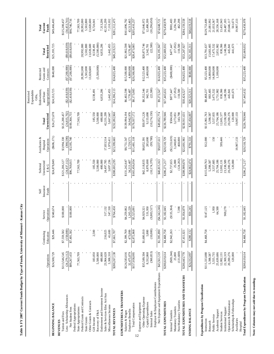|                                                         |                         |                         |                       |                            |                                   |                                         |                         | Expendable<br>Restricted<br>Gifts.         |                                       |                         |                           |
|---------------------------------------------------------|-------------------------|-------------------------|-----------------------|----------------------------|-----------------------------------|-----------------------------------------|-------------------------|--------------------------------------------|---------------------------------------|-------------------------|---------------------------|
|                                                         | Operations              | Continuing<br>Education | Operations<br>Service | Insurance<br>Funds<br>Self | Unrestricted<br>Subtotal<br>E & G | Auxiliaries &<br>Operations<br>Hospital | Unrestricted<br>Total   | Appropriations<br>Endowments,<br>and State | Grants and<br>Restricted<br>Contracts | Restricted<br>Total     | Current<br>Funds<br>Total |
| BEGINNING BALANCE                                       | \$24,508,729            | \$29,446                | \$340,674             |                            | \$24,878,849                      | $($ \$606,171)                          | \$24,272,678            | \$24,553,725                               | \$640,000                             | \$25,193,725            | \$49,466,403              |
| Tuition and Fees<br><b>REVENUES</b>                     | \$113,546,545           | \$7,559,582             | \$100,000             |                            | \$121,206,127                     | \$3,994,330                             | \$125,200,457           |                                            |                                       |                         | \$125,200,457             |
| Less: Scholarship Allowances                            | (24,279,112)            | (158,000)               |                       |                            | (24, 437, 112)                    | (398, 590)                              | (24, 835, 702)          | $(\$2,418,039)$                            | $(*7,200,000)$                        | $(\$9,618,039)$         | (34, 453, 741)            |
| Net Student Fees                                        | \$89,267,433            | \$7,401,582             | \$100,000             |                            | \$96,769,015                      | \$3,595,740                             | \$100,364,755           | ( \$2,418,039)                             | (37,200,000)                          | (\$9,618,039)           | \$90,746,716              |
| Federal Appropriations                                  |                         |                         |                       |                            |                                   |                                         |                         |                                            |                                       |                         |                           |
| Federal Grants and Contracts<br>State Appropriations    | 77,563,709              |                         |                       |                            | 77,563,709                        |                                         | 77,563,709              |                                            | 28,992,000                            | 28,992,000              | 28,992,000<br>77,563,709  |
| <b>State Grants</b>                                     |                         |                         |                       |                            |                                   |                                         |                         |                                            | 5,502,800                             | 5,502,800               | 5,502,800                 |
| Other Grants & Contracts                                |                         |                         |                       |                            |                                   |                                         |                         |                                            | 13,028,600                            | 13,028,600              | 13,028,600                |
| Gift Income                                             | 183,050                 | 2,500                   |                       |                            | 185,550                           |                                         | 185,550                 | 8,538,491                                  |                                       | 8,538,491               | 8,724,041                 |
| Recovery of F&A                                         | 5,500,000               |                         |                       |                            | 5,500,000                         |                                         | 5,500,000               |                                            | (5,500,000)                           | (5,500,000)             |                           |
| Endowment and Investment Income                         | 480,000                 |                         |                       |                            | 480,000                           |                                         | 480,000                 | 6,833,206                                  |                                       | 6,833,206               | 7,313,206                 |
| Sales & Services-Educ Act/Aux                           | 23,964,628              | 216,025                 | 317,132               |                            | 24,497,785                        | 17,833,514                              | 42,331,299              |                                            |                                       |                         | 42,331,299                |
| Miscellaneous Income                                    | 3,308,318               | 41,600                  | 347,318               |                            | 3,697,236                         | 1,970,411                               | 5,667,647               | 1,442,455                                  |                                       | 1,442,455               | 7,110,102                 |
| TOTAL REVENUES                                          | \$200,267,138           | \$7,661,707             | \$764,450             |                            | \$208,693,295                     | \$23,399,665                            | \$232,092,960           | \$14,396,113                               | \$34,823,400                          | \$49,219,513            | \$281,312,473             |
| <b>EXPENDITURES &amp; TRANSFERS</b><br>Salaries & Wages | \$124,583,016           | \$2,399,769             | \$4,259,862           |                            |                                   |                                         | \$139,994,194           | \$6,402,598                                | \$15,500,000                          | \$21,902,598            | \$161,896,792             |
| Employee Benefits                                       | 32,475,079              | 473,099                 | 1,265,229             |                            | \$131,242,647<br>34,213,407       | \$8,751,547<br>2,729,571                | 36,942,978              | 1,770,487                                  | 4,800,000                             | 6,570,487               | 43,513,465                |
| Total Compensation                                      | \$157,058,095           | \$2,872,868             | \$5,525,091           |                            | \$165,456,054                     | \$11,481,118                            | \$176,937,172           | \$8,173,085                                | \$20,300,000                          | \$28,473,085            | \$205,410,257             |
| Expense and Equipment<br>12                             |                         |                         |                       |                            |                                   |                                         |                         |                                            |                                       |                         |                           |
| Other Operating Expense                                 | \$35,589,504            | \$1,600,010             | \$4,929,321           |                            | \$42,118,835                      | \$8,852,391                             | \$50,971,226            | \$8,352,346                                | \$12,523,400                          | \$20,875,746            | \$71,846,972              |
| Capital Expenditures                                    | 8,332,868               | 5,880                   | 531,950               |                            | 8,870,698                         | 285,000                                 | 9,155,698               | 942,701                                    | 2,400,000                             | 3,342,701               | 12,498,399                |
| Employer & Employee Contributions<br>Internal Sales     | (360, 853)              | (10,000)                | (9,803,517)           |                            | (10, 174, 370)                    | (99, 780)                               | (10, 274, 150)          | (22, 500)                                  |                                       | (22,500)                | (10, 296, 650)            |
| Net Expense and Equipment Expenditures                  | \$43,561,519            | \$1,595,890             | (84, 342, 246)        |                            | \$40,815,163                      | \$9,037,611                             | \$49,852,774            | \$9,272,547                                | \$14,923,400                          | \$24,195,947            | \$74,048,721              |
| TOTAL EXPENDITURES                                      | \$200,619,614           | \$4,468,758             | \$1,182,845           |                            | \$206,271,217                     | \$20,518,729                            | \$226,789,946           | \$17,445,632                               | \$35,223,400                          | \$52,669,032            | \$279,458,978             |
| Internal Transfers                                      | (869,244)               | \$2,942,263             | (\$135,364)           |                            | \$2,737,655                       | $(\$2,233,619)$                         | \$504,036               | \$877,447                                  | $(*400,000)$                          | \$477,447               | \$981,483                 |
| Mandatory Transfers                                     | 25,000                  |                         |                       |                            | 25,000                            | 3,248,851                               | 3,273,851               | (17,052)                                   |                                       | (17,052)                | 3,256,799                 |
| Non-Mandatory Transfers                                 | (131,600)               |                         | 7,398                 |                            | (124,202)                         | 468,000                                 | 343,798                 | 118,500                                    |                                       | 118,500                 | 462.298                   |
| TOTAL EXPENDITURES AND TRANSFERS                        | \$200,443,770           | \$7,411,021             | \$1,054,879           |                            | \$208,909,670                     | \$22,001,961                            | \$230,911,631           | \$18,424,527                               | \$34,823,400                          | \$53,247,927            | \$284,159,558             |
| ENDING BALANCE                                          | \$24,332,097            | \$280,132               | \$50,245              |                            | \$24,662,474                      | \$791,533                               | \$25,454,007            | \$20,525,31                                | \$640,000                             | \$21,165,311            | \$46,619,318              |
| Expenditures by Program Classification                  |                         |                         |                       |                            |                                   |                                         |                         |                                            |                                       |                         |                           |
| Instruction                                             | \$111,333,880           | \$4,468,758             | \$147,125             |                            | \$115,949,763                     | \$12,000                                | \$115,961,763           | \$8,468,237                                | \$5,323,400                           | \$13,791,637            | \$129,753,400             |
| Research                                                | 5,398,587               |                         |                       |                            | 5,398,587                         |                                         | 5,398,587               | 883,405                                    | 14,800,000                            | 15,683,405              | 21,081,992                |
| Public Service                                          | 3,555,735<br>25,639,686 |                         | 1,950                 |                            | 25,704,186<br>3,557,685           | 150                                     | 3,557,835<br>25,704,186 | 3,475,532<br>1,751,982                     | 14,000,000<br>1,100,000               | 17,475,532<br>2,851,982 | 21,033,367                |
| Academic Support<br><b>Student Services</b>             | 12,002,131              |                         | 64,500                |                            | 12,002,131                        | 599,446                                 | 12,601,577              | 830,366                                    |                                       | 830,366                 | 28,556,168<br>13,431,943  |
| Institutional Support                                   | 22,369,319              |                         | 969,270               |                            | 23,338,589                        |                                         | 23,338,589              | 1,148,596                                  |                                       | 1,148,596               | 24,487,185                |
| Operation & Maintenance                                 | 20,200,276              |                         |                       |                            | 20,200,276                        |                                         | 20,200,276              | 445,841                                    |                                       | 445,841                 | 20,646,117                |
| Scholarship & Fellowships                               | 120,000                 |                         |                       |                            | 120,000                           |                                         | 120,000                 | 441,673                                    |                                       | 441,673                 | 561,673                   |
| Auxiliaries<br>Hospital                                 |                         |                         |                       |                            |                                   | 19,907,133                              | 19,907,133              |                                            |                                       |                         | 19,907,133                |
| Total Expenditures by Program Classification            | \$200,619,614           | \$4,468,758             | \$1,182,845           |                            | \$206,271,217                     | \$20,518,729                            | \$226,789,946           | \$17,445,632                               | \$35,223,400                          | \$52,669,032            | \$279,458,978             |

Note: Columns may not add due to rounding. **Note: Columns may not add due to rounding.** 

# Table 9. FY 2007 Current Funds Budget by Type of Funds, University of Missouri - Kansas City **Table 9. FY 2007 Current Funds Budget by Type of Funds, University of Missouri - Kansas City**

 $\overline{1}$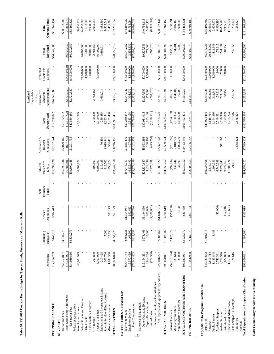|                                                  |                              |                         |                             |                            |                                   |                                         |                                | Expendable<br>Restricted<br>Gifts,         |                                       |                          |                                |
|--------------------------------------------------|------------------------------|-------------------------|-----------------------------|----------------------------|-----------------------------------|-----------------------------------------|--------------------------------|--------------------------------------------|---------------------------------------|--------------------------|--------------------------------|
|                                                  | Operations                   | Continuing<br>Education | Operations<br>Service       | Insurance<br>Funds<br>Self | Unrestricted<br>Subtotal<br>E & G | Auxiliaries &<br>Operations<br>Hospital | Unrestricted<br>Total          | Appropriations<br>Endowments,<br>and State | Grants and<br>Restricted<br>Contracts | Restricted<br>Total      | <b>Current Funds</b><br>Total  |
| BEGINNING BALANCE                                | \$14,254,769                 | \$440,616               | \$902,443                   |                            | \$15,597,828                      | \$2,102,244                             | \$17,700,072                   | \$14,245,383                               |                                       | \$14,245,383             | \$31,945,454                   |
| <b>REVENUES</b>                                  |                              |                         |                             |                            |                                   |                                         |                                |                                            |                                       |                          |                                |
| Less: Scholarship Allowances<br>Tuition and Fees | (16,783,991)<br>\$51,753,857 | \$4,339,279             |                             |                            | \$56,093,136                      | (807,731)<br>\$2,079,466                | (17, 591, 722)<br>\$58,172,602 | $(\$2,720,550)$                            | $(*4,000,000)$                        | $(\$6,720,550)$          | (24, 312, 273)<br>\$58,172,602 |
| Net Student Fees                                 | \$34,969,866                 | \$4,339,279             |                             |                            | $(16, 783, 991)$<br>\$39,309,145  | \$1,271,735                             | 840,580,880                    | ( \$2,720,550)                             | (000,000,14)                          | (\$6,720,550)            | \$33,860,329                   |
| Federal Appropriations                           |                              |                         |                             |                            |                                   |                                         |                                |                                            |                                       |                          |                                |
| State Appropriations                             | 46,004,929                   |                         |                             |                            | 46,004,929                        |                                         | 46,004,929                     |                                            |                                       |                          | 46,004,929                     |
| Federal Grants and Contracts                     |                              |                         |                             |                            |                                   |                                         |                                |                                            | 24,000,000<br>1,600,000               | 24,000,000               | 24,000,000                     |
| Other Grants & Contracts<br>State Grants         |                              |                         |                             |                            |                                   |                                         |                                |                                            | 9,000,000                             | 1,600,000<br>9,000,000   | 1,600,000<br>9,000,000         |
| Gift Income                                      | 200,800                      |                         |                             |                            | 200,800                           |                                         | 200,800                        | 2,783,154                                  |                                       | 2,783,154                | 2,983,954                      |
| Recovery of F&A                                  | 6,100,000                    |                         |                             |                            | 6,100,000                         |                                         | 6,100,000                      |                                            | (6,100,000)                           | (6,100,000)              |                                |
| Endowment and Investment Income                  | 219,425                      |                         |                             |                            | 219,425                           | 70,460                                  | 289,885                        | 3,693,014                                  |                                       | 3,693,014                | 3,982,899                      |
| Sales & Services-Educ Act/Aux                    | 306,700                      | 7,000                   |                             |                            | 313,700                           | 9,019,841                               | 9,333,541                      |                                            |                                       |                          | 9,333,541                      |
| Miscellaneous Income                             | 1,034,350                    | 12,450                  | \$50,179                    |                            | 1,096,979                         | 354,421                                 | 1,451,400                      |                                            |                                       |                          | 1,451,400                      |
| TOTAL REVENUES                                   | \$88,836,070                 | \$4,358,729             | \$50,179                    |                            | \$93,244,978                      | \$10,716,457                            | \$103,961,435                  | \$3,755,617                                | \$24,500,000                          | \$28,255,617             | \$132,217,052                  |
| EXPENDITURES & TRANSFERS<br>Salaries & Wages     | \$55,474,144                 | \$656,636               | 5                           |                            |                                   | \$1,815,110                             |                                | \$2,047,082                                | \$13,000,000                          | \$15,047,082             | \$74,307,929                   |
| Employee Benefits                                | 15,570,459                   | 162,200                 | ,314,957<br>392,833         |                            | \$57,445,737<br>16,125,492        | 407,666                                 | \$59,260,847<br>16,533,158     | 304.936                                    | 1.950,000                             | 2,254,936                | 18.788.094                     |
| Total Compensation                               | \$71,044,603                 | \$818,836               | ,707,790<br>مة              |                            | \$73,571,229                      | \$2,222,776                             | \$75,794,005                   | \$2,352,018                                | \$14,950,000                          | \$17,302,018             | \$93,096,023                   |
| Expense and Equipment<br>13                      |                              |                         |                             |                            |                                   |                                         |                                |                                            |                                       |                          |                                |
| Other Operating Expense<br>Capital Expenditures  | 3,614,236<br>\$19,164,291    | \$978,466<br>10,000     | \$5,194,860<br>200,000      |                            | \$25,337,617<br>3,824,236         | \$5,593,398<br>208,900                  | \$30,931,015<br>4,033,136      | 279,000<br>\$2,127,599                     | \$7,700,000<br>1,500,000              | \$9,827,599<br>1,779,000 | \$40,758,615<br>5,812,136      |
| Internal Sales                                   | (772,300)                    |                         | (0.001, 0.01)               |                            | (7,773,331)                       | (425, 250)                              | (8, 198, 581)                  | (200, 026)                                 |                                       | (200, 026)               | (8,398,607)                    |
| Employer & Employee Contributions                |                              |                         |                             |                            |                                   |                                         |                                |                                            |                                       |                          |                                |
| Net Expense and Equipment Expenditures           | \$22,006,227                 | 8988,466                | ,606,171)<br>$\overline{6}$ |                            | \$21,388,522                      | \$5,377,048                             | \$26,765,570                   | \$2,206,573                                | 89,200,000                            | \$11,406,573             | \$38,172,144                   |
| TOTAL EXPENDITURES                               | \$93,050,831                 | \$1,807,302             | \$101,619                   |                            | \$94,959,752                      | \$7,599,824                             | \$102,559,576                  | \$4,558,591                                | \$24,150,000                          | \$28,708,591             | \$131,268,167                  |
| Internal Transfers                               | $(\$2, 191, 564)$            | \$2,122,070             | ( \$23,250)                 |                            | (92,744)                          | $(\$201,395)$                           | $($ \$294,139 $)$              | \$82,530                                   | \$350,000                             | \$432,530                | \$138,391                      |
| Non-Mandatory Transfers<br>Mandatory Transfers   | 25,000<br>139,644            |                         | 8,100                       |                            | 139,644<br>33,100                 | 2,010,720<br>1,003,500                  | 1,036,600<br>2,150,364         | (134, 201)<br>(6,000)                      |                                       | (134, 201)<br>(6,000)    | 1,030,600<br>2,016,163         |
| TOTAL EXPENDITURES AND TRANSFERS                 | \$91,023,911                 | \$3,929,372             | \$86,469                    |                            | \$95,039,752                      | \$10,412,649                            | \$105,452,401                  | \$4,500,920                                | \$24,500,000                          | \$29,000,920             | \$134,453,321                  |
|                                                  |                              |                         | \$866,153                   |                            |                                   |                                         |                                |                                            |                                       |                          | \$29,709,185                   |
| ENDING BALANCE                                   | \$12,066,928                 | \$869,973               |                             |                            | \$13,803,054                      | \$2,406,052                             | \$16,209,106                   | \$13,500,079                               |                                       | \$13,500,079             |                                |
| Expenditures by Program Classification           |                              |                         |                             |                            |                                   |                                         |                                |                                            |                                       |                          |                                |
| Instruction                                      | \$48,121,652                 | \$1,802,814             |                             |                            | \$49,924,466                      |                                         | \$49,924,466                   | \$2,695,026                                | \$2,880,000                           | \$5,575,026              | \$55,499,492                   |
| Research                                         | 5,816,714                    |                         |                             |                            | 5,816,714                         |                                         | 5,816,714                      | 973,062                                    | 19,900,000                            | 20,873,062               | 26,689,776                     |
| Public Service                                   | 1,189,848                    | 4,488                   |                             |                            | 1.194.336                         |                                         | 1,194,336                      | 212,343                                    | 1,200,000                             | 1,412,343                | 2,606,679                      |
| Academic Support                                 | 6,742,381                    |                         | $(*2,000)$                  |                            | 6,740,381                         |                                         | 6,740,381                      | 159,815                                    | 19,000                                | 178,815                  | 6,919,196                      |
| <b>Student Services</b>                          | 9,779,946                    |                         |                             |                            | 9,779,946                         | \$11,000                                | 9,790,946                      | 223,337                                    | 21,000                                | 244,337                  | 10,035,283                     |
| Operation & Maintenance<br>Institutional Support | 9,622,823<br>11,755,851      |                         | (50, 627)<br>154,246        |                            | 9,777,069<br>1,705,224            |                                         | 9,777,069<br>11,705,224        | 58,150                                     | 130,000                               | 188,150                  | 9,965,219<br>11,705,224        |
| Scholarship & Fellowships                        | 21,616                       |                         |                             |                            | 21,616                            |                                         | 21,616                         | 236,858                                    |                                       | 236,858                  | 258,474                        |
| Auxiliaries                                      |                              |                         |                             |                            |                                   | 7,588,824                               | 7,588,824                      |                                            |                                       |                          | 7,588,824                      |
| Hospital                                         |                              |                         |                             |                            |                                   |                                         |                                |                                            |                                       |                          |                                |
| Total Expenditures by Program Classification     | \$93,050,831                 | \$1,807,302             | \$101,619                   |                            | \$94,959,752                      | \$7,599,824                             | \$102,559,576                  | \$4,558,591                                | \$24,150,000                          | \$28,708,591             | \$131,268,167                  |

Note: Columns may not add due to rounding. **Note: Columns may not add due to rounding.** 

# Table 10. FY 2007 Current Funds Budget by Type of Funds, University of Missouri - Rolla **Table 10. FY 2007 Current Funds Budget by Type of Funds, University of Missouri - Rolla**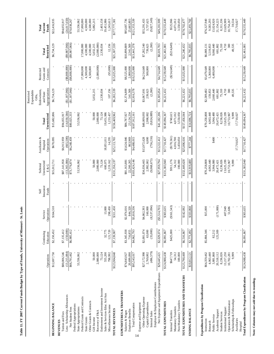| Table 11. FY 2007 Current Funds Budget by Type of Funds, University of Missouri - St. Louis |                         |                         |                          |                            |                                 |                                         |                          |                                                                                  |                                       |                          |                           |
|---------------------------------------------------------------------------------------------|-------------------------|-------------------------|--------------------------|----------------------------|---------------------------------|-----------------------------------------|--------------------------|----------------------------------------------------------------------------------|---------------------------------------|--------------------------|---------------------------|
|                                                                                             | Operations              | Continuing<br>Education | Operations<br>Service    | Insurance<br>Funds<br>Self | Unrestricted<br>Subtotal<br>E&G | Auxiliaries &<br>Operations<br>Hospital | Unrestricted<br>Total    | Appropriations<br>Endowments,<br>Expendable<br>Restricted<br>and State<br>Gifts, | Grants and<br>Restricted<br>Contracts | Restricted<br>Total      | Current<br>Funds<br>Total |
| BEGINNING BALANCE                                                                           | \$12,697,750            | \$2,150,452             | \$164,510                |                            | \$15,012,711                    | \$670,095                               | \$15,682,806             | \$6,734,129                                                                      |                                       | \$6,734,129              | \$22,416,935              |
| Tuition and Fees<br><b>REVENUES</b>                                                         | \$80,006,546            | \$7,135,412             |                          |                            | \$87,141,958                    | \$6,913,959                             | \$94,055,917             |                                                                                  |                                       |                          | \$94,055,917              |
| Less: Scholarship Allowances                                                                | (13,215,084)            | (150,000)               |                          |                            | (13,365,084)                    | (665, 500)                              | (14,030,584)             | $(\$1,187,066)$                                                                  | $(\$8,800,000)$                       | $(\$9,987,066)$          | (24,017,650)              |
| Net Student Fees                                                                            | \$66,791,462            | \$6,985,412             |                          |                            | \$73,776,874                    | \$6,248,459                             | \$80,025,333             | $(\$1,187,066)$                                                                  | (000,00888)                           | (990'286'6\$)            | \$70,038,267              |
| Federal Appropriations<br>State Appropriations                                              | 53,556,062              |                         |                          |                            | 53,556,062                      |                                         | 53,556,062               |                                                                                  |                                       |                          | 53,556,062                |
| Federal Grants and Contracts                                                                |                         |                         |                          |                            |                                 |                                         |                          |                                                                                  | 17,000,000                            | 17,000,000               | 17,000,000                |
| <b>State Grants</b>                                                                         |                         |                         |                          |                            |                                 |                                         |                          |                                                                                  | 4,500,000                             | 4,500,000                | 4,500,000                 |
| Other Grants & Contracts                                                                    |                         |                         |                          |                            |                                 |                                         |                          |                                                                                  | 4,500,000                             | 4,500,000                | 4,500,000                 |
| Recovery of F&A<br>Gift Income                                                              | 50,000<br>2,080,000     |                         |                          |                            | 50,000<br>2,080,000             |                                         | 50,000<br>2,080,000      | 5,032,215                                                                        | (2,080,000)                           | (2,080,000)<br>5,032,215 | 5,082,215                 |
| Endowment and Investment Income                                                             | 73,124                  |                         |                          |                            | 73,124                          |                                         | 73,124                   | 2,330,034                                                                        |                                       | 2,330,034                | 2,403,158                 |
| Sales & Services-Educ Act/Aux                                                               | 555,200                 | 32,775                  | 13,000                   |                            | 600,975                         | 18,851,011                              | 19,451,986               |                                                                                  |                                       |                          | 19,451,986                |
| Miscellaneous Income                                                                        | 798,992                 | 121,720                 | 298,450                  |                            | 1,219,162                       | 14,295                                  | 1,233,457                | 107,156                                                                          | (95,000)                              | 12,156                   | 1,245,613                 |
| TOTAL REVENUES                                                                              | \$123,904,840           | \$7,139,907             | \$311,450                |                            | \$131,356,197                   | \$25,113,765                            | \$156,469,962            | \$6,282,339                                                                      | \$15,025,000                          | \$21,307,339             | \$177,777,301             |
| EXPENDITURES & TRANSFERS<br>Salaries & Wages                                                | \$74,843,927            | \$3,345,938             | \$2,974,016              |                            | \$81,163,881                    | \$3,624,046                             | \$84,787,927             | \$2,374,809                                                                      | \$8,525,000                           | \$10,899,809             | \$95,687,736              |
| Employee Benefits                                                                           | 20,699,090              | 716,855                 | 844,320                  |                            | 22,260,265                      | 863,969                                 | 23,124,234               | 541,569                                                                          | 2,000,000                             | 2,541,569                | 25,665,803                |
| Total Compensation                                                                          | \$95,543,017            | \$4,062,793             | \$3,818,336              |                            | \$103,424,146                   | \$4,488,015                             | \$107,912,161            | \$2,916,378                                                                      | \$10,525,000                          | \$13,441,378             | \$121,353,539             |
| Other Operating Expense<br>Expense and Equipment<br>14                                      | \$27,172,998            | \$2,001,074             | \$4,862,393              |                            | \$34,036,465                    | \$13,972,628                            | \$48,009,093             | \$3,067,691                                                                      | \$4,214,649                           | \$7,282,340              | \$55,291,433              |
| Capital Expenditures<br>Internal Sales                                                      | (496,579)<br>2,769,002  | (35,000)<br>63,000      | (8, 537, 094)<br>160,000 |                            | (9,068,673)<br>2,992,002        | (756, 216)<br>6,000                     | (9,824,889)<br>2,998,002 | (2,260)<br>239,623                                                               | 500,000                               | (2,260)<br>739,623       | (9,827,149)<br>3,737,625  |
| Employer & Employee Contributions                                                           |                         |                         |                          |                            |                                 |                                         |                          |                                                                                  |                                       |                          |                           |
| Net Expense and Equipment Expenditures                                                      | \$29,445,421            | \$2,029,074             | (107, 114, 701)          |                            | 162'656'428                     | \$13,222,412                            | \$41,182,206             | \$3,305,054                                                                      | \$4,714,649                           | 88,019,703               | 849,201,909               |
| TOTAL EXPENDITURES                                                                          | \$124,988,438           | \$6,091,867             | \$303,635                |                            | \$131,383,940                   | \$17,710,427                            | 296'160'6718             | \$6,221,432                                                                      | \$15,239,649                          | \$21,461,081             | \$170,555,449             |
| Internal Transfers                                                                          | \$647,719               | \$425,000               | (\$161,543)              |                            | \$911,176                       | $(\$170,561)$                           | \$740,615                |                                                                                  | (\$214,649)                           | $(\$214,649)$            | \$525,966                 |
| Non-Mandatory Transfers<br>Mandatory Transfers                                              | 54,312<br>100,000       |                         |                          |                            | 54,312<br>100,000               | 4,016,700<br>3,450,050                  | 4,071,012<br>3,550,050   |                                                                                  |                                       |                          | 4,071,012<br>3,550,050    |
| TOTAL EXPENDITURES AND TRANSFERS                                                            | \$125,790,469           | \$6,516,867             | \$142,092                |                            | \$132,449,428                   | \$25,006,616                            | \$157,456,044            | \$6,221,432                                                                      | \$15,025,000                          | \$21,246,432             | \$178,702,477             |
| ENDING BALANCE                                                                              | \$10,812,121            | \$2,773,492             | \$33,868                 |                            | \$13,919,480                    | \$777,244                               | \$14,696,724             | \$6,795,035                                                                      |                                       | \$6,795,035              | \$21,491,760              |
| Expenditures by Program Classification                                                      |                         |                         |                          |                            |                                 |                                         |                          |                                                                                  |                                       |                          |                           |
| Instruction                                                                                 | \$64,359,462            | \$5,884,346             | \$15,000                 |                            | \$70,258,808                    |                                         | \$70,258,808             | \$2,589,482                                                                      | \$3,479,649                           | \$6,069,131              | \$76,327,940              |
| Research                                                                                    | 4,063,440               |                         |                          |                            | 4,063,440                       |                                         | 4,063,440                | 159,853                                                                          | 5,360,000                             | 5,519,853                | 9,583,293                 |
| Academic Support<br>Public Service                                                          | 3,881,868<br>20,518,112 | 82,212<br>125,309       | (171,000)                |                            | 3,964,080<br>20,472,421         | \$400                                   | 3,964,480<br>20,472,421  | 2,660,440<br>681,802                                                             | 6,400,000                             | 9,060,440<br>681,802     | 13,024,920<br>21,154,223  |
| <b>Student Services</b>                                                                     | 8,236,026               |                         |                          |                            | 8,236,026                       |                                         | 8,236,026                | 75,310                                                                           |                                       | 75,310                   | 8,311,336                 |
| Institutional Support                                                                       | 13,217,250              |                         | 407,949                  |                            | 13,625,199                      |                                         | 13,625,199               | 4,710                                                                            |                                       | 4,710                    | 13,629,909                |
| Operation & Maintenance                                                                     | 9,999<br>10,702,281     |                         | 51,686                   |                            | 9,999<br>10,753,967             |                                         | 9.999<br>10,753,967      | 300<br>49,535                                                                    |                                       | 300                      | 10,754,267<br>59,534      |
| Scholarship & Fellowships<br>Auxiliaries                                                    |                         |                         |                          |                            |                                 | 17,710,027                              | 17,710,027               |                                                                                  |                                       | 49,535                   | 17,710,027                |
| Hospital                                                                                    |                         |                         |                          |                            |                                 |                                         |                          |                                                                                  |                                       |                          |                           |
| Total Expenditures by Program Classification                                                | \$124,988,438           | \$6,091,867             | \$303,635                |                            | \$131,383,940                   | \$17,710,427                            | \$149,094,367            | \$6,221,432                                                                      | \$15,239,649                          | \$21,461,081             | \$170,555,449             |

 $\overline{1}$ 

Note: Columns may not add due to rounding. **Note: Columns may not add due to rounding.**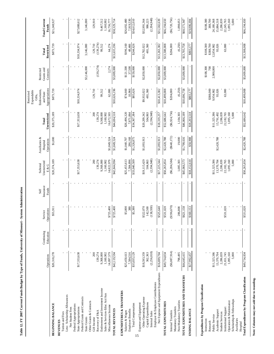|                                                  |                        |                         |                       |                            |                                   |                                         |                        | Expendable<br>Restricted<br>Gifts,         |                                       |                     |                                      |
|--------------------------------------------------|------------------------|-------------------------|-----------------------|----------------------------|-----------------------------------|-----------------------------------------|------------------------|--------------------------------------------|---------------------------------------|---------------------|--------------------------------------|
|                                                  | Operations             | Continuing<br>Education | Operations<br>Service | Insurance<br>Funds<br>Self | Unrestricted<br>Subtotal<br>E & G | Auxiliaries &<br>Operations<br>Hospital | Unrestricted<br>Total  | Appropriations<br>Endowments,<br>and State | Grants and<br>Restricted<br>Contracts | Restricted<br>Total | <b>Total Current</b><br><b>Funds</b> |
| BEGINNING BALANCE                                | \$20,318,278           |                         | \$55,911              |                            | \$20,374,189                      | \$1,000                                 | \$20,375,189           | \$873,739                                  |                                       | \$873,739           | \$21,248,927                         |
| <b>REVENUES</b>                                  |                        |                         |                       |                            |                                   |                                         |                        |                                            |                                       |                     |                                      |
| Less: Scholarship Allowances<br>Tuition and Fees |                        |                         |                       |                            |                                   |                                         |                        |                                            |                                       |                     |                                      |
| Net Student Fees                                 |                        |                         |                       |                            |                                   |                                         |                        |                                            |                                       |                     |                                      |
| Federal Appropriations                           |                        |                         |                       |                            |                                   |                                         |                        |                                            |                                       |                     |                                      |
| State Appropriations                             | \$17,353,638           |                         |                       |                            | \$17,353,638                      |                                         | \$17,353,638           | \$10,334,974                               |                                       | \$10,334,974        | \$27,688,612                         |
| Federal Grants and Contracts                     |                        |                         |                       |                            |                                   |                                         |                        |                                            |                                       |                     |                                      |
| Other Grants & Contracts<br><b>State Grants</b>  |                        |                         |                       |                            |                                   |                                         |                        |                                            | \$3,146,000                           | 3,146,000           | 3,146,000                            |
| Gift Income                                      | 200                    |                         |                       |                            | 200                               |                                         | 200                    | 129,710                                    |                                       | 129.710             | 129,910                              |
| Recovery of F&A                                  | 139,274                |                         |                       |                            | 139,274                           |                                         | 139,274                |                                            | (139,274)                             | (139, 274)          |                                      |
| Endowment and Investment Income                  | 9,368,000              |                         |                       |                            | 9,368,000                         |                                         | 9,368,000              | 99,512                                     |                                       | 99,512              | 9,467,512                            |
| Sales & Services-Educ Act/Aux                    | 1,160,902              |                         |                       |                            | 1,160,902                         |                                         | 1,160,902              |                                            |                                       |                     | 1,160,902                            |
| Miscellaneous Income                             | 14,097,579             |                         | \$725,400             |                            | 14,822,979                        | \$1,849,524                             | 16,672,503             | 62,000                                     | 2,274                                 | 64,274              | 16,736,777                           |
| TOTAL REVENUES                                   | \$42,119,594           |                         | \$725,400             |                            | \$42,844,994                      | \$1,849,524                             | \$44,694,518           | \$10,626,196                               | \$3,000,000                           | \$13,635,196        | \$58,329,714                         |
| EXPENDITURES & TRANSFERS                         |                        |                         |                       |                            |                                   |                                         |                        |                                            |                                       |                     |                                      |
| Salaries & Wages                                 | \$25,450,613           |                         | \$5,000               |                            | \$25,455,613                      | \$1,040,707                             | \$26,496,320           | \$74,660                                   | \$121,500                             | \$196,160           | \$26,692,480                         |
| <b>Employee Benefits</b>                         | 7.584.516              |                         | 380                   |                            | 7,584,896                         | 286,168                                 | 7,871,064              | 10,966                                     | 37,500                                | 48,466              | 7,919,530                            |
| <b>Total Compensation</b><br>15                  | \$33,035,129           |                         | \$5,380               |                            | \$33,040,509                      | \$1,326,875                             | \$34,367,384           | \$85,626                                   | \$159,000                             | \$244,626           | \$34,612,010                         |
| Expense and Equipment                            |                        |                         |                       |                            |                                   |                                         |                        |                                            |                                       |                     |                                      |
| Other Operating Expense                          | \$18,593,359           |                         | \$522,070             |                            | \$19,115,429                      | \$1,093,913                             | \$20,209,342           | \$9,932,022                                | \$2,850,000                           | \$12,782,022        | \$32,991,364                         |
| Capital Expenditures<br>Internal Sales           | (2,256,018)<br>362,363 |                         | (138,930)<br>142,500  |                            | (2,394,948)<br>504,863            |                                         | (2,394,948)<br>504,863 | 481,360                                    |                                       | 481,360             | (2,394,948)<br>986,223               |
| Employer & Employee Contributions                |                        |                         |                       |                            |                                   |                                         |                        |                                            |                                       |                     |                                      |
| Net Expense and Equipment Expenditures           | \$16,699,704           |                         | \$525,640             |                            | \$17,225,344                      | \$1,093,913                             | \$18,319,257           | \$10,413,382                               | \$2,850,000                           | \$13,263,382        | \$31,582,639                         |
| TOTAL EXPENDITURES                               | \$49,734,834           |                         | \$531,020             |                            | \$50,265,854                      | \$2,420,788                             | \$52,686,642           | \$10,499,008                               | \$3,009,000                           | \$13,508,008        | \$66,194,650                         |
| Internal Transfers                               | ( \$6,087,914)         |                         | (96, 670)             |                            | ( \$6, 284, 584)                  | $(\$640,172)$                           | (86, 924, 756)         | \$204,000                                  |                                       | \$204,000           | $(*6,720,756)$                       |
| Mandatory Transfers                              |                        |                         |                       |                            |                                   |                                         |                        |                                            |                                       |                     |                                      |
| Non-Mandatory Transfers                          | 798,495                |                         | 286,808               |                            | 1,085,303                         | 19.000                                  | 1,104,303              | (6,250)                                    |                                       | (6,250)             | 1,098,053                            |
| TOTAL EXPENDITURES AND TRANSFERS                 | \$44,445,415           |                         | \$621,158             |                            | \$45,066,573                      | \$1,799,616                             | \$46,866,189           | \$10,696,758                               | \$3,009,000                           | \$13,705,758        | \$60,571,947                         |
| ENDING BALANCE                                   | \$17,992,457           |                         | \$160,153             |                            | \$18,152,610                      | \$50,908                                | \$18,203,518           | \$803,177                                  |                                       | \$803,177           | \$19,006,694                         |
| Expenditures by Program Classification           |                        |                         |                       |                            |                                   |                                         |                        |                                            |                                       |                     |                                      |
| Instruction                                      |                        |                         |                       |                            |                                   |                                         |                        |                                            | \$108,300                             | \$108,300           | \$108,300                            |
| Research                                         |                        |                         |                       |                            |                                   |                                         |                        | \$388,000                                  |                                       | \$388,700           | 388,700                              |
| Public Service                                   | \$11,325,386           |                         |                       |                            | \$11,325,386                      |                                         | \$11,325,386           | 9,954,982                                  | 2,900,000                             | 12,854,982          | 24,180,368                           |
| Academic Support                                 | 13,370,704             |                         |                       |                            | 13,370,704                        | \$2,420,788                             | 15,791,492             | 93,026                                     |                                       | 93,026              | 15,884,518                           |
| <b>Student Services</b>                          | 2,286,839              |                         |                       |                            | 2,286,839                         |                                         | 2,286,839              |                                            |                                       |                     | 2,286,839                            |
| Institutional Support                            | 21,651,745             |                         | \$531,020             |                            | 22,182,765                        |                                         | 22,182,765             | 63,000                                     |                                       | 63,000              | 22,245,765<br>1,095,160              |
| Operation & Maintenance                          | 5,000<br>1,095,160     |                         |                       |                            | 1,095,160                         |                                         | 1,095,160              |                                            |                                       |                     | 5,000                                |
| Scholarship & Fellowships<br>Auxiliaries         |                        |                         |                       |                            | 5,000                             |                                         | 5,000                  |                                            |                                       |                     |                                      |
| Hospital                                         |                        |                         |                       |                            |                                   |                                         |                        |                                            |                                       |                     |                                      |
| Total Expenditures by Program Classification     | \$49,734,834           |                         | \$531,020             |                            | \$50,265,854                      | \$2,420,788                             | \$52,686,642           | \$10,499,008                               | \$3,009,000                           | \$13,508,008        | \$66,194,650                         |

Note: Columns may not add due to rounding. **Note: Columns may not add due to rounding.** 

Table 12. FY 2007 Current Funds Budget by Type of Funds, University of Missouri - System Administration **Table 12. FY 2007 Current Funds Budget by Type of Funds, University of Missouri - System Administration**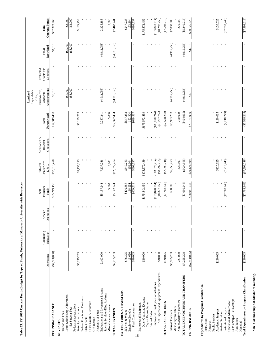|                                                       | Operations      | Continuing<br>Education | Operations<br>Service | Insurance<br>Funds<br>Self | Unrestricted<br>Subtotal<br>E & G | Auxiliaries &<br>Operations<br>Hospital | Unrestricted<br>Total | Appropriations<br>Endowments,<br>Expendable<br>Restricted<br>and State<br>Gifts, | Grants and<br>Restricted<br>Contracts | Restricted<br>Total | <b>Current Funds</b><br>Total |
|-------------------------------------------------------|-----------------|-------------------------|-----------------------|----------------------------|-----------------------------------|-----------------------------------------|-----------------------|----------------------------------------------------------------------------------|---------------------------------------|---------------------|-------------------------------|
| BEGINNING BALANCE                                     | $(*7,900,000)$  |                         |                       | \$65,219,450               | \$57,319,450                      |                                         | \$57,319,450          | \$3,819                                                                          |                                       | \$3,819             | \$57,323,269                  |
| <b>REVENUES</b>                                       |                 |                         |                       |                            |                                   |                                         |                       |                                                                                  |                                       |                     |                               |
| Less: Scholarship Allowances<br>Tuition and Fees      |                 |                         |                       |                            |                                   |                                         |                       | (33,000)                                                                         |                                       | $(*3,000)$          | $(*3,000)$                    |
| Net Student Fees                                      |                 |                         |                       |                            |                                   |                                         |                       | $(*3,000)$                                                                       |                                       | (33,000)            | $(*3,000)$                    |
| Federal Appropriations                                |                 |                         |                       |                            |                                   |                                         |                       |                                                                                  |                                       |                     |                               |
| State Appropriations                                  | \$5,135,253     |                         |                       |                            | \$5,135,253                       |                                         | \$5,135,253           |                                                                                  |                                       |                     | 5,135,253                     |
| Federal Grants and Contracts                          |                 |                         |                       |                            |                                   |                                         |                       |                                                                                  |                                       |                     |                               |
| Other Grants & Contracts<br><b>State Grants</b>       |                 |                         |                       |                            |                                   |                                         |                       |                                                                                  |                                       |                     |                               |
| Gift Income                                           |                 |                         |                       |                            |                                   |                                         |                       |                                                                                  |                                       |                     |                               |
| Recovery of F&A                                       |                 |                         |                       |                            |                                   |                                         |                       |                                                                                  |                                       |                     |                               |
| Endowment and Investment Income                       | 2,100,000       |                         |                       | \$5,137,241                | 7,237,241                         |                                         | 7,237,241             | (4,912,053)                                                                      |                                       | (4,912,053)         | 2,325,188                     |
| Sales & Services-Educ Act/Aux<br>Miscellaneous Income |                 |                         |                       | 5,000                      | 5,000                             |                                         | 5,000                 |                                                                                  |                                       |                     | 5,000                         |
| TOTAL REVENUES                                        | \$7,235,253     |                         |                       | \$5,142,241                | \$12,377,494                      |                                         | \$12,377,494          | ( \$4,915,053)                                                                   |                                       | $(\$4,915,053)$     | \$7,462,441                   |
| EXPENDITURES & TRANSFERS                              |                 |                         |                       |                            |                                   |                                         |                       |                                                                                  |                                       |                     |                               |
| Salaries & Wages                                      | \$76,375        |                         |                       | \$470,858                  | \$547,233                         |                                         | \$547,233             |                                                                                  |                                       |                     | \$547,233                     |
| Employee Benefits                                     | 13,650          |                         |                       | 138,654                    | 152,304                           |                                         | 152,304               |                                                                                  |                                       |                     | 152,304                       |
| <b>Total Compensation</b><br>16                       | \$90,025        |                         |                       | \$609,512                  | \$699,537                         |                                         | \$699,537             |                                                                                  |                                       |                     | \$699,537                     |
| Expense and Equipment                                 |                 |                         |                       |                            |                                   |                                         |                       |                                                                                  |                                       |                     |                               |
| Other Operating Expense<br>Capital Expenditures       | \$30,000        |                         |                       | \$175,542,459              | \$175,572,459                     |                                         | \$175,572,459         |                                                                                  |                                       |                     | \$175,572,459                 |
| Internal Sales                                        |                 |                         |                       |                            |                                   |                                         |                       |                                                                                  |                                       |                     |                               |
| Employer & Employee Contributions                     |                 |                         |                       | (183,870,214)              | (183,870,214)                     |                                         | (183, 870, 214)       |                                                                                  |                                       |                     | (183, 870, 214)               |
| Net Expense and Equipment Expenditures                | \$30,000        |                         |                       | $(\$8,327,755)$            | $($ \$8,297,755)                  |                                         | (88, 297, 755)        |                                                                                  |                                       |                     | $(*8,297,755)$                |
| TOTAL EXPENDITURES                                    | \$120,025       |                         |                       | $(\$7,718,243)$            | $(\$7,598,218)$                   |                                         | $(\$7,598,218)$       |                                                                                  |                                       |                     | (57,598,218)                  |
| Internal Transfers                                    | \$6,915,253     |                         |                       | \$38,000                   | \$6,953,253                       |                                         | \$6,953,253           | (4,915,253)                                                                      |                                       | (4,915,253)         | \$2,038,000                   |
| Non-Mandatory Transfers<br>Mandatory Transfers        | 220,000         |                         |                       |                            | 220,000                           |                                         | 220,000               |                                                                                  |                                       |                     | 220,000                       |
| TOTAL EXPENDITURES AND TRANSFERS                      | \$7,255,278     |                         |                       | $(\$7,680,243)$            | ( \$424, 965)                     |                                         | ( \$424, 965)         | (4,915,253)                                                                      |                                       | (4,915,253)         | (85,340,218)                  |
| <b>ENDING BALANCE</b>                                 | $(\$7,920,025)$ |                         |                       | \$78,041,934               | \$70,121,909                      |                                         | \$70,121,909          | \$4,019                                                                          |                                       | \$4,019             | \$70,125,928                  |
| Expenditures by Program Classification                |                 |                         |                       |                            |                                   |                                         |                       |                                                                                  |                                       |                     |                               |
| Instruction                                           |                 |                         |                       |                            |                                   |                                         |                       |                                                                                  |                                       |                     |                               |
| Research                                              |                 |                         |                       |                            |                                   |                                         |                       |                                                                                  |                                       |                     |                               |
| Academic Support<br>Public Service                    | \$120,025       |                         |                       |                            | \$120,025                         |                                         | \$120,025             |                                                                                  |                                       |                     | \$120,025                     |
| <b>Student Services</b>                               |                 |                         |                       |                            |                                   |                                         |                       |                                                                                  |                                       |                     |                               |
| Institutional Support                                 |                 |                         |                       | $(\$7,718,243)$            | (7,718,243)                       |                                         | (7,718,243)           |                                                                                  |                                       |                     | ( \$7,718,243)                |
| Scholarship & Fellowships<br>Operation & Maintenance  |                 |                         |                       |                            |                                   |                                         |                       |                                                                                  |                                       |                     |                               |
| Auxiliaries                                           |                 |                         |                       |                            |                                   |                                         |                       |                                                                                  |                                       |                     |                               |
| Hospital                                              |                 |                         |                       |                            |                                   |                                         |                       |                                                                                  |                                       |                     |                               |
| Total Expenditures by Program Classification          | \$120,025       |                         |                       | (\$7,718,243)              | (S7, 598, 218)                    |                                         | $(\$7,598,218)$       |                                                                                  |                                       |                     | $(\$7,598,218)$               |

Note: Columns may not add due to rounding. **Note: Columns may not add due to rounding.** 

Table 13. FY 2007 Current Funds Budget by Type of Funds, University of Missouri - University-wide Resources **Table 13. FY 2007 Current Funds Budget by Type of Funds, University of Missouri - University-wide Resources**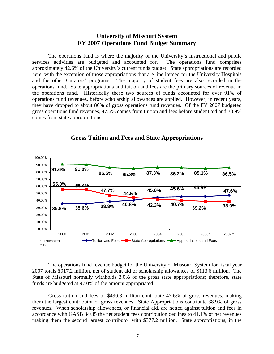# **University of Missouri System FY 2007 Operations Fund Budget Summary**

The operations fund is where the majority of the University's instructional and public services activities are budgeted and accounted for. The operations fund comprises approximately 42.6% of the University's current funds budget. State appropriations are recorded here, with the exception of those appropriations that are line itemed for the University Hospitals and the other Curators' programs. The majority of student fees are also recorded in the operations fund. State appropriations and tuition and fees are the primary sources of revenue in the operations fund. Historically these two sources of funds accounted for over 91% of operations fund revenues, before scholarship allowances are applied. However, in recent years, they have dropped to about 86% of gross operations fund revenues. Of the FY 2007 budgeted gross operations fund revenues, 47.6% comes from tuition and fees before student aid and 38.9% comes from state appropriations.

![](_page_19_Figure_2.jpeg)

# **Gross Tuition and Fees and State Appropriations**

The operations fund revenue budget for the University of Missouri System for fiscal year 2007 totals \$917.2 million, net of student aid or scholarship allowances of \$113.6 million. The State of Missouri normally withholds 3.0% of the gross state appropriations; therefore, state funds are budgeted at 97.0% of the amount appropriated.

Gross tuition and fees of \$490.8 million contribute 47.6% of gross revenues, making them the largest contributor of gross revenues. State Appropriations contribute 38.9% of gross revenues. When scholarship allowances, or financial aid, are netted against tuition and fees in accordance with GASB 34/35 the net student fees contribution declines to 41.1% of net revenues making them the second largest contributor with \$377.2 million. State appropriations, in the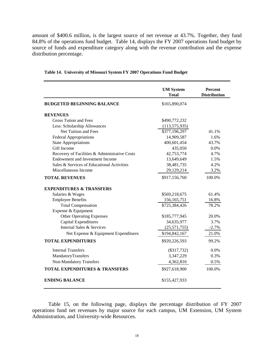amount of \$400.6 million, is the largest source of net revenue at 43.7%. Together, they fund 84.8% of the operations fund budget. Table 14, displays the FY 2007 operations fund budget by source of funds and expenditure category along with the revenue contribution and the expense distribution percentage.

|                                               | <b>UM System</b><br><b>Total</b> | <b>Percent</b><br><b>Distribution</b> |
|-----------------------------------------------|----------------------------------|---------------------------------------|
| <b>BUDGETED BEGINNING BALANCE</b>             | \$165,890,074                    |                                       |
| <b>REVENUES</b>                               |                                  |                                       |
| Gross Tution and Fees                         | \$490,772,232                    |                                       |
| Less: Scholarship Allowances                  | (113, 575, 935)                  |                                       |
| Net Tuition and Fees                          | \$377,196,297                    | 41.1%                                 |
| <b>Federal Appropriations</b>                 | 14,909,587                       | 1.6%                                  |
| <b>State Appropriations</b>                   | 400,601,454                      | 43.7%                                 |
| Gift Income                                   | 435,050                          | 0.0%                                  |
| Recovery of Facilities & Administrative Costs | 42,753,774                       | 4.7%                                  |
| Endowment and Investment Income               | 13,649,649                       | 1.5%                                  |
| Sales & Services of Educational Activities    | 38,481,735                       | 4.2%                                  |
| Miscellaneous Income                          | 29,129,214                       | 3.2%                                  |
| <b>TOTAL REVENUES</b>                         | \$917,156,760                    | 100.0%                                |
| <b>EXPENDITURES &amp; TRANSFERS</b>           |                                  |                                       |
| Salaries & Wages                              | \$569,218,675                    | 61.4%                                 |
| <b>Employee Benefits</b>                      | 156, 165, 751                    | 16.8%                                 |
| <b>Total Compensation</b>                     | \$725,384,426                    | 78.2%                                 |
| Expense & Equipment                           |                                  |                                       |
| <b>Other Operating Expenses</b>               | \$185,777,945                    | 20.0%                                 |
| Capital Expenditures                          | 34,635,977                       | 3.7%                                  |
| Internal Sales & Services                     | (25,571,755)                     | $-2.7%$                               |
| Net Expense & Equipment Expenditures          | \$194,842,167                    | 21.0%                                 |
| <b>TOTAL EXPENDITURES</b>                     | \$920,226,593                    | 99.2%                                 |
| <b>Internal Transfers</b>                     | $(\$317,732)$                    | 0.0%                                  |
| MandatoryTransfers                            | 3,347,229                        | 0.3%                                  |
| <b>Non-Mandatory Transfers</b>                | 4,362,810                        | 0.5%                                  |
| <b>TOTAL EXPENDITURES &amp; TRANSFERS</b>     | \$927,618,900                    | 100.0%                                |
| <b>ENDING BALANCE</b>                         | \$155,427,933                    |                                       |

#### **Table 14. University of Missouri System FY 2007 Operations Fund Budget**

Table 15, on the following page, displays the percentage distribution of FY 2007 operations fund net revenues by major source for each campus, UM Extension, UM System Administration, and University-wide Resources.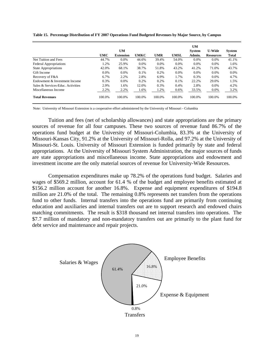|                                   |            |                  |             |        |             | UM      |                  |        |
|-----------------------------------|------------|------------------|-------------|--------|-------------|---------|------------------|--------|
|                                   |            | <b>UM</b>        |             |        |             | System  | <b>U-Wide</b>    | System |
|                                   | <b>UMC</b> | <b>Extension</b> | <b>UMKC</b> | UMR    | <b>UMSL</b> | Admin.  | <b>Resources</b> | Total  |
| Net Tuition and Fees              | 44.7%      | $0.0\%$          | 44.6%       | 39.4%  | 54.0%       | $0.0\%$ | $0.0\%$          | 41.1%  |
| Federal Appropriations            | 1.2%       | 25.9%            | 0.0%        | 0.0%   | 0.0%        | 0.0%    | 0.0%             | 1.6%   |
| <b>State Appropriations</b>       | 42.0%      | 68.1%            | 38.7%       | 51.8%  | 43.2%       | 41.2%   | 71.0%            | 43.7%  |
| Gift Income                       | 0.0%       | 0.0%             | 0.1%        | 0.2%   | 0.0%        | 0.0%    | 0.0%             | 0.0%   |
| Recovery of F&A                   | 6.7%       | 2.2%             | 2.8%        | 6.9%   | 1.7%        | 0.3%    | 0.0%             | 4.7%   |
| Endowment & Investment Income     | 0.3%       | 0.0%             | 0.2%        | 0.2%   | 0.1%        | 22.2%   | 29.0%            | 1.5%   |
| Sales & Services-Educ. Activities | 2.9%       | 1.6%             | 12.0%       | 0.3%   | 0.4%        | 2.8%    | 0.0%             | 4.2%   |
| Miscellaneous Income              | 2.2%       | 2.2%             | 1.6%        | 1.2%   | 0.6%        | 33.5%   | 0.0%             | 3.2%   |
| <b>Total Revenues</b>             | 100.0%     | 100.0%           | 100.0%      | 100.0% | 100.0%      | 100.0%  | 100.0%           | 100.0% |

**Table 15. Percentage Distribution of FY 2007 Operations Fund Budgeted Revenues by Major Source, by Campus**

Note: University of Missouri Extension is a cooperative effort administered by the University of Missouri - Columbia

Tuition and fees (net of scholarship allowances) and state appropriations are the primary sources of revenue for all four campuses. These two sources of revenue fund 86.7% of the operations fund budget at the University of Missouri-Columbia, 83.3% at the University of Missouri-Kansas City, 91.2% at the University of Missouri-Rolla, and 97.2% at the University of Missouri-St. Louis. University of Missouri Extension is funded primarily by state and federal appropriations. At the University of Missouri System Administration, the major sources of funds are state appropriations and miscellaneous income. State appropriations and endowment and investment income are the only material sources of revenue for University-Wide Resources.

Compensation expenditures make up 78.2% of the operations fund budget. Salaries and wages of \$569.2 million, account for 61.4 % of the budget and employee benefits estimated at \$156.2 million account for another 16.8%. Expense and equipment expenditures of \$194.8 million are 21.0% of the total. The remaining 0.8% represents net transfers from the operations fund to other funds. Internal transfers into the operations fund are primarily from continuing education and auxiliaries and internal transfers out are to support research and endowed chairs matching commitments. The result is \$318 thousand net internal transfers into operations. The \$7.7 million of mandatory and non-mandatory transfers out are primarily to the plant fund for debt service and maintenance and repair projects.

![](_page_21_Figure_5.jpeg)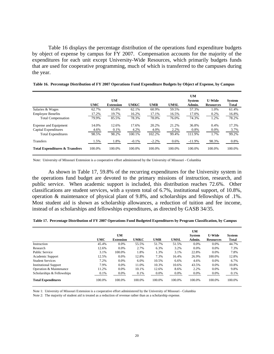Table 16 displays the percentage distribution of the operations fund expenditure budgets by object of expense by campus for FY 2007. Compensation accounts for the majority of the expenditures for each unit except University-Wide Resources, which primarily budgets funds that are used for cooperative programming, much of which is transferred to the campuses during the year.

|                                           |            |                  |             |            |             | <b>UM</b>     |                  |               |
|-------------------------------------------|------------|------------------|-------------|------------|-------------|---------------|------------------|---------------|
|                                           |            | <b>UM</b>        |             |            |             | <b>System</b> | <b>U-Wide</b>    | <b>System</b> |
|                                           | <b>UMC</b> | <b>Extension</b> | <b>UMKC</b> | <b>UMR</b> | <b>UMSL</b> | Admin.        | <b>Resources</b> | <b>Total</b>  |
| Salaries & Wages                          | 62.7%      | 65.8%            | 62.1%       | 60.9%      | 59.5%       | 57.3%         | 1.0%             | 61.4%         |
| <b>Employee Benefits</b>                  | 17.2%      | 19.7%            | 16.2%       | 17.1%      | 16.5%       | 17.0%         | 0.2%             | 16.8%         |
| <b>Total Compensation</b>                 | 79.9%      | 85.5%            | 78.3%       | 78.0%      | 76.0%       | 74.3%         | 1.2%             | 78.2%         |
| Expense and Equipment                     | 14.0%      | 12.6%            | 17.6%       | 20.2%      | 21.2%       | 36.8%         | 0.4%             | 17.3%         |
| Capital Expenditures                      | 4.6%       | 0.1%             | 4.2%        | 4.0%       | 2.2%        | 0.8%          | 0.0%             | 3.7%          |
| <b>Total Expenditures</b>                 | 98.5%      | 98.2%            | 100.1%      | 102.2%     | 99.4%       | 111.9%        | 1.7%             | 99.2%         |
| Transfers                                 | 1.5%       | 1.8%             | $-0.1%$     | $-2.2%$    | 0.6%        | $-11.9%$      | 98.3%            | 0.8%          |
| <b>Total Expenditures &amp; Transfers</b> | 100.0%     | 100.0%           | 100.0%      | 100.0%     | 100.0%      | 100.0%        | 100.0%           | 100.0%        |

**Table 16. Percentage Distribution of FY 2007 Operations Fund Expenditure Budgets by Object of Expense, by Campus**

Note: University of Missouri Extension is a cooperative effort administered by the University of Missouri - Columbia

As shown in Table 17, 59.8% of the recurring expenditures for the University system in the operations fund budget are devoted to the primary missions of instruction, research, and public service. When academic support is included, this distribution reaches 72.6%. Other classifications are student services, with a system total of 6.7%, institutional support, of 10.8%, operation & maintenance of physical plant of 9.8%, and scholarships and fellowships of .1%. Most student aid is shown as scholarship allowances, a reduction of tuition and fee income, instead of as scholarships and fellowships expenditures, as directed by GASB 34/35.

| Table 17. Percentage Distribution of FY 2007 Operations Fund Budgeted Expenditures by Program Classification, by Campus |  |  |  |
|-------------------------------------------------------------------------------------------------------------------------|--|--|--|
|                                                                                                                         |  |  |  |

|                              |            | <b>UM</b>        |             |            |             | <b>UM</b><br><b>System</b> | <b>U-Wide</b>    | <b>System</b> |
|------------------------------|------------|------------------|-------------|------------|-------------|----------------------------|------------------|---------------|
|                              | <b>UMC</b> | <b>Extension</b> | <b>UMKC</b> | <b>UMR</b> | <b>UMSL</b> | Admin.                     | <b>Resources</b> | Total         |
| Instruction                  | 45.4%      | $0.0\%$          | 55.5%       | 51.7%      | 51.5%       | $0.0\%$                    | $0.0\%$          | 44.7%         |
| Research                     | 12.6%      | $0.0\%$          | 2.7%        | 6.3%       | 3.2%        | $0.0\%$                    | $0.0\%$          | 7.3%          |
| <b>Public Service</b>        | 3.1%       | 100.0%           | 1.8%        | 1.3%       | 3.1%        | 22.8%                      | 0.0%             | 7.8%          |
| Academic Support             | 12.5%      | 0.0%             | 12.8%       | 7.3%       | 16.4%       | 26.9%                      | 100.0%           | 12.8%         |
| <b>Student Services</b>      | 7.2%       | 0.0%             | 6.0%        | 10.5%      | 6.6%        | 4.6%                       | 0.0%             | 6.7%          |
| <b>Institutional Support</b> | 7.9%       | 0.0%             | 11.0%       | 10.3%      | 10.6%       | 43.5%                      | 0.0%             | 10.8%         |
| Operation & Maintenance      | 11.2%      | 0.0%             | 10.1%       | 12.6%      | 8.6%        | 2.2%                       | 0.0%             | 9.8%          |
| Scholarships & Fellowships   | 0.1%       | $0.0\%$          | 0.1%        | 0.0%       | $0.0\%$     | $0.0\%$                    | 0.0%             | 0.1%          |
| <b>Total Expenditures</b>    | 100.0%     | 100.0%           | 100.0%      | 100.0%     | 100.0%      | 100.0%                     | 100.0%           | 100.0%        |

Note 1: University of Missouri Extension is a cooperative effort administered by the University of Missouri - Columbia

Note 2: The majority of student aid is treated as a reduction of revenue rather than as a scholarship expense.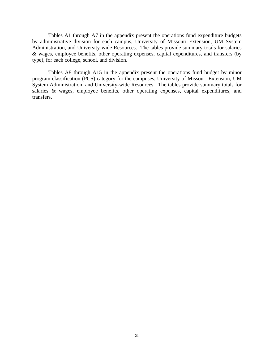Tables A1 through A7 in the appendix present the operations fund expenditure budgets by administrative division for each campus, University of Missouri Extension, UM System Administration, and University-wide Resources. The tables provide summary totals for salaries & wages, employee benefits, other operating expenses, capital expenditures, and transfers (by type), for each college, school, and division.

Tables A8 through A15 in the appendix present the operations fund budget by minor program classification (PCS) category for the campuses, University of Missouri Extension, UM System Administration, and University-wide Resources. The tables provide summary totals for salaries & wages, employee benefits, other operating expenses, capital expenditures, and transfers.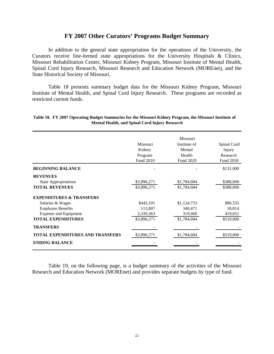# **FY 2007 Other Curators' Programs Budget Summary**

 In addition to the general state appropriation for the operations of the University, the Curators receive line-itemed state appropriations for the University Hospitals & Clinics, Missouri Rehabilitation Center, Missouri Kidney Program, Missouri Institute of Mental Health, Spinal Cord Injury Research, Missouri Research and Education Network (MOREnet), and the State Historical Society of Missouri.

 Table 18 presents summary budget data for the Missouri Kidney Program, Missouri Institute of Mental Health, and Spinal Cord Injury Research. These programs are recorded as restricted current funds.

|                                         |                 | Missouri     |                  |
|-----------------------------------------|-----------------|--------------|------------------|
|                                         | <b>Missouri</b> | Institute of | Spinal Cord      |
|                                         | Kidney          | Mental       | Injury           |
|                                         | Program         | Health       | Research         |
|                                         | Fund 2010       | Fund 2020    | <b>Fund 2050</b> |
| <b>BEGINNING BALANCE</b>                |                 |              | \$131,000        |
| <b>REVENUES</b>                         |                 |              |                  |
| <b>State Appropriations</b>             | \$3,896,271     | \$1,784,684  | \$388,000        |
| <b>TOTAL REVENUES</b>                   | \$3,896,271     | \$1,784,684  | \$388,000        |
| <b>EXPENDITURES &amp; TRANSFERS</b>     |                 |              |                  |
| Salaries & Wages                        | \$443,101       | \$1,124,753  | \$80,535         |
| <b>Employee Benefits</b>                | 113,807         | 340,471      | 18,814           |
| <b>Expense and Equipment</b>            | 3,339,363       | 319,460      | 419,651          |
| <b>TOTAL EXPENDITURES</b>               | \$3,896,271     | \$1,784,684  | \$519,000        |
| <b>TRANSFERS</b>                        |                 |              |                  |
| <b>TOTAL EXPENDITURES AND TRANSFERS</b> | \$3,896,271     | \$1,784,684  | \$519,000        |
| <b>ENDING BALANCE</b>                   |                 |              |                  |
|                                         |                 |              |                  |

# **Table 18. FY 2007 Operating Budget Summaries for the Missouri Kidney Program, the Missouri Institute of Mental Health, and Spinal Cord Injury Research**

Table 19, on the following page, is a budget summary of the activities of the Missouri Research and Education Network (MOREnet) and provides separate budgets by type of fund.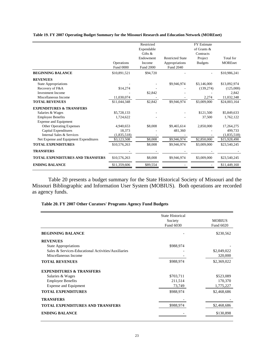|                                         |                  | Restricted |                         | <b>FY Estimate</b> |                |
|-----------------------------------------|------------------|------------|-------------------------|--------------------|----------------|
|                                         |                  | Expendable |                         | of Grants &        |                |
|                                         |                  | Gifts $\&$ |                         | Contracts          |                |
|                                         |                  | Endowment  | <b>Restricted State</b> | Project            | Total for      |
|                                         | Operations       | Income     | Appropriations          | <b>Budgets</b>     | <b>MOREnet</b> |
|                                         | <b>Fund 0000</b> | Fund 2000  | Fund 2040               |                    |                |
| <b>BEGINNING BALANCE</b>                | \$10,891,521     | \$94,720   |                         |                    | \$10,986,241   |
| <b>REVENUES</b>                         |                  |            |                         |                    |                |
| <b>State Appropriations</b>             |                  |            | \$9,946,974             | \$3,146,000        | \$13,092,974   |
| Recovery of F&A                         | \$14,274         |            |                         | (139, 274)         | (125,000)      |
| <b>Investment Income</b>                |                  | \$2,842    |                         |                    | 2.842          |
| Miscellaneous Income                    | 11,030,074       |            |                         | 2,274              | 11,032,348     |
| <b>TOTAL REVENUES</b>                   | \$11,044,348     | \$2,842    | \$9,946,974             | \$3,009,000        | \$24,003,164   |
| <b>EXPENDITURES &amp; TRANSFERS</b>     |                  |            |                         |                    |                |
| Salaries & Wages                        | \$5,728,133      |            |                         | \$121,500          | \$5,849,633    |
| <b>Employee Benefits</b>                | 1,724,622        |            |                         | 37,500             | 1,762,122      |
| <b>Expense and Equipment</b>            |                  |            |                         |                    |                |
| Other Operating Expenses                | 4,940,653        | \$8,008    | \$9,465,614             | 2,850,000          | 17,264,275     |
| Capital Expenditures                    | 18,373           |            | 481,360                 |                    | 499,733        |
| Internal Sales & Services               | (1,835,518)      |            |                         |                    | (1,835,518)    |
| Net Expense and Equipment Expenditures  | \$3,123,508      | \$8,008    | \$9,946,974             | \$2,850,000        | \$15,928,490   |
| <b>TOTAL EXPENDITURES</b>               | \$10,576,263     | \$8,008    | \$9,946,974             | \$3,009,000        | \$23,540,245   |
| <b>TRANSFERS</b>                        |                  |            |                         |                    |                |
| <b>TOTAL EXPENDITURES AND TRANSFERS</b> | \$10,576,263     | \$8,008    | \$9,946,974             | \$3,009,000        | \$23,540,245   |
| <b>ENDING BALANCE</b>                   | \$11,359,606     | \$89,554   |                         |                    | \$11,449,160   |

**Table 19. FY 2007 Operating Budget Summary for the Missouri Research and Education Network (MOREnet)**

 Table 20 presents a budget summary for the State Historical Society of Missouri and the Missouri Bibliographic and Information User System (MOBIUS). Both operations are recorded as agency funds.

|                                                                                                                                                  | <b>State Historical</b><br>Society<br>Fund 6030 | <b>MOBIUS</b><br>Fund 6020                       |
|--------------------------------------------------------------------------------------------------------------------------------------------------|-------------------------------------------------|--------------------------------------------------|
| <b>BEGINNING BALANCE</b>                                                                                                                         |                                                 | \$230,562                                        |
| <b>REVENUES</b><br><b>State Appropriations</b><br>Sales & Services-Educational Activities/Auxiliaries<br>Miscellaneous Income                    | \$988,974                                       | \$2,049,022<br>320,000                           |
| <b>TOTAL REVENUES</b>                                                                                                                            | \$988,974                                       | \$2,369,022                                      |
| <b>EXPENDITURES &amp; TRANSFERS</b><br>Salaries & Wages<br><b>Employee Benefits</b><br><b>Expense and Equipment</b><br><b>TOTAL EXPENDITURES</b> | \$703,711<br>211,514<br>73,749<br>\$988,974     | \$523,089<br>170,370<br>1,775,227<br>\$2,468,686 |
| <b>TRANSFERS</b><br><b>TOTAL EXPENDITURES AND TRANSFERS</b>                                                                                      | \$988,974                                       | \$2,468,686                                      |
| <b>ENDING BALANCE</b>                                                                                                                            |                                                 | \$130,898                                        |

# **Table 20. FY 2007 Other Curators' Programs Agency Fund Budgets**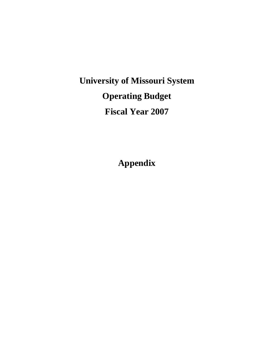**University of Missouri System Operating Budget Fiscal Year 2007** 

**Appendix**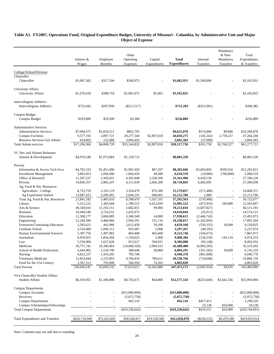|                                            | Salaries &              | Employee<br><b>Benefits</b> | Other<br>Operating<br>Expenses | Capital<br>Expenditures | <b>Total</b><br><b>Expenditures</b> | Internal<br>Transfers    | Mandatory<br>& Non-<br>Mandatory<br>Transfers | Total<br>Expenditures<br>& Transfers |
|--------------------------------------------|-------------------------|-----------------------------|--------------------------------|-------------------------|-------------------------------------|--------------------------|-----------------------------------------------|--------------------------------------|
|                                            | Wages                   |                             |                                |                         |                                     |                          |                                               |                                      |
| College/School/Division                    |                         |                             |                                |                         |                                     |                          |                                               |                                      |
| Chancellor                                 |                         |                             |                                |                         |                                     |                          |                                               |                                      |
| Chancellor                                 | \$1,087,382             | \$317,594                   | \$260,975                      |                         | \$1,665,951                         | \$1,500,000              |                                               | \$3,165,951                          |
| <b>University Affairs</b>                  |                         |                             |                                |                         |                                     |                          |                                               |                                      |
| University Affairs                         | \$1,670,434             | \$398,718                   | \$1,091,672                    | \$5,001                 | \$3,165,825                         |                          |                                               | \$3,165,825                          |
|                                            |                         |                             |                                |                         |                                     |                          |                                               |                                      |
| <b>Intercollegiate Athletics</b>           |                         |                             |                                |                         |                                     |                          |                                               |                                      |
| Intercollegiate Athletics                  | \$725,842               | \$207,958                   | $(\$212,517)$                  |                         | \$721,283                           | $(\$352,901)$            |                                               | \$368,382                            |
| Campus Budget                              |                         |                             |                                |                         |                                     |                          |                                               |                                      |
| Campus Budget                              | \$193,889               | \$59,500                    | \$3,500                        |                         | \$256,889                           |                          |                                               | \$256,889                            |
|                                            |                         |                             |                                |                         |                                     |                          |                                               |                                      |
| <b>Administrative Services</b>             |                         |                             |                                |                         |                                     |                          |                                               |                                      |
| <b>Administrative Services</b>             | \$7,004,571             | \$1,818,512                 | \$802,795                      |                         | \$9,625,878                         | \$574,000                | \$9,000                                       | \$10,208,878                         |
| <b>Campus Facilities</b>                   | 9,577,192               | 2,897,721                   | 29,277,544                     | \$2,897,818             | 44,650,275                          | (145, 242)               | 2,759,227                                     | 47,264,260                           |
| Business Services-Gen Admin                | 624,602                 | 152,488                     | 3,064,493                      |                         | 3,841,583                           | (37,000)                 |                                               | 3,804,583                            |
| <b>Total Admin services</b>                | \$17,206,366            | \$4,868,720                 | \$33,144,832                   | \$2,897,818             | \$58,117,736                        | \$391,758                | \$2,768,227                                   | \$61,277,721                         |
| VC Dev and Alumni Relations                |                         |                             |                                |                         |                                     |                          |                                               |                                      |
| Alumni & Development                       | \$4,970,540             | \$1,973,084                 | \$1,139,715                    |                         | \$8,083,339                         |                          |                                               | \$8,083,339                          |
|                                            |                         |                             |                                |                         |                                     |                          |                                               |                                      |
| Provost                                    |                         |                             |                                |                         |                                     |                          |                                               |                                      |
| Information & Access Tech Svcs             | \$4,782,333             | \$1,451,496                 | \$1,901,920                    | \$67,297                | \$8,203,046                         | \$3,603,850              | \$395,916                                     | \$12,202,812                         |
| <b>Enrollment Management</b>               | 3,802,053               | 1,094,580                   | 1,664,420                      | 49,506                  | 6,610,559                           | (10,000)                 | (700,000)                                     | 5,900,559                            |
| Office of Research                         | 11,507,527              | 3,303,021                   | 4,302,949                      | 2,228,500               | 21,341,996                          | 6,418,130                | $\overline{a}$                                | 27,760,126                           |
| Provost                                    | 10,836,357              | 2,905,247                   | 4,311,039                      | 2,666,200               | 20,718,843                          | 6,482,095                |                                               | 27,200,938                           |
| Ag, Food & Nat. Resources                  |                         |                             |                                |                         |                                     |                          |                                               |                                      |
| Agriculture - College                      | 8,753,759               | 2,195,119                   | 3,354,479                      | 876,500                 | 15,179,857                          | (571, 486)               | $\overline{a}$                                | 14,608,371                           |
| Ag Experiment Station                      | 13,087,423              | 3,290,491                   | 5,044,191                      | 690,601                 | 22,112,706                          | 1,000                    |                                               | 22,113,706                           |
| Total Ag, Food & Nat. Resources<br>Library | 21,841,182              | 5,485,610<br>1,383,944      | 8,398,670<br>1,786,515         | 1,567,101<br>4,422,839  | 37,292,563<br>12,905,523            | (570, 486)               | 160,000                                       | 36,722,077<br>12,591,607             |
| Arts & Science                             | 5,312,225<br>49,328,016 | 15, 103, 151                | 5,682,851                      | 99,000                  | 70,213,018                          | (473,916)<br>(3,697,827) | $\overline{\phantom{a}}$                      | 66,515,191                           |
| <b>Business</b>                            | 10,449,540              | 2,724,532                   | 1,435,972                      |                         | 14,610,044                          | (35,913)                 |                                               | 14,574,131                           |
| Education                                  | 11,508,177              | 3,066,089                   | 3,340,349                      | 24,000                  | 17,938,615                          | (2,446,742)              | $\overline{a}$                                | 15,491,873                           |
| Engineering                                | 12,244,284              | 3,468,966                   | 2,994,291                      | 531,116                 | 19,238,657                          | (1,343,093)              | $\overline{a}$                                | 17,895,564                           |
| Extension/Continuing Education             | 1,565,622               | 441,980                     | 2,612,458                      | 39,100                  | 4,659,160                           | (556, 335)               | 18,000                                        | 4,120,825                            |
| Graduate School                            | 3,510,468               | 1,090,112                   | 691,687                        | 5,000                   | 5,297,267                           | (40, 193)                | $\overline{a}$                                | 5,257,074                            |
| Human Environmental Sciences               | 5,397,756               | 1,497,982                   | 864,408                        | 463,600                 | 8,223,746                           | (356, 673)               |                                               | 7,867,073                            |
| Journalism                                 | 6,959,055               | 1,854,304                   | 1,150,025                      | 5,000                   | 9,968,384                           | (139, 239)               | 145,110                                       | 9,974,255                            |
| Law                                        | 5,550,906               | 1,627,626                   | 812,617                        | 594,931                 | 8,586,080                           | (93, 148)                |                                               | 8,492,932                            |
| Medicine                                   | 39,771,741              | 10,390,464                  | (10,668,320)                   | 2,994,523               | 42,488,408                          | (6,969,205)              |                                               | 35,519,203                           |
| School of Health Professions               | 5,044,905               | 1,510,740                   | 308,646                        | 30,000                  | 6,894,291                           | (191, 565)               | 39,609                                        | 6,742,335                            |
| Nursing                                    | 4,823,237               | 1,419,395                   | 705,746                        |                         | 6,948,378                           | (901, 608)               |                                               | 6,046,770                            |
| Veterinary Medicine                        | 12,833,844              | 2,235,893                   | 4,760,418                      | 700,611                 | 20,530,766                          | (724, 046)               |                                               | 19,806,720                           |
| Food for the 21st Century                  | 3,367,313               | 795,000                     | 566,950                        | 74,565                  | 4,803,828                           |                          |                                               | 4,803,828                            |
| <b>Total Provost</b>                       | 230,436,541             | 62,850,132                  | 37,623,611                     | 16,562,889              | 347, 473, 173                       | (2,045,914)              | 58,635                                        | 345,485,894                          |
| Vice Chancellor Student Affairs            |                         |                             |                                |                         |                                     |                          |                                               |                                      |
| <b>Student Affairs</b>                     | \$6,419,955             | \$1,346,898                 | \$4,745,671                    | \$64,800                | \$12,577,324                        | $(\$225,646)$            | \$3,642,326                                   | \$15,994,004                         |
|                                            |                         |                             |                                |                         |                                     |                          |                                               |                                      |
| <b>Campus Departments</b>                  |                         |                             |                                |                         |                                     |                          |                                               |                                      |
| <b>Campus Accounts</b>                     |                         |                             | (\$15,000,000)                 |                         | $(\$15,000,000)$                    |                          |                                               | (\$15,000,000)                       |
| Recovery                                   |                         |                             | (5,072,758)                    |                         | (5,072,758)                         |                          |                                               | (5,072,758)                          |
| <b>Campus Departments</b>                  |                         | $\overline{a}$              | 842,116                        |                         | 842,116                             | \$457,413                |                                               | 1,299,529                            |
| Campus Scholarships/Fellowships            |                         |                             |                                |                         |                                     | 19,138                   | \$10,000                                      | 29,138                               |
| <b>Total Campus Departments</b>            |                         |                             | (\$19,230,642)                 |                         | $(\$19,230,642)$                    | \$476,551                | \$10,000                                      | (\$18,744,091)                       |
| <b>Total Expenditures and Transfers</b>    | \$262,710,949           | \$72,022,605                | \$58,566,817                   | \$19,530,508            | \$412,830,878                       | $(\$256,152)$            | \$6,479,188                                   | \$419,053,914                        |
|                                            |                         |                             |                                |                         |                                     |                          |                                               |                                      |

# **Table A1. FY2007, Operations Fund, Original Expenditure Budget, University of Missouri - Columbia, by Administrative Unit and Major Object of Expense**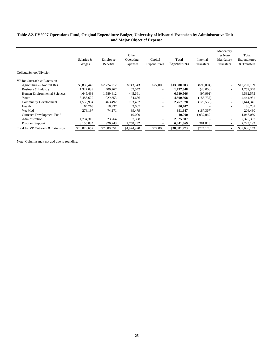# **Table A2. FY2007 Operations Fund, Original Expenditure Budget, University of Missouri Extension by Administrative Unit and Major Object of Expense**

|                                   | Salaries &<br>Wages | Employee<br><b>Benefits</b> | Other<br>Operating<br>Expenses | Capital<br>Expenditures  | Total<br><b>Expenditures</b> | Internal<br>Transfers | Mandatory<br>$&$ Non-<br>Mandatory<br><b>Transfers</b> | Total<br>Expenditures<br>& Transfers |
|-----------------------------------|---------------------|-----------------------------|--------------------------------|--------------------------|------------------------------|-----------------------|--------------------------------------------------------|--------------------------------------|
| College/School/Division           |                     |                             |                                |                          |                              |                       |                                                        |                                      |
| VP for Outreach & Extension       |                     |                             |                                |                          |                              |                       |                                                        |                                      |
| Agriculture & Natural Res         | \$9,835,448         | \$2,774,212                 | \$743,543                      | \$27,000                 | \$13,380,203                 | $(\$90,094)$          |                                                        | \$13,290,109                         |
| Business & Industry               | 1,327,039           | 400,767                     | 69,542                         | $\overline{\phantom{a}}$ | 1,797,348                    | (40,000)              |                                                        | 1,757,348                            |
| Human Environmental Sciences      | 4,645,493           | 1,589,412                   | 445,661                        | $\overline{\phantom{a}}$ | 6,680,566                    | (97,991)              | $\blacksquare$                                         | 6,582,575                            |
| Youth                             | 3,486,629           | 1,029,353                   | 84,686                         | $\blacksquare$           | 4,600,668                    | (155, 737)            | $\overline{\phantom{a}}$                               | 4,444,931                            |
| <b>Community Development</b>      | 1,550,934           | 463,492                     | 753,452                        | $\blacksquare$           | 2,767,878                    | (123, 533)            | $\overline{\phantom{a}}$                               | 2,644,345                            |
| Health                            | 64,763              | 18,937                      | 3,007                          | $\blacksquare$           | 86,707                       |                       | $\overline{\phantom{0}}$                               | 86,707                               |
| Vet Med                           | 278,197             | 74,171                      | 39,479                         | ۰                        | 391.847                      | (187, 367)            |                                                        | 204,480                              |
| Outreach Development Fund         |                     |                             | 10,000                         | $\overline{\phantom{a}}$ | 10.000                       | 1,037,069             | ٠                                                      | 1,047,069                            |
| Administration                    | 1,734,315           | 523,764                     | 67,308                         | $\overline{\phantom{a}}$ | 2,325,387                    |                       | $\overline{\phantom{a}}$                               | 2,325,387                            |
| Program Support                   | 3,156,834           | 926,243                     | 2,758,292                      |                          | 6,841,369                    | 381,823               |                                                        | 7,223,192                            |
| Total for VP Outreach & Extension | \$26,079,652        | \$7,800,351                 | \$4,974,970                    | \$27,000                 | \$38,881,973                 | \$724,170             |                                                        | \$39,606,143                         |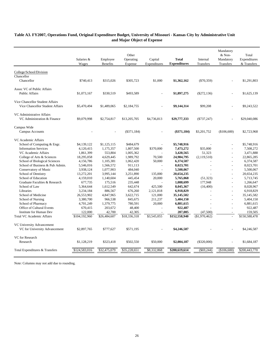|                                       | Salaries &<br>Wages | Employee<br><b>Benefits</b> | Other<br>Operating<br>Expense | Capital<br>Expenditures | <b>Total</b><br><b>Expenditures</b> | Internal<br>Transfers | Mandatory<br>& Non-<br>Mandatory<br>Transfers | Total<br>Expenditures<br>& Transfers |
|---------------------------------------|---------------------|-----------------------------|-------------------------------|-------------------------|-------------------------------------|-----------------------|-----------------------------------------------|--------------------------------------|
|                                       |                     |                             |                               |                         |                                     |                       |                                               |                                      |
| College/School/Division<br>Chancellor |                     |                             |                               |                         |                                     |                       |                                               |                                      |
| Chancellor                            | \$740,413           | \$315,026                   | \$305,723                     | \$1,000                 | \$1,362,162                         | $(\$70,359)$          |                                               | \$1,291,803                          |
|                                       |                     |                             |                               |                         |                                     |                       |                                               |                                      |
| Assoc VC of Public Affairs            |                     |                             |                               |                         |                                     |                       |                                               |                                      |
| Public Affairs                        | \$1,073,167         | \$330,519                   | \$493,589                     |                         | \$1,897,275                         | $(\$272,136)$         |                                               | \$1,625,139                          |
|                                       |                     |                             |                               |                         |                                     |                       |                                               |                                      |
| Vice Chancellor Student Affairs       |                     |                             |                               |                         |                                     |                       |                                               |                                      |
| Vice Chancellor Student Affairs       | \$5,470,494         | \$1,489,065                 | \$2,184,755                   |                         | \$9,144,314                         | \$99,208              |                                               | \$9,243,522                          |
| VC Administrative Affairs             |                     |                             |                               |                         |                                     |                       |                                               |                                      |
| VC Administration & Finance           | \$9,079,998         | \$2,754,817                 | \$13,205,705                  | \$4,736,813             | \$29,777,333                        | $(\$737,247)$         |                                               | \$29,040,086                         |
|                                       |                     |                             |                               |                         |                                     |                       |                                               |                                      |
| Campus Wide                           |                     |                             |                               |                         |                                     |                       |                                               |                                      |
| <b>Campus Accounts</b>                |                     |                             | $(\$371,184)$                 |                         | $(\$371,184)$                       | \$3,201,752           | (\$106,600)                                   | \$2,723,968                          |
| VC Academic Affairs                   |                     |                             |                               |                         |                                     |                       |                                               |                                      |
| School of Computing & Engr.           | \$4,139,122         | \$1,125,115                 | \$484,679                     |                         | \$5,748,916                         |                       |                                               | \$5,748,916                          |
| <b>Information Services</b>           | 4,120,415           | 1,175,357                   | 1,807,500                     | \$370,000               | 7,473,272                           | \$35,000              |                                               | 7,508,272                            |
| VC Academic Affairs                   | 1,861,399           | 553,804                     | 1,005,362                     |                         | 3,420,565                           | 51,323                |                                               | 3,471,888                            |
| College of Arts & Sciences            | 18,295,058          | 4,629,445                   | 1,989,792                     | 70,500                  | 24,984,795                          | (2,119,510)           |                                               | 22,865,285                           |
| School of Biological Sciences         | 4,156,786           | 1,105,381                   | 1,062,420                     | 50,000                  | 6,374,587                           |                       |                                               | 6,374,587                            |
| School of Business & Pub Admin.       | 5,546,016           | 1,566,572                   | 911,113                       |                         | 8,023,701                           |                       |                                               | 8,023,701                            |
| Conservatory of Music                 | 3,938,124           | 1,077,903                   | 484,040                       |                         | 5,500,067                           |                       |                                               | 5,500,067                            |
| School of Dentistry                   | 13,272,201          | 3,995,144                   | 3,251,890                     | 135,000                 | 20,654,235                          |                       |                                               | 20,654,235                           |
| School of Education                   | 4,159,010           | 1,140,604                   | 445,454                       | 20,000                  | 5,765,068                           | (51, 323)             |                                               | 5,713,745                            |
| Graduate Faculties & Research         | 677,735             | 175,516                     | 235,448                       |                         | 1,088,699                           | 177,948               |                                               | 1,266,647                            |
| School of Law                         | 5,364,644           | 1,612,549                   | 642,674                       | 425,500                 | 8,045,367                           | (16,400)              |                                               | 8,028,967                            |
| Libraries                             | 3,234,184           | 886,567                     | 676,260                       | 2,121,818               | 6,918,829                           |                       |                                               | 6,918,829                            |
| School of Medicine                    | 26,553,902          | 4,847,965                   | 3,622,715                     | 121,000                 | 35,145,582                          |                       |                                               | 35,145,582                           |
| School of Nursing                     | 3,380,700           | 966,538                     | 845,675                       | 211,237                 | 5,404,150                           |                       |                                               | 5,404,150                            |
| School of Pharmacy                    | 4,701,249           | 1,379,775                   | 780,591                       | 20,000                  | 6,881,615                           |                       | $\overline{\phantom{a}}$                      | 6,881,615                            |
| Office of Cultural Events             | 670,415             | 203,672                     | 48,400                        |                         | 922,487                             |                       |                                               | 922,487                              |
| <b>Institute for Human Dev</b>        | 122,000             | 42,700                      | 42,305                        |                         | 207,005                             | (47,500)              |                                               | 159,505                              |
| <b>Total VC Academic Affairs</b>      | \$104,192,960       | \$26,484,607                | \$18,336,318                  | \$3,545,055             | \$152,558,940                       | (\$1.970.462)         |                                               | \$150,588,478                        |
|                                       |                     |                             |                               |                         |                                     |                       |                                               |                                      |
| VC University Advancement             |                     |                             |                               |                         |                                     |                       |                                               |                                      |
| VC for University Advancement         | \$2,897,765         | \$777,627                   | \$571,195                     |                         | \$4,246,587                         |                       |                                               | \$4,246,587                          |
| <b>VC</b> for Research                |                     |                             |                               |                         |                                     |                       |                                               |                                      |
| Research                              | \$1,128,219         | \$323,418                   | \$502,550                     | \$50,000                | \$2,004,187                         | $(\$320,000)$         |                                               | \$1,684,187                          |
|                                       |                     |                             |                               |                         |                                     |                       |                                               |                                      |
| Total Expenditures & Transfers        | \$124,583,016       | \$32,475,079                | \$35,228,651                  | \$8,332,868             | \$200,619,614                       | $(\$69,244)$          | (\$106,600)                                   | \$200,443,770                        |

# **and Major Object of Expense Table A3. FY2007, Operations Fund, Original Expenditure Budget, University of Missouri - Kansas City by Administrative Unit**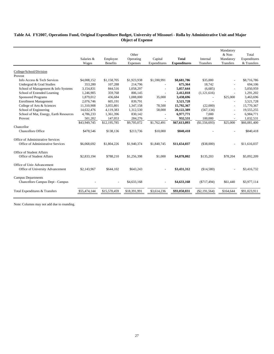# **Table A4. FY2007, Operations Fund, Original Expenditure Budget, University of Missouri - Rolla by Administrative Unit and Major Object of Expense**

|                                        | Salaries &<br>Wages | Employee<br><b>Benefits</b> | Other<br>Operating<br><b>Expenses</b> | Capital<br>Expenditures | <b>Total</b><br><b>Expenditures</b> | Internal<br>Transfers | Mandatory<br>& Non-<br>Mandatory<br>Transfers | Total<br>Expenditures<br>& Transfers |
|----------------------------------------|---------------------|-----------------------------|---------------------------------------|-------------------------|-------------------------------------|-----------------------|-----------------------------------------------|--------------------------------------|
|                                        |                     |                             |                                       |                         |                                     |                       |                                               |                                      |
| College/School/Division                |                     |                             |                                       |                         |                                     |                       |                                               |                                      |
| Provost                                |                     |                             |                                       |                         |                                     |                       |                                               |                                      |
| Info Access & Tech Services            | \$4,008,152         | \$1,158,705                 | \$1,923,938                           | \$1,590,991             | \$8,681,786                         | \$35,000              |                                               | \$8,716,786                          |
| Undergrad & Grad Studies               | 353,280             | 107,288                     | 214,796                               |                         | 675,364                             | 18,742                |                                               | 694,106                              |
| School of Management & Info Systems    | 3,154,831           | 844,516                     | 1,058,297                             |                         | 5,057,644                           | (6,685)               |                                               | 5,050,959                            |
| School of Extended Learning            | 1,246,905           | 359,768                     | 806.145                               |                         | 2,412,818                           | (1,121,616)           |                                               | 1,291,202                            |
| <b>Sponsored Programs</b>              | 1,879,012           | 436,684                     | 1,088,000                             | 35,000                  | 3,438,696                           |                       | \$25,000                                      | 3,463,696                            |
| <b>Enrollment Management</b>           | 2,076,746           | 605,191                     | 839,791                               |                         | 3,521,728                           |                       |                                               | 3,521,728                            |
| College of Arts & Sciences             | 11,310,908          | 3,055,801                   | 1,347,158                             | 78,500                  | 15,792,367                          | (22,000)              | $\sim$                                        | 15,770,367                           |
| School of Engineering                  | 14,632,476          | 4,119,383                   | 1,312,530                             | 58,000                  | 20,122,389                          | (567, 134)            | $\sim$                                        | 19,555,255                           |
| School of Mat, Energy, Earth Resources | 4,786,233           | 1,361,396                   | 830.142                               |                         | 6,977,771                           | 7.000                 | $\overline{\phantom{a}}$                      | 6,984,771                            |
| Provost                                | 501,202             | 147,053                     | 284,276                               |                         | 932,531                             | 100,000               |                                               | 1,032,531                            |
|                                        | \$43,949,745        | \$12,195,785                | \$9,705,072                           | \$1,762,491             | \$67,613,093                        | (\$1,556,693)         | \$25,000                                      | \$66,081,400                         |
| Chancellor                             |                     |                             |                                       |                         |                                     |                       |                                               |                                      |
| <b>Chancellors Office</b>              | \$478,546           | \$138,136                   | \$213,736                             | \$10,000                | \$840,418                           |                       |                                               | \$840,418                            |
| Office of Administrative Services      |                     |                             |                                       |                         |                                     |                       |                                               |                                      |
| Office of Administrative Services      | \$6,068,692         | \$1,804,226                 | \$1,940,374                           | \$1,840,745             | \$11,654,037                        | (\$38,000)            |                                               | \$11,616,037                         |
| Office of Student Affairs              |                     |                             |                                       |                         |                                     |                       |                                               |                                      |
| <b>Office of Student Affairs</b>       | \$2,833,194         | \$788,210                   | \$1,256,398                           | \$1,000                 | \$4,878,802                         | \$135,203             | \$78,204                                      | \$5,092,209                          |
| Office of Univ Advancement             |                     |                             |                                       |                         |                                     |                       |                                               |                                      |
| Office of University Advancement       | \$2,143,967         | \$644,102                   | \$643,243                             |                         | \$3,431,312                         | (\$14,580)            |                                               | \$3,416,732                          |
| <b>Campus Departments</b>              |                     |                             |                                       |                         |                                     |                       |                                               |                                      |
| Chancellors Campus Dept - Campus       |                     |                             | \$4,633,168                           |                         | \$4,633,168                         | (S717, 494)           | \$61,440                                      | \$3,977,114                          |
| Total Expenditures & Transfers         | \$55,474,144        | \$15,570,459                | \$18,391,991                          | \$3,614,236             | \$93,050,831                        | $(\$2,191,564)$       | \$164,644                                     | \$91,023,911                         |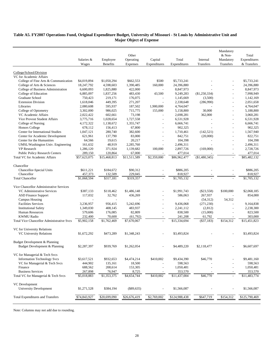# **Table A5. FY2007 Operations Fund, Original Expenditure Budget, University of Missouri - St Louis by Administrative Unit and Major Object of Expense**

| Total<br>Salaries &<br>Employee<br>Operating<br>Capital<br>Internal<br>Mandatory<br>Expenditures<br>Wages<br>& Transfers<br>Benefits<br>Expenses<br>Expenditures<br>Expenditures<br>Transfers<br>Transfers<br>College/School/Division<br>VC for Academic Affairs<br>\$500<br>\$5,733,241<br>\$5,733,241<br>College of Fine Arts & Communication<br>\$4,019,894<br>\$1,050,294<br>\$662,553<br>18,247,792<br>24,396,880<br>24,396,880<br>College of Arts & Sciences<br>4,598,603<br>1,390,485<br>160,000<br>College of Business Administration<br>8,847,973<br>6,600,093<br>1,825,880<br>422,000<br>8,847,973<br>$\sim$<br>College of Education<br>6,885,097<br>1,837,256<br>483,430<br>43,500<br>7,998,949<br>9,249,283<br>(\$1,250,334)<br>Graduate School<br>219,171<br>1,142,169<br>750,423<br>176,075<br>1,145,669<br>(3,500)<br>$\sim$<br><b>Extension Division</b><br>449,395<br>2,051,658<br>1,618,046<br>271,207<br>2,338,648<br>(286,990)<br>÷,<br>Libraries<br>2,080,608<br>1,900,000<br>4,764,047<br>595,937<br>187,502<br>4,764,047<br>986,025<br>5,188,800<br>College of Optometry<br>3,302,000<br>715,775<br>155,000<br>5,158,800<br>30,000<br>$\sim$<br>2,022,422<br>602,661<br>73,198<br>3,060,281<br>VC Academic Affairs<br>2,698,281<br>362,000<br>$\sim$<br><b>Vice Provost Student Affairs</b><br>3,775,716<br>1,028,654<br>1,727,558<br>6,531,928<br>6,531,928<br>$\overline{a}$<br>College of Nursing<br>4,172,322<br>1,138,672<br>1,355,747<br>6,666,741<br>6,666,741<br>Honors College<br>678,112<br>902,325<br>902,325<br>156,413<br>67,800<br>÷,<br>Center for International Studies<br>1,047,121<br>280,740<br>1,567,940<br>382,600<br>1,710,461<br>(142, 521)<br>Center for Academic Development<br>137,790<br>822,751<br>621,961<br>83,000<br>842,751<br>(20,000)<br>$\overline{a}$<br>$\overline{\phantom{a}}$<br>Center for the Humanities<br>104,398<br>104,398<br>64,566<br>19,615<br>20,217<br>÷,<br>UMSL/Washington Univ. Engineering<br>161,632<br>48,919<br>2,285,760<br>2,496,311<br>2,496,311<br>VP Research<br>1,286,120<br>1,139,682<br>100,000<br>2,897,726<br>2,728,726<br>371,924<br>(169,000)<br>$\sim$<br><b>Public Policy Research Centers</b><br>289,150<br>120,864<br>477,014<br>67,000<br>477,014<br>$\overline{$}15,468,813$<br>\$11,511,589<br>\$2,359,000<br>(\$1,480,345)<br>\$85,482,132<br>Total VC for Academic Affairs<br>\$57,623,075<br>\$86,962,477<br>$\bar{\phantom{a}}$<br>Chancellor<br>Chancellor-Special Units<br>\$611,221<br>\$184,672<br>\$90,312<br>\$886,205<br>\$886,205<br>Chancellor<br>457,373<br>132,509<br>229,045<br>818,927<br>818,927<br>\$1,068,594<br>\$317,181<br>\$319,357<br>\$1,705,132<br>\$1,705,132<br><b>Total Chancellor</b><br>Vice Chancellor Administrative Services<br>\$118,462<br>\$1,486,148<br>\$1,991,743<br>\$2,068,185<br>VC Administrative Services<br>\$387,133<br>$(\$23,558)$<br>\$100,000<br>32,762<br>267,937<br>854,000<br><b>ASD Finance Support</b><br>117,032<br>436,269<br>586,063<br>Campus Housing<br>(54,312)<br>54,312<br><b>Facilities Services</b><br>3,236,957<br>956,415<br>5,242,696<br>9,436,068<br>(271, 230)<br>9,164,838<br>483,937<br>2,238,300<br><b>Institutional Safety</b><br>1,349,030<br>408,145<br>2,241,112<br>(2,812)<br>$\overline{a}$<br>$\sim$<br>579,606<br>176,085<br>82,809<br>823,500<br>Human Resources<br>838,500<br>(15,000)<br>$\overline{a}$<br>303,000<br><b>KWMU Radio</b><br>232,400<br>70,600<br>(61, 792)<br>241,208<br>61,792<br>\$15,451,823<br><b>Total Vice Chancellor Administrative Svcs</b><br>\$5,902,158<br>\$1,762,469<br>\$7,670,067<br>\$15,334,694<br>$(\$37,183)$<br>\$154,312<br>VC for University Relations<br>\$1,672,292<br>\$1,348,243<br>\$3,493,824<br>\$3,493,824<br><b>VC University Relations</b><br>\$473,289<br>Budget Development & Planning<br>Budget Development & Planning<br>\$2,287,397<br>\$939,769<br>\$1,262,054<br>\$4,489,220<br>\$6,607,697<br>\$2,118,477<br>VC for Managerial & Tech Svcs<br><b>Information Technology Svcs</b><br>\$3,617,521<br>\$932,653<br>\$4,474,214<br>\$410,002<br>\$9,434,390<br>\$46,770<br>\$9,481,160<br>VC for Managerial & Tech Svcs<br>444,902<br>135,161<br>598,563<br>598,563<br>18,500<br>Finance<br>688,562<br>208,614<br>153,305<br>1,050,481<br>1,050,481<br><b>Business Services</b><br>267,898<br>76,947<br>8,725<br>353,570<br>353,570<br>$\overline{$}410,002$<br>Total VC for Managerial & Tech Svcs<br>\$5,018,883<br>\$1,353,375<br>\$4,654,744<br>\$11,437,004<br>\$46,770<br>\$11,483,774<br>VC Development<br><b>University Development</b><br>\$1,271,528<br>\$384,194<br>$(\$89,635)$<br>\$1,566,087<br>\$1,566,087<br>\$26,676,419<br>\$2,769,002<br>\$124,988,438<br>\$647,719<br>\$154,312<br>\$125,790,469<br>\$74,843,927<br>\$20,699,090<br><b>Total Expenditures and Transfers</b> |  | Other |  | Mandatory<br>& Non- | Total |
|----------------------------------------------------------------------------------------------------------------------------------------------------------------------------------------------------------------------------------------------------------------------------------------------------------------------------------------------------------------------------------------------------------------------------------------------------------------------------------------------------------------------------------------------------------------------------------------------------------------------------------------------------------------------------------------------------------------------------------------------------------------------------------------------------------------------------------------------------------------------------------------------------------------------------------------------------------------------------------------------------------------------------------------------------------------------------------------------------------------------------------------------------------------------------------------------------------------------------------------------------------------------------------------------------------------------------------------------------------------------------------------------------------------------------------------------------------------------------------------------------------------------------------------------------------------------------------------------------------------------------------------------------------------------------------------------------------------------------------------------------------------------------------------------------------------------------------------------------------------------------------------------------------------------------------------------------------------------------------------------------------------------------------------------------------------------------------------------------------------------------------------------------------------------------------------------------------------------------------------------------------------------------------------------------------------------------------------------------------------------------------------------------------------------------------------------------------------------------------------------------------------------------------------------------------------------------------------------------------------------------------------------------------------------------------------------------------------------------------------------------------------------------------------------------------------------------------------------------------------------------------------------------------------------------------------------------------------------------------------------------------------------------------------------------------------------------------------------------------------------------------------------------------------------------------------------------------------------------------------------------------------------------------------------------------------------------------------------------------------------------------------------------------------------------------------------------------------------------------------------------------------------------------------------------------------------------------------------------------------------------------------------------------------------------------------------------------------------------------------------------------------------------------------------------------------------------------------------------------------------------------------------------------------------------------------------------------------------------------------------------------------------------------------------------------------------------------------------------------------------------------------------------------------------------------------------------------------------------------------------------------------------------------------------------------------------------------------------------------------------------------------------------------------------------------------------------------------------------------------------------------------------------------------------------------------------------------------------------------------------------------------------------------------------------------------------------------------------------------------------------------------------------------------------------------------------------------------------|--|-------|--|---------------------|-------|
|                                                                                                                                                                                                                                                                                                                                                                                                                                                                                                                                                                                                                                                                                                                                                                                                                                                                                                                                                                                                                                                                                                                                                                                                                                                                                                                                                                                                                                                                                                                                                                                                                                                                                                                                                                                                                                                                                                                                                                                                                                                                                                                                                                                                                                                                                                                                                                                                                                                                                                                                                                                                                                                                                                                                                                                                                                                                                                                                                                                                                                                                                                                                                                                                                                                                                                                                                                                                                                                                                                                                                                                                                                                                                                                                                                                                                                                                                                                                                                                                                                                                                                                                                                                                                                                                                                                                                                                                                                                                                                                                                                                                                                                                                                                                                                                                                                              |  |       |  |                     |       |
|                                                                                                                                                                                                                                                                                                                                                                                                                                                                                                                                                                                                                                                                                                                                                                                                                                                                                                                                                                                                                                                                                                                                                                                                                                                                                                                                                                                                                                                                                                                                                                                                                                                                                                                                                                                                                                                                                                                                                                                                                                                                                                                                                                                                                                                                                                                                                                                                                                                                                                                                                                                                                                                                                                                                                                                                                                                                                                                                                                                                                                                                                                                                                                                                                                                                                                                                                                                                                                                                                                                                                                                                                                                                                                                                                                                                                                                                                                                                                                                                                                                                                                                                                                                                                                                                                                                                                                                                                                                                                                                                                                                                                                                                                                                                                                                                                                              |  |       |  |                     |       |
|                                                                                                                                                                                                                                                                                                                                                                                                                                                                                                                                                                                                                                                                                                                                                                                                                                                                                                                                                                                                                                                                                                                                                                                                                                                                                                                                                                                                                                                                                                                                                                                                                                                                                                                                                                                                                                                                                                                                                                                                                                                                                                                                                                                                                                                                                                                                                                                                                                                                                                                                                                                                                                                                                                                                                                                                                                                                                                                                                                                                                                                                                                                                                                                                                                                                                                                                                                                                                                                                                                                                                                                                                                                                                                                                                                                                                                                                                                                                                                                                                                                                                                                                                                                                                                                                                                                                                                                                                                                                                                                                                                                                                                                                                                                                                                                                                                              |  |       |  |                     |       |
|                                                                                                                                                                                                                                                                                                                                                                                                                                                                                                                                                                                                                                                                                                                                                                                                                                                                                                                                                                                                                                                                                                                                                                                                                                                                                                                                                                                                                                                                                                                                                                                                                                                                                                                                                                                                                                                                                                                                                                                                                                                                                                                                                                                                                                                                                                                                                                                                                                                                                                                                                                                                                                                                                                                                                                                                                                                                                                                                                                                                                                                                                                                                                                                                                                                                                                                                                                                                                                                                                                                                                                                                                                                                                                                                                                                                                                                                                                                                                                                                                                                                                                                                                                                                                                                                                                                                                                                                                                                                                                                                                                                                                                                                                                                                                                                                                                              |  |       |  |                     |       |
|                                                                                                                                                                                                                                                                                                                                                                                                                                                                                                                                                                                                                                                                                                                                                                                                                                                                                                                                                                                                                                                                                                                                                                                                                                                                                                                                                                                                                                                                                                                                                                                                                                                                                                                                                                                                                                                                                                                                                                                                                                                                                                                                                                                                                                                                                                                                                                                                                                                                                                                                                                                                                                                                                                                                                                                                                                                                                                                                                                                                                                                                                                                                                                                                                                                                                                                                                                                                                                                                                                                                                                                                                                                                                                                                                                                                                                                                                                                                                                                                                                                                                                                                                                                                                                                                                                                                                                                                                                                                                                                                                                                                                                                                                                                                                                                                                                              |  |       |  |                     |       |
|                                                                                                                                                                                                                                                                                                                                                                                                                                                                                                                                                                                                                                                                                                                                                                                                                                                                                                                                                                                                                                                                                                                                                                                                                                                                                                                                                                                                                                                                                                                                                                                                                                                                                                                                                                                                                                                                                                                                                                                                                                                                                                                                                                                                                                                                                                                                                                                                                                                                                                                                                                                                                                                                                                                                                                                                                                                                                                                                                                                                                                                                                                                                                                                                                                                                                                                                                                                                                                                                                                                                                                                                                                                                                                                                                                                                                                                                                                                                                                                                                                                                                                                                                                                                                                                                                                                                                                                                                                                                                                                                                                                                                                                                                                                                                                                                                                              |  |       |  |                     |       |
|                                                                                                                                                                                                                                                                                                                                                                                                                                                                                                                                                                                                                                                                                                                                                                                                                                                                                                                                                                                                                                                                                                                                                                                                                                                                                                                                                                                                                                                                                                                                                                                                                                                                                                                                                                                                                                                                                                                                                                                                                                                                                                                                                                                                                                                                                                                                                                                                                                                                                                                                                                                                                                                                                                                                                                                                                                                                                                                                                                                                                                                                                                                                                                                                                                                                                                                                                                                                                                                                                                                                                                                                                                                                                                                                                                                                                                                                                                                                                                                                                                                                                                                                                                                                                                                                                                                                                                                                                                                                                                                                                                                                                                                                                                                                                                                                                                              |  |       |  |                     |       |
|                                                                                                                                                                                                                                                                                                                                                                                                                                                                                                                                                                                                                                                                                                                                                                                                                                                                                                                                                                                                                                                                                                                                                                                                                                                                                                                                                                                                                                                                                                                                                                                                                                                                                                                                                                                                                                                                                                                                                                                                                                                                                                                                                                                                                                                                                                                                                                                                                                                                                                                                                                                                                                                                                                                                                                                                                                                                                                                                                                                                                                                                                                                                                                                                                                                                                                                                                                                                                                                                                                                                                                                                                                                                                                                                                                                                                                                                                                                                                                                                                                                                                                                                                                                                                                                                                                                                                                                                                                                                                                                                                                                                                                                                                                                                                                                                                                              |  |       |  |                     |       |
|                                                                                                                                                                                                                                                                                                                                                                                                                                                                                                                                                                                                                                                                                                                                                                                                                                                                                                                                                                                                                                                                                                                                                                                                                                                                                                                                                                                                                                                                                                                                                                                                                                                                                                                                                                                                                                                                                                                                                                                                                                                                                                                                                                                                                                                                                                                                                                                                                                                                                                                                                                                                                                                                                                                                                                                                                                                                                                                                                                                                                                                                                                                                                                                                                                                                                                                                                                                                                                                                                                                                                                                                                                                                                                                                                                                                                                                                                                                                                                                                                                                                                                                                                                                                                                                                                                                                                                                                                                                                                                                                                                                                                                                                                                                                                                                                                                              |  |       |  |                     |       |
|                                                                                                                                                                                                                                                                                                                                                                                                                                                                                                                                                                                                                                                                                                                                                                                                                                                                                                                                                                                                                                                                                                                                                                                                                                                                                                                                                                                                                                                                                                                                                                                                                                                                                                                                                                                                                                                                                                                                                                                                                                                                                                                                                                                                                                                                                                                                                                                                                                                                                                                                                                                                                                                                                                                                                                                                                                                                                                                                                                                                                                                                                                                                                                                                                                                                                                                                                                                                                                                                                                                                                                                                                                                                                                                                                                                                                                                                                                                                                                                                                                                                                                                                                                                                                                                                                                                                                                                                                                                                                                                                                                                                                                                                                                                                                                                                                                              |  |       |  |                     |       |
|                                                                                                                                                                                                                                                                                                                                                                                                                                                                                                                                                                                                                                                                                                                                                                                                                                                                                                                                                                                                                                                                                                                                                                                                                                                                                                                                                                                                                                                                                                                                                                                                                                                                                                                                                                                                                                                                                                                                                                                                                                                                                                                                                                                                                                                                                                                                                                                                                                                                                                                                                                                                                                                                                                                                                                                                                                                                                                                                                                                                                                                                                                                                                                                                                                                                                                                                                                                                                                                                                                                                                                                                                                                                                                                                                                                                                                                                                                                                                                                                                                                                                                                                                                                                                                                                                                                                                                                                                                                                                                                                                                                                                                                                                                                                                                                                                                              |  |       |  |                     |       |
|                                                                                                                                                                                                                                                                                                                                                                                                                                                                                                                                                                                                                                                                                                                                                                                                                                                                                                                                                                                                                                                                                                                                                                                                                                                                                                                                                                                                                                                                                                                                                                                                                                                                                                                                                                                                                                                                                                                                                                                                                                                                                                                                                                                                                                                                                                                                                                                                                                                                                                                                                                                                                                                                                                                                                                                                                                                                                                                                                                                                                                                                                                                                                                                                                                                                                                                                                                                                                                                                                                                                                                                                                                                                                                                                                                                                                                                                                                                                                                                                                                                                                                                                                                                                                                                                                                                                                                                                                                                                                                                                                                                                                                                                                                                                                                                                                                              |  |       |  |                     |       |
|                                                                                                                                                                                                                                                                                                                                                                                                                                                                                                                                                                                                                                                                                                                                                                                                                                                                                                                                                                                                                                                                                                                                                                                                                                                                                                                                                                                                                                                                                                                                                                                                                                                                                                                                                                                                                                                                                                                                                                                                                                                                                                                                                                                                                                                                                                                                                                                                                                                                                                                                                                                                                                                                                                                                                                                                                                                                                                                                                                                                                                                                                                                                                                                                                                                                                                                                                                                                                                                                                                                                                                                                                                                                                                                                                                                                                                                                                                                                                                                                                                                                                                                                                                                                                                                                                                                                                                                                                                                                                                                                                                                                                                                                                                                                                                                                                                              |  |       |  |                     |       |
|                                                                                                                                                                                                                                                                                                                                                                                                                                                                                                                                                                                                                                                                                                                                                                                                                                                                                                                                                                                                                                                                                                                                                                                                                                                                                                                                                                                                                                                                                                                                                                                                                                                                                                                                                                                                                                                                                                                                                                                                                                                                                                                                                                                                                                                                                                                                                                                                                                                                                                                                                                                                                                                                                                                                                                                                                                                                                                                                                                                                                                                                                                                                                                                                                                                                                                                                                                                                                                                                                                                                                                                                                                                                                                                                                                                                                                                                                                                                                                                                                                                                                                                                                                                                                                                                                                                                                                                                                                                                                                                                                                                                                                                                                                                                                                                                                                              |  |       |  |                     |       |
|                                                                                                                                                                                                                                                                                                                                                                                                                                                                                                                                                                                                                                                                                                                                                                                                                                                                                                                                                                                                                                                                                                                                                                                                                                                                                                                                                                                                                                                                                                                                                                                                                                                                                                                                                                                                                                                                                                                                                                                                                                                                                                                                                                                                                                                                                                                                                                                                                                                                                                                                                                                                                                                                                                                                                                                                                                                                                                                                                                                                                                                                                                                                                                                                                                                                                                                                                                                                                                                                                                                                                                                                                                                                                                                                                                                                                                                                                                                                                                                                                                                                                                                                                                                                                                                                                                                                                                                                                                                                                                                                                                                                                                                                                                                                                                                                                                              |  |       |  |                     |       |
|                                                                                                                                                                                                                                                                                                                                                                                                                                                                                                                                                                                                                                                                                                                                                                                                                                                                                                                                                                                                                                                                                                                                                                                                                                                                                                                                                                                                                                                                                                                                                                                                                                                                                                                                                                                                                                                                                                                                                                                                                                                                                                                                                                                                                                                                                                                                                                                                                                                                                                                                                                                                                                                                                                                                                                                                                                                                                                                                                                                                                                                                                                                                                                                                                                                                                                                                                                                                                                                                                                                                                                                                                                                                                                                                                                                                                                                                                                                                                                                                                                                                                                                                                                                                                                                                                                                                                                                                                                                                                                                                                                                                                                                                                                                                                                                                                                              |  |       |  |                     |       |
|                                                                                                                                                                                                                                                                                                                                                                                                                                                                                                                                                                                                                                                                                                                                                                                                                                                                                                                                                                                                                                                                                                                                                                                                                                                                                                                                                                                                                                                                                                                                                                                                                                                                                                                                                                                                                                                                                                                                                                                                                                                                                                                                                                                                                                                                                                                                                                                                                                                                                                                                                                                                                                                                                                                                                                                                                                                                                                                                                                                                                                                                                                                                                                                                                                                                                                                                                                                                                                                                                                                                                                                                                                                                                                                                                                                                                                                                                                                                                                                                                                                                                                                                                                                                                                                                                                                                                                                                                                                                                                                                                                                                                                                                                                                                                                                                                                              |  |       |  |                     |       |
|                                                                                                                                                                                                                                                                                                                                                                                                                                                                                                                                                                                                                                                                                                                                                                                                                                                                                                                                                                                                                                                                                                                                                                                                                                                                                                                                                                                                                                                                                                                                                                                                                                                                                                                                                                                                                                                                                                                                                                                                                                                                                                                                                                                                                                                                                                                                                                                                                                                                                                                                                                                                                                                                                                                                                                                                                                                                                                                                                                                                                                                                                                                                                                                                                                                                                                                                                                                                                                                                                                                                                                                                                                                                                                                                                                                                                                                                                                                                                                                                                                                                                                                                                                                                                                                                                                                                                                                                                                                                                                                                                                                                                                                                                                                                                                                                                                              |  |       |  |                     |       |
|                                                                                                                                                                                                                                                                                                                                                                                                                                                                                                                                                                                                                                                                                                                                                                                                                                                                                                                                                                                                                                                                                                                                                                                                                                                                                                                                                                                                                                                                                                                                                                                                                                                                                                                                                                                                                                                                                                                                                                                                                                                                                                                                                                                                                                                                                                                                                                                                                                                                                                                                                                                                                                                                                                                                                                                                                                                                                                                                                                                                                                                                                                                                                                                                                                                                                                                                                                                                                                                                                                                                                                                                                                                                                                                                                                                                                                                                                                                                                                                                                                                                                                                                                                                                                                                                                                                                                                                                                                                                                                                                                                                                                                                                                                                                                                                                                                              |  |       |  |                     |       |
|                                                                                                                                                                                                                                                                                                                                                                                                                                                                                                                                                                                                                                                                                                                                                                                                                                                                                                                                                                                                                                                                                                                                                                                                                                                                                                                                                                                                                                                                                                                                                                                                                                                                                                                                                                                                                                                                                                                                                                                                                                                                                                                                                                                                                                                                                                                                                                                                                                                                                                                                                                                                                                                                                                                                                                                                                                                                                                                                                                                                                                                                                                                                                                                                                                                                                                                                                                                                                                                                                                                                                                                                                                                                                                                                                                                                                                                                                                                                                                                                                                                                                                                                                                                                                                                                                                                                                                                                                                                                                                                                                                                                                                                                                                                                                                                                                                              |  |       |  |                     |       |
|                                                                                                                                                                                                                                                                                                                                                                                                                                                                                                                                                                                                                                                                                                                                                                                                                                                                                                                                                                                                                                                                                                                                                                                                                                                                                                                                                                                                                                                                                                                                                                                                                                                                                                                                                                                                                                                                                                                                                                                                                                                                                                                                                                                                                                                                                                                                                                                                                                                                                                                                                                                                                                                                                                                                                                                                                                                                                                                                                                                                                                                                                                                                                                                                                                                                                                                                                                                                                                                                                                                                                                                                                                                                                                                                                                                                                                                                                                                                                                                                                                                                                                                                                                                                                                                                                                                                                                                                                                                                                                                                                                                                                                                                                                                                                                                                                                              |  |       |  |                     |       |
|                                                                                                                                                                                                                                                                                                                                                                                                                                                                                                                                                                                                                                                                                                                                                                                                                                                                                                                                                                                                                                                                                                                                                                                                                                                                                                                                                                                                                                                                                                                                                                                                                                                                                                                                                                                                                                                                                                                                                                                                                                                                                                                                                                                                                                                                                                                                                                                                                                                                                                                                                                                                                                                                                                                                                                                                                                                                                                                                                                                                                                                                                                                                                                                                                                                                                                                                                                                                                                                                                                                                                                                                                                                                                                                                                                                                                                                                                                                                                                                                                                                                                                                                                                                                                                                                                                                                                                                                                                                                                                                                                                                                                                                                                                                                                                                                                                              |  |       |  |                     |       |
|                                                                                                                                                                                                                                                                                                                                                                                                                                                                                                                                                                                                                                                                                                                                                                                                                                                                                                                                                                                                                                                                                                                                                                                                                                                                                                                                                                                                                                                                                                                                                                                                                                                                                                                                                                                                                                                                                                                                                                                                                                                                                                                                                                                                                                                                                                                                                                                                                                                                                                                                                                                                                                                                                                                                                                                                                                                                                                                                                                                                                                                                                                                                                                                                                                                                                                                                                                                                                                                                                                                                                                                                                                                                                                                                                                                                                                                                                                                                                                                                                                                                                                                                                                                                                                                                                                                                                                                                                                                                                                                                                                                                                                                                                                                                                                                                                                              |  |       |  |                     |       |
|                                                                                                                                                                                                                                                                                                                                                                                                                                                                                                                                                                                                                                                                                                                                                                                                                                                                                                                                                                                                                                                                                                                                                                                                                                                                                                                                                                                                                                                                                                                                                                                                                                                                                                                                                                                                                                                                                                                                                                                                                                                                                                                                                                                                                                                                                                                                                                                                                                                                                                                                                                                                                                                                                                                                                                                                                                                                                                                                                                                                                                                                                                                                                                                                                                                                                                                                                                                                                                                                                                                                                                                                                                                                                                                                                                                                                                                                                                                                                                                                                                                                                                                                                                                                                                                                                                                                                                                                                                                                                                                                                                                                                                                                                                                                                                                                                                              |  |       |  |                     |       |
|                                                                                                                                                                                                                                                                                                                                                                                                                                                                                                                                                                                                                                                                                                                                                                                                                                                                                                                                                                                                                                                                                                                                                                                                                                                                                                                                                                                                                                                                                                                                                                                                                                                                                                                                                                                                                                                                                                                                                                                                                                                                                                                                                                                                                                                                                                                                                                                                                                                                                                                                                                                                                                                                                                                                                                                                                                                                                                                                                                                                                                                                                                                                                                                                                                                                                                                                                                                                                                                                                                                                                                                                                                                                                                                                                                                                                                                                                                                                                                                                                                                                                                                                                                                                                                                                                                                                                                                                                                                                                                                                                                                                                                                                                                                                                                                                                                              |  |       |  |                     |       |
|                                                                                                                                                                                                                                                                                                                                                                                                                                                                                                                                                                                                                                                                                                                                                                                                                                                                                                                                                                                                                                                                                                                                                                                                                                                                                                                                                                                                                                                                                                                                                                                                                                                                                                                                                                                                                                                                                                                                                                                                                                                                                                                                                                                                                                                                                                                                                                                                                                                                                                                                                                                                                                                                                                                                                                                                                                                                                                                                                                                                                                                                                                                                                                                                                                                                                                                                                                                                                                                                                                                                                                                                                                                                                                                                                                                                                                                                                                                                                                                                                                                                                                                                                                                                                                                                                                                                                                                                                                                                                                                                                                                                                                                                                                                                                                                                                                              |  |       |  |                     |       |
|                                                                                                                                                                                                                                                                                                                                                                                                                                                                                                                                                                                                                                                                                                                                                                                                                                                                                                                                                                                                                                                                                                                                                                                                                                                                                                                                                                                                                                                                                                                                                                                                                                                                                                                                                                                                                                                                                                                                                                                                                                                                                                                                                                                                                                                                                                                                                                                                                                                                                                                                                                                                                                                                                                                                                                                                                                                                                                                                                                                                                                                                                                                                                                                                                                                                                                                                                                                                                                                                                                                                                                                                                                                                                                                                                                                                                                                                                                                                                                                                                                                                                                                                                                                                                                                                                                                                                                                                                                                                                                                                                                                                                                                                                                                                                                                                                                              |  |       |  |                     |       |
|                                                                                                                                                                                                                                                                                                                                                                                                                                                                                                                                                                                                                                                                                                                                                                                                                                                                                                                                                                                                                                                                                                                                                                                                                                                                                                                                                                                                                                                                                                                                                                                                                                                                                                                                                                                                                                                                                                                                                                                                                                                                                                                                                                                                                                                                                                                                                                                                                                                                                                                                                                                                                                                                                                                                                                                                                                                                                                                                                                                                                                                                                                                                                                                                                                                                                                                                                                                                                                                                                                                                                                                                                                                                                                                                                                                                                                                                                                                                                                                                                                                                                                                                                                                                                                                                                                                                                                                                                                                                                                                                                                                                                                                                                                                                                                                                                                              |  |       |  |                     |       |
|                                                                                                                                                                                                                                                                                                                                                                                                                                                                                                                                                                                                                                                                                                                                                                                                                                                                                                                                                                                                                                                                                                                                                                                                                                                                                                                                                                                                                                                                                                                                                                                                                                                                                                                                                                                                                                                                                                                                                                                                                                                                                                                                                                                                                                                                                                                                                                                                                                                                                                                                                                                                                                                                                                                                                                                                                                                                                                                                                                                                                                                                                                                                                                                                                                                                                                                                                                                                                                                                                                                                                                                                                                                                                                                                                                                                                                                                                                                                                                                                                                                                                                                                                                                                                                                                                                                                                                                                                                                                                                                                                                                                                                                                                                                                                                                                                                              |  |       |  |                     |       |
|                                                                                                                                                                                                                                                                                                                                                                                                                                                                                                                                                                                                                                                                                                                                                                                                                                                                                                                                                                                                                                                                                                                                                                                                                                                                                                                                                                                                                                                                                                                                                                                                                                                                                                                                                                                                                                                                                                                                                                                                                                                                                                                                                                                                                                                                                                                                                                                                                                                                                                                                                                                                                                                                                                                                                                                                                                                                                                                                                                                                                                                                                                                                                                                                                                                                                                                                                                                                                                                                                                                                                                                                                                                                                                                                                                                                                                                                                                                                                                                                                                                                                                                                                                                                                                                                                                                                                                                                                                                                                                                                                                                                                                                                                                                                                                                                                                              |  |       |  |                     |       |
|                                                                                                                                                                                                                                                                                                                                                                                                                                                                                                                                                                                                                                                                                                                                                                                                                                                                                                                                                                                                                                                                                                                                                                                                                                                                                                                                                                                                                                                                                                                                                                                                                                                                                                                                                                                                                                                                                                                                                                                                                                                                                                                                                                                                                                                                                                                                                                                                                                                                                                                                                                                                                                                                                                                                                                                                                                                                                                                                                                                                                                                                                                                                                                                                                                                                                                                                                                                                                                                                                                                                                                                                                                                                                                                                                                                                                                                                                                                                                                                                                                                                                                                                                                                                                                                                                                                                                                                                                                                                                                                                                                                                                                                                                                                                                                                                                                              |  |       |  |                     |       |
|                                                                                                                                                                                                                                                                                                                                                                                                                                                                                                                                                                                                                                                                                                                                                                                                                                                                                                                                                                                                                                                                                                                                                                                                                                                                                                                                                                                                                                                                                                                                                                                                                                                                                                                                                                                                                                                                                                                                                                                                                                                                                                                                                                                                                                                                                                                                                                                                                                                                                                                                                                                                                                                                                                                                                                                                                                                                                                                                                                                                                                                                                                                                                                                                                                                                                                                                                                                                                                                                                                                                                                                                                                                                                                                                                                                                                                                                                                                                                                                                                                                                                                                                                                                                                                                                                                                                                                                                                                                                                                                                                                                                                                                                                                                                                                                                                                              |  |       |  |                     |       |
|                                                                                                                                                                                                                                                                                                                                                                                                                                                                                                                                                                                                                                                                                                                                                                                                                                                                                                                                                                                                                                                                                                                                                                                                                                                                                                                                                                                                                                                                                                                                                                                                                                                                                                                                                                                                                                                                                                                                                                                                                                                                                                                                                                                                                                                                                                                                                                                                                                                                                                                                                                                                                                                                                                                                                                                                                                                                                                                                                                                                                                                                                                                                                                                                                                                                                                                                                                                                                                                                                                                                                                                                                                                                                                                                                                                                                                                                                                                                                                                                                                                                                                                                                                                                                                                                                                                                                                                                                                                                                                                                                                                                                                                                                                                                                                                                                                              |  |       |  |                     |       |
|                                                                                                                                                                                                                                                                                                                                                                                                                                                                                                                                                                                                                                                                                                                                                                                                                                                                                                                                                                                                                                                                                                                                                                                                                                                                                                                                                                                                                                                                                                                                                                                                                                                                                                                                                                                                                                                                                                                                                                                                                                                                                                                                                                                                                                                                                                                                                                                                                                                                                                                                                                                                                                                                                                                                                                                                                                                                                                                                                                                                                                                                                                                                                                                                                                                                                                                                                                                                                                                                                                                                                                                                                                                                                                                                                                                                                                                                                                                                                                                                                                                                                                                                                                                                                                                                                                                                                                                                                                                                                                                                                                                                                                                                                                                                                                                                                                              |  |       |  |                     |       |
|                                                                                                                                                                                                                                                                                                                                                                                                                                                                                                                                                                                                                                                                                                                                                                                                                                                                                                                                                                                                                                                                                                                                                                                                                                                                                                                                                                                                                                                                                                                                                                                                                                                                                                                                                                                                                                                                                                                                                                                                                                                                                                                                                                                                                                                                                                                                                                                                                                                                                                                                                                                                                                                                                                                                                                                                                                                                                                                                                                                                                                                                                                                                                                                                                                                                                                                                                                                                                                                                                                                                                                                                                                                                                                                                                                                                                                                                                                                                                                                                                                                                                                                                                                                                                                                                                                                                                                                                                                                                                                                                                                                                                                                                                                                                                                                                                                              |  |       |  |                     |       |
|                                                                                                                                                                                                                                                                                                                                                                                                                                                                                                                                                                                                                                                                                                                                                                                                                                                                                                                                                                                                                                                                                                                                                                                                                                                                                                                                                                                                                                                                                                                                                                                                                                                                                                                                                                                                                                                                                                                                                                                                                                                                                                                                                                                                                                                                                                                                                                                                                                                                                                                                                                                                                                                                                                                                                                                                                                                                                                                                                                                                                                                                                                                                                                                                                                                                                                                                                                                                                                                                                                                                                                                                                                                                                                                                                                                                                                                                                                                                                                                                                                                                                                                                                                                                                                                                                                                                                                                                                                                                                                                                                                                                                                                                                                                                                                                                                                              |  |       |  |                     |       |
|                                                                                                                                                                                                                                                                                                                                                                                                                                                                                                                                                                                                                                                                                                                                                                                                                                                                                                                                                                                                                                                                                                                                                                                                                                                                                                                                                                                                                                                                                                                                                                                                                                                                                                                                                                                                                                                                                                                                                                                                                                                                                                                                                                                                                                                                                                                                                                                                                                                                                                                                                                                                                                                                                                                                                                                                                                                                                                                                                                                                                                                                                                                                                                                                                                                                                                                                                                                                                                                                                                                                                                                                                                                                                                                                                                                                                                                                                                                                                                                                                                                                                                                                                                                                                                                                                                                                                                                                                                                                                                                                                                                                                                                                                                                                                                                                                                              |  |       |  |                     |       |
|                                                                                                                                                                                                                                                                                                                                                                                                                                                                                                                                                                                                                                                                                                                                                                                                                                                                                                                                                                                                                                                                                                                                                                                                                                                                                                                                                                                                                                                                                                                                                                                                                                                                                                                                                                                                                                                                                                                                                                                                                                                                                                                                                                                                                                                                                                                                                                                                                                                                                                                                                                                                                                                                                                                                                                                                                                                                                                                                                                                                                                                                                                                                                                                                                                                                                                                                                                                                                                                                                                                                                                                                                                                                                                                                                                                                                                                                                                                                                                                                                                                                                                                                                                                                                                                                                                                                                                                                                                                                                                                                                                                                                                                                                                                                                                                                                                              |  |       |  |                     |       |
|                                                                                                                                                                                                                                                                                                                                                                                                                                                                                                                                                                                                                                                                                                                                                                                                                                                                                                                                                                                                                                                                                                                                                                                                                                                                                                                                                                                                                                                                                                                                                                                                                                                                                                                                                                                                                                                                                                                                                                                                                                                                                                                                                                                                                                                                                                                                                                                                                                                                                                                                                                                                                                                                                                                                                                                                                                                                                                                                                                                                                                                                                                                                                                                                                                                                                                                                                                                                                                                                                                                                                                                                                                                                                                                                                                                                                                                                                                                                                                                                                                                                                                                                                                                                                                                                                                                                                                                                                                                                                                                                                                                                                                                                                                                                                                                                                                              |  |       |  |                     |       |
|                                                                                                                                                                                                                                                                                                                                                                                                                                                                                                                                                                                                                                                                                                                                                                                                                                                                                                                                                                                                                                                                                                                                                                                                                                                                                                                                                                                                                                                                                                                                                                                                                                                                                                                                                                                                                                                                                                                                                                                                                                                                                                                                                                                                                                                                                                                                                                                                                                                                                                                                                                                                                                                                                                                                                                                                                                                                                                                                                                                                                                                                                                                                                                                                                                                                                                                                                                                                                                                                                                                                                                                                                                                                                                                                                                                                                                                                                                                                                                                                                                                                                                                                                                                                                                                                                                                                                                                                                                                                                                                                                                                                                                                                                                                                                                                                                                              |  |       |  |                     |       |
|                                                                                                                                                                                                                                                                                                                                                                                                                                                                                                                                                                                                                                                                                                                                                                                                                                                                                                                                                                                                                                                                                                                                                                                                                                                                                                                                                                                                                                                                                                                                                                                                                                                                                                                                                                                                                                                                                                                                                                                                                                                                                                                                                                                                                                                                                                                                                                                                                                                                                                                                                                                                                                                                                                                                                                                                                                                                                                                                                                                                                                                                                                                                                                                                                                                                                                                                                                                                                                                                                                                                                                                                                                                                                                                                                                                                                                                                                                                                                                                                                                                                                                                                                                                                                                                                                                                                                                                                                                                                                                                                                                                                                                                                                                                                                                                                                                              |  |       |  |                     |       |
|                                                                                                                                                                                                                                                                                                                                                                                                                                                                                                                                                                                                                                                                                                                                                                                                                                                                                                                                                                                                                                                                                                                                                                                                                                                                                                                                                                                                                                                                                                                                                                                                                                                                                                                                                                                                                                                                                                                                                                                                                                                                                                                                                                                                                                                                                                                                                                                                                                                                                                                                                                                                                                                                                                                                                                                                                                                                                                                                                                                                                                                                                                                                                                                                                                                                                                                                                                                                                                                                                                                                                                                                                                                                                                                                                                                                                                                                                                                                                                                                                                                                                                                                                                                                                                                                                                                                                                                                                                                                                                                                                                                                                                                                                                                                                                                                                                              |  |       |  |                     |       |
|                                                                                                                                                                                                                                                                                                                                                                                                                                                                                                                                                                                                                                                                                                                                                                                                                                                                                                                                                                                                                                                                                                                                                                                                                                                                                                                                                                                                                                                                                                                                                                                                                                                                                                                                                                                                                                                                                                                                                                                                                                                                                                                                                                                                                                                                                                                                                                                                                                                                                                                                                                                                                                                                                                                                                                                                                                                                                                                                                                                                                                                                                                                                                                                                                                                                                                                                                                                                                                                                                                                                                                                                                                                                                                                                                                                                                                                                                                                                                                                                                                                                                                                                                                                                                                                                                                                                                                                                                                                                                                                                                                                                                                                                                                                                                                                                                                              |  |       |  |                     |       |
|                                                                                                                                                                                                                                                                                                                                                                                                                                                                                                                                                                                                                                                                                                                                                                                                                                                                                                                                                                                                                                                                                                                                                                                                                                                                                                                                                                                                                                                                                                                                                                                                                                                                                                                                                                                                                                                                                                                                                                                                                                                                                                                                                                                                                                                                                                                                                                                                                                                                                                                                                                                                                                                                                                                                                                                                                                                                                                                                                                                                                                                                                                                                                                                                                                                                                                                                                                                                                                                                                                                                                                                                                                                                                                                                                                                                                                                                                                                                                                                                                                                                                                                                                                                                                                                                                                                                                                                                                                                                                                                                                                                                                                                                                                                                                                                                                                              |  |       |  |                     |       |
|                                                                                                                                                                                                                                                                                                                                                                                                                                                                                                                                                                                                                                                                                                                                                                                                                                                                                                                                                                                                                                                                                                                                                                                                                                                                                                                                                                                                                                                                                                                                                                                                                                                                                                                                                                                                                                                                                                                                                                                                                                                                                                                                                                                                                                                                                                                                                                                                                                                                                                                                                                                                                                                                                                                                                                                                                                                                                                                                                                                                                                                                                                                                                                                                                                                                                                                                                                                                                                                                                                                                                                                                                                                                                                                                                                                                                                                                                                                                                                                                                                                                                                                                                                                                                                                                                                                                                                                                                                                                                                                                                                                                                                                                                                                                                                                                                                              |  |       |  |                     |       |
|                                                                                                                                                                                                                                                                                                                                                                                                                                                                                                                                                                                                                                                                                                                                                                                                                                                                                                                                                                                                                                                                                                                                                                                                                                                                                                                                                                                                                                                                                                                                                                                                                                                                                                                                                                                                                                                                                                                                                                                                                                                                                                                                                                                                                                                                                                                                                                                                                                                                                                                                                                                                                                                                                                                                                                                                                                                                                                                                                                                                                                                                                                                                                                                                                                                                                                                                                                                                                                                                                                                                                                                                                                                                                                                                                                                                                                                                                                                                                                                                                                                                                                                                                                                                                                                                                                                                                                                                                                                                                                                                                                                                                                                                                                                                                                                                                                              |  |       |  |                     |       |
|                                                                                                                                                                                                                                                                                                                                                                                                                                                                                                                                                                                                                                                                                                                                                                                                                                                                                                                                                                                                                                                                                                                                                                                                                                                                                                                                                                                                                                                                                                                                                                                                                                                                                                                                                                                                                                                                                                                                                                                                                                                                                                                                                                                                                                                                                                                                                                                                                                                                                                                                                                                                                                                                                                                                                                                                                                                                                                                                                                                                                                                                                                                                                                                                                                                                                                                                                                                                                                                                                                                                                                                                                                                                                                                                                                                                                                                                                                                                                                                                                                                                                                                                                                                                                                                                                                                                                                                                                                                                                                                                                                                                                                                                                                                                                                                                                                              |  |       |  |                     |       |
|                                                                                                                                                                                                                                                                                                                                                                                                                                                                                                                                                                                                                                                                                                                                                                                                                                                                                                                                                                                                                                                                                                                                                                                                                                                                                                                                                                                                                                                                                                                                                                                                                                                                                                                                                                                                                                                                                                                                                                                                                                                                                                                                                                                                                                                                                                                                                                                                                                                                                                                                                                                                                                                                                                                                                                                                                                                                                                                                                                                                                                                                                                                                                                                                                                                                                                                                                                                                                                                                                                                                                                                                                                                                                                                                                                                                                                                                                                                                                                                                                                                                                                                                                                                                                                                                                                                                                                                                                                                                                                                                                                                                                                                                                                                                                                                                                                              |  |       |  |                     |       |
|                                                                                                                                                                                                                                                                                                                                                                                                                                                                                                                                                                                                                                                                                                                                                                                                                                                                                                                                                                                                                                                                                                                                                                                                                                                                                                                                                                                                                                                                                                                                                                                                                                                                                                                                                                                                                                                                                                                                                                                                                                                                                                                                                                                                                                                                                                                                                                                                                                                                                                                                                                                                                                                                                                                                                                                                                                                                                                                                                                                                                                                                                                                                                                                                                                                                                                                                                                                                                                                                                                                                                                                                                                                                                                                                                                                                                                                                                                                                                                                                                                                                                                                                                                                                                                                                                                                                                                                                                                                                                                                                                                                                                                                                                                                                                                                                                                              |  |       |  |                     |       |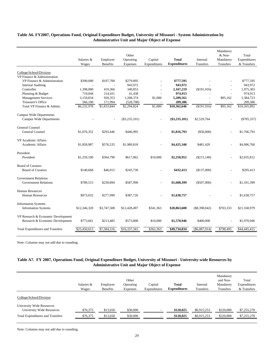|                                         | Salaries &<br>Wages | Employee<br><b>Benefits</b> | Other<br>Operating<br>Expenses | Capital<br>Expenditures | <b>Total</b><br><b>Expenditures</b> | Internal<br>Transfers | Mandatory<br>& Non-<br>Mandatory<br>Transfers | Total<br>Expenditures<br>& Transfers |
|-----------------------------------------|---------------------|-----------------------------|--------------------------------|-------------------------|-------------------------------------|-----------------------|-----------------------------------------------|--------------------------------------|
|                                         |                     |                             |                                |                         |                                     |                       |                                               |                                      |
| College/School/Division                 |                     |                             |                                |                         |                                     |                       |                                               |                                      |
| VP Finance & Administration             |                     |                             |                                |                         |                                     |                       |                                               |                                      |
| VP Finance & Administration             | \$390,000           | \$107,700                   | \$279,895                      |                         | \$777,595                           |                       |                                               | \$777,595                            |
| <b>Internal Auditing</b>                |                     |                             | 943,972                        |                         | 943,972                             |                       |                                               | 943,972                              |
| Controller                              | 1,398,000           | 419,366                     | 349,853                        | $\overline{a}$          | 2,167,219                           | (\$191,916)           | $\sim$                                        | 1,975,303                            |
| Planning & Budget                       | 719,044             | 214,431                     | 41,438                         |                         | 974,913                             |                       |                                               | 974,913                              |
| <b>Management Services</b>              | 3,159,834           | 920,353                     | 1,208,374                      | \$1,000                 | 5,289,561                           |                       | \$95,162                                      | 5,384,723                            |
| <b>Treasurer's Office</b>               | 566,100             | 171,994                     | (528, 708)                     |                         | 209,386                             |                       |                                               | 209,386                              |
| Total VP Finance & Admin.               | \$6,232,978         | $\overline{$1,833,844}$     | \$2,294,824                    | \$1,000                 | \$10,362,646                        | (\$191,916)           | \$95,162                                      | \$10,265,892                         |
| Campus Wide Departments                 |                     |                             |                                |                         |                                     |                       |                                               |                                      |
| <b>Campus Wide Departments</b>          |                     | $\overline{a}$              | $(\$3,235,101)$                |                         | $(\$3,235,101)$                     | \$2,529,764           |                                               | $(\$705,337)$                        |
|                                         |                     |                             |                                |                         |                                     |                       |                                               |                                      |
| <b>General Counsel</b>                  |                     |                             |                                |                         |                                     |                       |                                               |                                      |
| General Counsel                         | \$1,076,352         | \$293,446                   | \$446,995                      |                         | \$1,816,793                         | $(\$50,000)$          | $\overline{a}$                                | \$1,766,793                          |
|                                         |                     |                             |                                |                         |                                     |                       |                                               |                                      |
| <b>VP</b> Academic Affairs              |                     |                             |                                |                         |                                     |                       |                                               |                                      |
| Academic Affairs                        | \$1,858,987         | \$576,535                   | \$1,989,818                    |                         | \$4,425,340                         | \$481,420             |                                               | \$4,906,760                          |
|                                         |                     |                             |                                |                         |                                     |                       |                                               |                                      |
| President                               |                     |                             |                                |                         |                                     |                       |                                               |                                      |
| President                               | \$1,259,100         | \$364,790                   | \$617,062                      | \$10,000                | \$2,250,952                         | $(\$215,140)$         |                                               | \$2,035,812                          |
|                                         |                     |                             |                                |                         |                                     |                       |                                               |                                      |
| <b>Board of Curators</b>                |                     |                             |                                |                         |                                     |                       |                                               |                                      |
| <b>Board of Curators</b>                | \$140,668           | \$46,015                    | \$245,730                      |                         | \$432,413                           | (\$137,000)           |                                               | \$295,413                            |
| <b>Government Relations</b>             |                     |                             |                                |                         |                                     |                       |                                               |                                      |
| <b>Government Relations</b>             | \$789,515           | \$230,894                   | \$587,990                      |                         | \$1,608,399                         | $(\$507,000)$         |                                               | \$1,101,399                          |
|                                         |                     |                             |                                |                         |                                     |                       |                                               |                                      |
| <b>Human Resources</b>                  |                     |                             |                                |                         |                                     |                       |                                               |                                      |
| Human Resources                         | \$973,032           | \$277,999                   | \$387,726                      |                         | \$1,638,757                         |                       |                                               | \$1,638,757                          |
|                                         |                     |                             |                                |                         |                                     |                       |                                               |                                      |
| <b>Information Systems</b>              |                     |                             |                                |                         |                                     |                       |                                               |                                      |
| <b>Information Systems</b>              | \$12,346,320        | \$3,747,508                 | \$12,428,497                   | \$341,363               | \$28,863,688                        | $(\$8,398,042)$       | \$703,333                                     | \$21,168,979                         |
|                                         |                     |                             |                                |                         |                                     |                       |                                               |                                      |
| VP Research & Economic Development      |                     |                             |                                |                         |                                     |                       |                                               |                                      |
| Research & Economic Development         | \$773,661           | \$213,485                   | \$573,800                      | \$10,000                | \$1,570,946                         | \$400,000             |                                               | \$1,970,946                          |
|                                         |                     |                             |                                |                         |                                     |                       |                                               |                                      |
| <b>Total Expenditures and Transfers</b> | \$25,450,613        | \$7,584,516                 | \$16,337,341                   | \$362,363               | \$49,734,834                        | $(\$6,087,914)$       | \$798,495                                     | \$44,445,415                         |

### **Table A6. FY2007, Operations Fund, Original Expenditure Budget, University of Missouri - System Administration by Administrative Unit and Major Object of Expense**

Note: Columns may not add due to rounding.

# **Table A7. FY 2007, Operations Fund, Original Expenditure Budget, University of Missouri - University-wide Resources by Administrative Unit and Major Object of Expense**

|                                                        | Salaries &<br>Wages | Employee<br><b>Benefits</b> | Other<br>Operating<br>Expenses | Capital<br>Expenditures | <b>Total</b><br><b>Expenditures</b> | Internal<br>Transfers | Mandatory<br>and Non-<br>Mandatory<br>Transfers | Total<br>Expenditures<br>& Transfers |
|--------------------------------------------------------|---------------------|-----------------------------|--------------------------------|-------------------------|-------------------------------------|-----------------------|-------------------------------------------------|--------------------------------------|
| College/School/Division                                |                     |                             |                                |                         |                                     |                       |                                                 |                                      |
| University Wide Resources<br>University Wide Resources | \$76,375            | \$13,650                    | \$30,000                       |                         | \$120,025                           | \$6,915,253           | \$220,000                                       | \$7,255,278                          |
| <b>Total Expenditures and Transfers</b>                | \$76,375            | \$13,650                    | \$30,000                       |                         | \$120,025                           | \$6,915,253           | \$220,000                                       | \$7,255,278                          |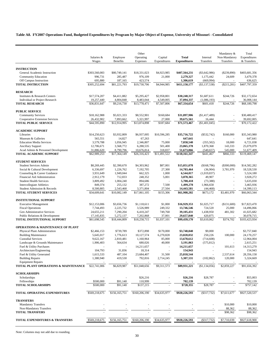**Table A8. FY2007 Operations Fund, Budgeted Expenditures by Program by Major Object of Expense, University of Missouri - Consolidated**

|                                                              |                            |                          | Other                     |                          |                            |                          | Mandatory &               | Total                      |
|--------------------------------------------------------------|----------------------------|--------------------------|---------------------------|--------------------------|----------------------------|--------------------------|---------------------------|----------------------------|
|                                                              | Salaries &                 | Employee                 | Operating                 | Capital                  | <b>Total</b>               | Internal                 | Non-Mandatory             | Expenditures               |
|                                                              | Wages                      | <b>Benefits</b>          | Expenses                  | Expenditures             | <b>Expenditures</b>        | Transfers                | Transfers                 | & Transfers                |
| <b>INSTRUCTION</b>                                           |                            |                          |                           |                          |                            |                          |                           |                            |
| General Academic Instruction                                 | \$303,560,083              | \$80,749,141             | \$18,331,023              | \$4,923,985              | \$407,564,231              | $(\$3,642,986)$          | $(\$239,890)$             | \$403,681,356              |
| <b>Community Education</b>                                   | 996,731                    | 285,487                  | 976,109                   | 21,000                   | 2,279,327                  | 1,175,442                | 24,609                    | 3,479,378                  |
| Off Campus Instruction                                       | 695,880                    | 187,165                  | 423,574                   |                          | 1,306,619                  | (669,994)                |                           | 636,625                    |
| <b>TOTAL INSTRUCTION</b>                                     | \$305,252,694              | \$81,221,793             | \$19,730,706              | \$4,944,985              | \$411,150,177              | $(\$3,137,538)$          | $(\$215,281)$             | \$407,797,359              |
|                                                              |                            |                          |                           |                          |                            |                          |                           |                            |
| <b>RESEARCH</b>                                              |                            |                          |                           |                          |                            |                          |                           |                            |
| Institutes & Research Centers                                | \$17,574,207               | \$4,411,882              | \$5,295,427               | \$2,958,801              | \$30,240,317               | \$1,687,611              | \$244,726                 | \$32,172,654<br>36,008,144 |
| Individual or Project Research<br><b>TOTAL RESEARCH</b>      | 19,257,440<br>\$36,831,647 | 4,804,848<br>\$9,216,730 | 8,483,044<br>\$13,778,471 | 4,549,005<br>\$7,507,806 | 37,094,337<br>\$67,334,654 | (1,086,193)<br>\$601,418 | \$244,726                 | \$68,180,798               |
|                                                              |                            |                          |                           |                          |                            |                          |                           |                            |
| <b>PUBLIC SERVICE</b>                                        |                            |                          |                           |                          |                            |                          |                           |                            |
| <b>Community Services</b>                                    | \$18,162,988               | \$5,021,333              | \$8,552,901               | \$160,684                | \$31,897,906               | (\$1,417,489)            |                           | \$30,480,417               |
| Cooperative Extension Services                               | 26,432,902                 | 7,893,662                | 5,321,997                 | 27,000                   | 39,675,561                 | 16,444                   |                           | 39,692,005                 |
| <b>TOTAL PUBLIC SERVICE</b>                                  | \$44,595,890               | \$12,914,995             | \$13,874,898              | \$187,684                | \$71,573,467               | (\$1,401,045)            |                           | \$70,172,422               |
|                                                              |                            |                          |                           |                          |                            |                          |                           |                            |
| <b>ACADEMIC SUPPORT</b>                                      |                            |                          |                           | \$10,596,285             |                            |                          |                           |                            |
| Libraries<br>Museum & Galleries                              | \$14,250,623<br>565,551    | \$3,932,809<br>14,827    | \$6,937,005<br>67,263     |                          | \$35,716,722<br>647,641    | $(\$532,742)$            | \$160,000<br>$\sim$       | \$35,343,980<br>647,641    |
| <b>Education Media Services</b>                              | 3,579,788                  | 1,056,945                | 2,346,807                 | 75,000                   | 7,058,540                  | (355,502)                | 18,000                    | 6,721,038                  |
| <b>Ancillary Support</b>                                     | 12,706,671                 | 3,568,772                | 6,288,535                 | 501,400                  | 23,065,378                 | 1,870,368                | 143,333                   | 25,079,079                 |
| Acad Admin & Personnel Development                           | 31,886,620                 | 8,790,796                | 10,676,814                | 318,837                  | 51,673,066                 | (540, 657)               | 545,000                   | 51,677,409                 |
| <b>TOTAL ACADEMIC SUPPORT</b>                                | \$62,989,253               | $\overline{517,364,149}$ | \$26,316,423              | \$11,491,522             | \$118,161,347              | \$441,467                | \$866,333                 | \$119,469,147              |
|                                                              |                            |                          |                           |                          |                            |                          |                           |                            |
| <b>STUDENT SERVICES</b>                                      |                            |                          |                           |                          |                            |                          |                           |                            |
| <b>Student Services Admin</b>                                | \$8,269,445                | \$2,390,670              | \$4,303,962               | \$87,001                 | \$15,051,078               | (\$168,796)              | $(\$300,000)$             | \$14,582,282               |
| Social & Cultural Development                                | 6,336,697                  | 1,226,762                | 7,192,705                 | 27,300                   | 14,783,464                 | (36,904)                 | 3,781,970                 | 18,528,530                 |
| Counseling & Career Guidance<br>Financial Aid Administration | 3,931,649<br>2,912,179     | 1,949,044<br>712,833     | 662,325<br>248,352        | 1,000<br>5,001           | 6,544,017<br>3,878,365     | (1,019,837)<br>49,907    | $\sim$                    | 5,524,180<br>3,928,272     |
| <b>Student Health Services</b>                               | 3,809,492                  | 1,004,240                | 894,686                   | ×,                       | 5,708,418                  | (73, 388)                |                           | 5,635,030                  |
| Intercollegiate Athletics                                    | 849,374                    | 255,132                  | 387,272                   | 7,500                    | 1,499,278                  | 1,966,658                |                           | 3,465,936                  |
| Student Admission & Records                                  | 8,500,805                  | 2,543,468                | 3,371,804                 | 27,504                   | 14,443,581                 | (44, 468)                |                           | 14,399,113                 |
| <b>TOTAL STUDENT SERVICES</b>                                | \$34,609,641               | \$10,082,149             | \$17,061,105              | \$155,306                | \$61,908,202               | \$673,172                | \$3,481,970               | \$66,063,344               |
|                                                              |                            |                          |                           |                          |                            |                          |                           |                            |
| <b>INSTITUTIONAL SUPPORT</b>                                 |                            |                          |                           |                          |                            |                          |                           |                            |
| <b>Executive Management</b>                                  | \$12,153,006               | \$3,656,736<br>2,225,732 | \$1,118,611               | \$1,000                  | \$16,929,353               | \$1,025,717              | (\$131,600)               | \$17,823,470<br>14,496,066 |
| <b>Fiscal Operations</b><br>Gen Administrative Services      | 7,744,493<br>24,655,211    | 7,290,204                | 3,526,989<br>6,410,247    | 249,332<br>749,768       | 13,746,546<br>39,105,431   | 724,520<br>1,438,950     | 25,000<br>481,302         | 41,025,682                 |
| Public Relations & Development                               | 17,145,835                 | 5,272,137                | 7,202,868                 | 37,001                   | 29,657,840                 | 420,875                  |                           | 30,078,715                 |
| TOTAL INSTITUTIONAL SUPPORT                                  | \$61,698,545               | \$18,444,809             | \$18,258,715              | \$1,037,101              | \$99,439,170               | \$3,610,062              | \$374,702                 | \$103,423,934              |
|                                                              |                            |                          |                           |                          |                            |                          |                           |                            |
| <b>OPERATIONS &amp; MAINTENANCE OF PLANT</b>                 |                            |                          |                           |                          |                            |                          |                           |                            |
| Physical Plant Administration                                | \$2,466,153                | \$739,789                | \$372,898                 | \$170,000                | \$3,748,840                | \$9,000                  |                           | \$3,757,840                |
| <b>Building Maintenance</b>                                  | 5,645,017                  | 1,776,613                | 10,127,574                | 6,270,828                | 23,820,032                 | 250,226                  | 100,000                   | 24,170,257                 |
| <b>Custodial Services</b>                                    | 9,622,167                  | 2,810,481                | 1,160,964                 | 85,000                   | 13,678,612                 | (714, 608)               |                           | 12,964,004                 |
| Landscape & Grounds Maintenance<br>Fuel & Utility Purchases  | 1,906,403                  | 564,634                  | 680,026<br>14,211,657     | 40,000                   | 3,191,063<br>14,211,657    | (575, 812)               | $\overline{a}$<br>101,613 | 2,615,251<br>14,313,270    |
| Architecture/Engineering                                     | 104,793                    | 31,836                   | 18,314                    |                          | 154,943                    |                          |                           | 154,943                    |
| Fuel & Utility Generated                                     | 1,615,533                  | 487,104                  | 23,684,407                | 31,500                   | 25,818,544                 |                          | 2,537,614                 | 28,356,158                 |
| <b>Building Repairs</b>                                      | 1,380,940                  | 419,530                  | 792,816                   | 2,714,245                | 5,307,531                  | (102, 862)               | 120,000                   | 5,324,669                  |
| <b>Equipment Repairs</b>                                     |                            |                          |                           |                          |                            |                          |                           |                            |
| TOTAL PLANT OPERATIONS & MAINTENANCE                         | \$22,741,006               | \$6,829,987              | \$51,048,656              | \$9,311,573              | \$89,931,221               | (S1, 134, 056)           | \$2,859,227               | \$91,656,392               |
|                                                              |                            |                          |                           |                          |                            |                          |                           |                            |
| <b>SCHOLARSHIPS</b>                                          |                            |                          |                           |                          |                            |                          |                           |                            |
| Scholarships<br>Fellowships                                  | \$500,000                  | \$91,140                 | \$26,216<br>110,999       |                          | \$26,216<br>702,139        | \$28,787                 |                           | \$55,003<br>702,139        |
| <b>TOTAL SCHOLARSHIPS</b>                                    | \$500,000                  | \$91,140                 | \$137,215                 |                          | \$728,355                  | \$28,787                 |                           | \$757,142                  |
|                                                              |                            |                          |                           |                          |                            |                          |                           |                            |
| TOTAL OPERATING EXPENDITURES                                 | \$569,218,675              | \$156,165,751            | \$160,206,190             | \$34,635,977             | \$920,226,593              | $(\$317,732)$            | \$7,611,677               | \$927,520,537              |
| <b>TRANSFERS</b>                                             |                            |                          |                           |                          |                            |                          |                           |                            |
| <b>Mandatory Transfers</b>                                   |                            |                          |                           |                          |                            |                          | \$10,000                  | \$10,000                   |
| Non-Mandatory Transfers                                      |                            |                          |                           |                          |                            |                          | 88,362                    | 88,362                     |
| <b>TOTAL TRANSFERS</b>                                       |                            |                          |                           |                          |                            |                          | \$98,362                  | \$98,362                   |
| <b>TOTAL EXPENDITURES &amp; TRANSFERS</b>                    | \$569,218,675              | \$156,165,751            | \$160,206,190             | \$34,635,977             | \$920,226,593              | $(\$317,732)$            | \$7,710,039               | \$927,618,900              |
|                                                              |                            |                          |                           |                          |                            |                          |                           |                            |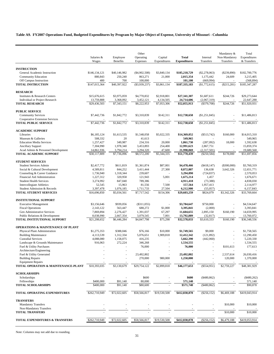**Table A9. FY2007 Operations Fund, Budgeted Expenditures by Program by Major Object of Expense, University of Missouri - Columbia**

|                                                              | Salaries &<br>Wages    | Employee<br><b>Benefits</b> | Other<br>Operating<br>Expenses | Capital<br>Expenditures | Total<br><b>Expenditures</b> | Internal<br>Transfers  | Mandatory &<br>Non-Mandatory<br>Transfers | Total<br>Expenditures<br>& Transfers |
|--------------------------------------------------------------|------------------------|-----------------------------|--------------------------------|-------------------------|------------------------------|------------------------|-------------------------------------------|--------------------------------------|
|                                                              |                        |                             |                                |                         |                              |                        |                                           |                                      |
| <b>INSTRUCTION</b>                                           |                        |                             |                                |                         |                              |                        |                                           |                                      |
| General Academic Instruction                                 | \$146,134,121          | \$40,146,982                | ( \$4,902,508)                 | \$3,840,134             | \$185,218,729                | $(\$2,278,063)$        | $(\$239,890)$                             | \$182,700,776                        |
| <b>Community Education</b>                                   | 880,843                | 250,240                     | 863,271                        | 21,000                  | 2,015,354                    | 1,175,442              | 24,609                                    | 3,215,405                            |
| Off Campus Instruction                                       | 400                    | 700                         | 100,000                        |                         | 101,100                      | (669,994)              |                                           | (568, 894)                           |
| <b>TOTAL INSTRUCTION</b>                                     | \$147,015,364          | \$40,397,922                | $(\$3,939,237)$                | \$3,861,134             | \$187,335,183                | (\$1,772,615)          | (\$215,281)                               | \$185,347,287                        |
| <b>RESEARCH</b>                                              |                        |                             |                                |                         |                              |                        |                                           |                                      |
| Institutes & Research Centers                                | \$15,676,615           | \$3,975,059                 | \$4,770,832                    | \$2,918,801             | \$27,341,307                 | \$1,687,611            | \$244,726                                 | \$29,273,644                         |
| Individual or Project Research                               | 13,759,888             | 3,368,092                   | 3,452,121                      | 4,134,505               | 24,714,606                   | (2,067,319)            |                                           | 22,647,288                           |
| <b>TOTAL RESEARCH</b>                                        | \$29,436,503           | \$7,343,151                 | \$8,222,953                    | \$7,053,306             | \$52,055,913                 | $(\$379,708)$          | \$244,726                                 | \$51,920,931                         |
| <b>PUBLIC SERVICE</b>                                        |                        |                             |                                |                         |                              |                        |                                           |                                      |
| <b>Community Services</b>                                    | \$7,442,736            | \$1,842,772                 | \$3,310,839                    | \$142,311               | \$12,738,658                 | (\$1,251,845)          |                                           | \$11,486,813                         |
| Cooperative Extension Services                               |                        |                             |                                |                         |                              |                        |                                           |                                      |
| <b>TOTAL PUBLIC SERVICE</b>                                  | \$7,442,736            | \$1,842,772                 | \$3,310,839                    | \$142,311               | \$12,738,658                 | (\$1,251,845)          |                                           | \$11,486,813                         |
|                                                              |                        |                             |                                |                         |                              |                        |                                           |                                      |
| <b>ACADEMIC SUPPORT</b>                                      |                        |                             |                                |                         |                              |                        |                                           |                                      |
| Libraries<br>Museum & Galleries                              | \$6,185,124<br>508,332 | \$1,613,535<br>20           | \$1,548,058<br>41,613          | \$5,022,335<br>×,       | \$14,369,052<br>549,965      | $(\$513,742)$          | \$160,000                                 | \$14,015,310<br>549,965              |
| <b>Education Media Services</b>                              | 1,257,427              | 349,987                     | 234,316                        | 20,000                  | 1,861,730                    | (287,092)              | 18,000                                    | 1,592,638                            |
| <b>Ancillary Support</b>                                     | 7,304,990              | 1,978,340                   | 3,453,893                      | 254,400                 | 12,991,623                   | 2,867,751              |                                           | 15,859,374                           |
| Acad Admin & Personnel Development                           | 14,861,936             | 3,794,214                   | 3,294,320                      | 47,600                  | 21,998,069                   | (2,317,501)            |                                           | 19,680,568                           |
| <b>TOTAL ACADEMIC SUPPORT</b>                                | \$30,117,809           | \$7,736,096                 | \$8,572,200                    | \$5,344,335             | \$51,770,439                 | $(\$250,584)$          | \$178,000                                 | \$51,697,856                         |
|                                                              |                        |                             |                                |                         |                              |                        |                                           |                                      |
| <b>STUDENT SERVICES</b>                                      |                        |                             |                                |                         |                              |                        |                                           |                                      |
| <b>Student Services Admin</b>                                | \$2,417,772            | \$611,819                   | \$1,361,874                    | \$87,001                | \$4,478,466                  | (\$418,147)            | $(\$300,000)$                             | \$3,760,319                          |
| Social & Cultural Development                                | 4,589,811              | 844,252                     | 3,411,444                      | 27,300                  | 8,872,807                    | 136,638                | 3,642,326                                 | 12,651,771                           |
| Counseling & Career Guidance                                 | 1,736,940              | 1,318,344                   | 239,607                        |                         | 3,294,890                    | (724, 837)             | ä,                                        | 2.570.053                            |
| Financial Aid Administration                                 | 1,227,312              | 320,958                     | 121,943                        | 5,001                   | 1,675,214                    | 1,457                  | $\overline{a}$                            | 1,676,671                            |
| <b>Student Health Services</b><br>Intercollegiate Athletics  | 3,274,992<br>52,545    | 847,040<br>15,963           | 789,386<br>81,556              | 7,500                   | 4,911,418<br>157,564         | (73, 388)<br>1,957,413 |                                           | 4,838,030<br>2,114,977               |
| Student Admission & Records                                  | 3,397,478              | 1,076,185                   | 1,711,733                      | 27,504                  | 6,212,900                    | (55,057)               |                                           | 6,157,843                            |
| <b>TOTAL STUDENT SERVICES</b>                                | \$16,696,850           | \$5,034,561                 | \$7,717,542                    | \$154,306               | \$29,603,259                 | \$824,079              | \$3,342,326                               | \$33,769,664                         |
|                                                              |                        |                             |                                |                         |                              |                        |                                           |                                      |
| <b>INSTITUTIONAL SUPPORT</b>                                 |                        |                             |                                |                         |                              |                        |                                           |                                      |
| <b>Executive Management</b>                                  | \$3,156,646            | \$939,056                   | $(\$311,055)$                  |                         | \$3,784,647                  | \$750,000              |                                           | \$4,534,647                          |
| <b>Fiscal Operations</b><br>Gen Administrative Services      | 2,143,122              | 563,447                     | 688,272                        | \$1,000<br>67,297       | 3,395,841                    | (2,000)                |                                           | 3,393,841<br>14,659,995              |
| Public Relations & Development                               | 7,869,894<br>8,038,990 | 2,276,427<br>2,667,354      | 1,391,037<br>3,079,545         | 7,001                   | 11,604,655<br>13,792,889     | 2,895,150<br>(32, 817) | \$160,190                                 | 13,760,072                           |
| TOTAL INSTITUTIONAL SUPPORT                                  | \$21,208,652           | \$6,446,284                 | \$4,847,798                    | \$75,298                | \$32,578,033                 | \$3,610,333            | \$160,190                                 | \$36,348,556                         |
|                                                              |                        |                             |                                |                         |                              |                        |                                           |                                      |
| <b>OPERATIONS &amp; MAINTENANCE OF PLANT</b>                 |                        |                             |                                |                         |                              |                        |                                           |                                      |
| Physical Plant Administration                                | \$1,275,353            | \$388,046                   | \$76,166                       | \$10,000                | \$1,749,565                  | \$9,000                |                                           | \$1,758,565                          |
| <b>Building Maintenance</b>                                  | 4,113,539              | 1,312,334<br>1,158,075      | 5,076,651                      | 1,909,818               | 12,412,342                   | (121, 892)             |                                           | 12,290,450                           |
| <b>Custodial Services</b><br>Landscape & Grounds Maintenance | 4,088,080<br>916,063   | 272,224                     | 416,235<br>346,268             | ×.                      | 5,662,390<br>1,534,555       | (442,060)              | $\overline{a}$                            | 5,220,330<br>1,534,555               |
| Fuel & Utility Purchases                                     |                        |                             | 76,000                         |                         | 76,000                       |                        | \$101,613                                 | 177,613                              |
| Architecture/Engineering                                     |                        |                             |                                |                         |                              |                        |                                           |                                      |
| Fuel & Utility Generated                                     |                        |                             | 23,492,802                     |                         | 23,492,802                   |                        | 2,537,614                                 | 26,030,416                           |
| <b>Building Repairs</b>                                      |                        |                             | 270,000                        | 980,000                 | 1,250,000                    |                        | 120,000                                   | 1,370,000                            |
| <b>Equipment Repairs</b>                                     |                        |                             |                                |                         |                              |                        |                                           |                                      |
| TOTAL OPERATION & MAINTENANCE-PLANT                          | \$10,393,035           | \$3,130,679                 | \$29,754,122                   | \$2,899,818             | \$46,177,653                 | $(\$554,951)$          | \$2,759,227                               | \$48,381,929                         |
| <b>SCHOLARSHIPS</b>                                          |                        |                             |                                |                         |                              |                        |                                           |                                      |
| Scholarships                                                 |                        |                             | \$600                          |                         | \$600                        | (\$480,862)            |                                           | $(\$480,262)$                        |
| Fellowships                                                  | \$400,000              | \$91,140                    | 80,000                         |                         | 571,140                      |                        |                                           | 571,140                              |
| <b>TOTAL SCHOLARSHIPS</b>                                    | \$400,000              | \$91,140                    | \$80,600                       |                         | \$571,740                    | $(*480,862)$           |                                           | \$90,878                             |
| TOTAL OPERATING EXPENDITURES                                 | \$262,710,949          | \$72,022,605                | \$58,566,817                   | \$19,530,508            | \$412,830,878                | $(\$256, 152)$         | \$6,469,188                               | \$419,043,914                        |
| <b>TRANSFERS</b>                                             |                        |                             |                                |                         |                              |                        |                                           |                                      |
| <b>Mandatory Transfers</b>                                   |                        |                             |                                |                         |                              |                        | \$10,000                                  | \$10,000                             |
| Non-Mandatory Transfers                                      |                        |                             |                                |                         |                              |                        |                                           |                                      |
| <b>TOTAL TRANSFERS</b>                                       |                        |                             |                                |                         |                              |                        | \$10,000                                  | \$10,000                             |
|                                                              |                        |                             |                                |                         |                              |                        |                                           |                                      |
| <b>TOTAL EXPENDITURES &amp; TRANSFERS</b>                    | \$262,710,949          | \$72,022,605                | \$58,566,817                   | \$19,530,508            | \$412,830,878                | $(\$256,152)$          | \$6,479,188                               | \$419,053,914                        |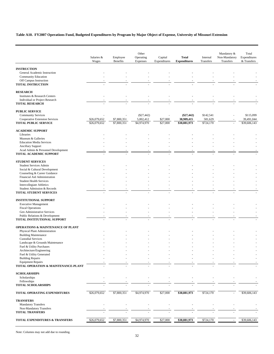# **Table A10. FY2007 Operations Fund, Budgeted Expenditures by Program by Major Object of Expense, University of Missouri Extension**

|                                                                 |                     |                             | Other                     |                         |                                     |                       | Mandatory &                | Total                       |
|-----------------------------------------------------------------|---------------------|-----------------------------|---------------------------|-------------------------|-------------------------------------|-----------------------|----------------------------|-----------------------------|
|                                                                 | Salaries &<br>Wages | Employee<br><b>Benefits</b> | Operating<br>Expenses     | Capital<br>Expenditures | <b>Total</b><br><b>Expenditures</b> | Internal<br>Transfers | Non-Mandatory<br>Transfers | Expenditures<br>& Transfers |
| <b>INSTRUCTION</b>                                              |                     |                             |                           |                         |                                     |                       |                            |                             |
| General Academic Instruction                                    |                     |                             |                           |                         |                                     |                       |                            |                             |
| Community Education                                             |                     |                             |                           |                         |                                     |                       |                            |                             |
| Off Campus Instruction                                          |                     |                             |                           |                         |                                     |                       |                            |                             |
| <b>TOTAL INSTRUCTION</b>                                        |                     |                             |                           |                         |                                     |                       |                            |                             |
| <b>RESEARCH</b>                                                 |                     |                             |                           |                         |                                     |                       |                            |                             |
| Institutes & Research Centers                                   |                     |                             |                           |                         |                                     |                       |                            |                             |
| Individual or Project Research<br><b>TOTAL RESEARCH</b>         |                     |                             |                           |                         |                                     |                       |                            |                             |
|                                                                 |                     |                             |                           |                         |                                     |                       |                            |                             |
| <b>PUBLIC SERVICE</b>                                           |                     |                             |                           |                         |                                     |                       |                            |                             |
| <b>Community Services</b>                                       | \$26,079,652        |                             | $(\$27,442)$<br>5,002,412 | \$27,000                | $(\$27,442)$<br>38,909,415          | \$142,541<br>581,629  |                            | \$115,099<br>39,491,044     |
| Cooperative Extension Services<br><b>TOTAL PUBLIC SERVICE</b>   | \$26,079,652        | \$7,800,351<br>\$7,800,351  | \$4,974,970               | \$27,000                | \$38,881,973                        | \$724,170             |                            | \$39,606,143                |
|                                                                 |                     |                             |                           |                         |                                     |                       |                            |                             |
| <b>ACADEMIC SUPPORT</b><br>Libraries                            |                     |                             |                           |                         |                                     |                       |                            |                             |
| Museum & Galleries                                              |                     |                             |                           |                         |                                     |                       |                            |                             |
| <b>Education Media Services</b>                                 |                     |                             |                           |                         |                                     |                       |                            |                             |
| <b>Ancillary Support</b>                                        |                     |                             |                           |                         |                                     |                       |                            |                             |
| Acad Admin & Personnel Development                              |                     |                             |                           |                         |                                     |                       |                            |                             |
| TOTAL ACADEMIC SUPPORT                                          |                     |                             |                           |                         |                                     |                       |                            |                             |
| <b>STUDENT SERVICES</b>                                         |                     |                             |                           |                         |                                     |                       |                            |                             |
| <b>Student Services Admin</b>                                   |                     |                             |                           |                         |                                     |                       |                            |                             |
| Social & Cultural Development                                   |                     |                             |                           |                         |                                     |                       |                            |                             |
| Counseling & Career Guidance                                    |                     |                             |                           |                         |                                     |                       |                            |                             |
| Financial Aid Administration<br><b>Student Health Services</b>  |                     |                             |                           |                         |                                     |                       |                            |                             |
| Intercollegiate Athletics                                       |                     |                             |                           |                         |                                     |                       |                            |                             |
| Student Admission & Records                                     |                     |                             |                           |                         |                                     |                       |                            |                             |
| TOTAL STUDENT SERVICES                                          |                     |                             |                           |                         |                                     |                       |                            |                             |
| <b>INSTITUTIONAL SUPPORT</b>                                    |                     |                             |                           |                         |                                     |                       |                            |                             |
| <b>Executive Management</b>                                     |                     |                             |                           |                         |                                     |                       |                            |                             |
| <b>Fiscal Operations</b>                                        |                     |                             |                           |                         |                                     |                       |                            |                             |
| Gen Administrative Services                                     |                     |                             |                           |                         |                                     |                       |                            |                             |
| Public Relations & Development                                  |                     |                             |                           |                         |                                     |                       |                            |                             |
| TOTAL INSTITUTIONAL SUPPORT                                     |                     |                             |                           |                         |                                     |                       |                            |                             |
| <b>OPERATIONS &amp; MAINTENANCE OF PLANT</b>                    |                     |                             |                           |                         |                                     |                       |                            |                             |
| Physical Plant Administration                                   |                     |                             |                           |                         |                                     |                       |                            |                             |
| <b>Building Maintenance</b><br><b>Custodial Services</b>        |                     |                             |                           |                         |                                     |                       |                            |                             |
| Landscape & Grounds Maintenance                                 |                     |                             |                           |                         |                                     |                       |                            |                             |
| Fuel & Utility Purchases                                        |                     |                             |                           |                         |                                     |                       |                            |                             |
| Architecture/Engineering                                        |                     |                             |                           |                         |                                     |                       |                            |                             |
| Fuel & Utility Generated                                        |                     |                             |                           |                         |                                     |                       |                            |                             |
| <b>Building Repairs</b>                                         |                     |                             |                           |                         |                                     |                       |                            |                             |
| <b>Equipment Repairs</b><br>TOTAL OPERATION & MAINTENANCE-PLANT |                     |                             |                           |                         |                                     |                       |                            |                             |
|                                                                 |                     |                             |                           |                         |                                     |                       |                            |                             |
| <b>SCHOLARSHIPS</b>                                             |                     |                             |                           |                         |                                     |                       |                            |                             |
| Scholarships<br>Fellowships                                     |                     |                             |                           |                         |                                     |                       |                            |                             |
| <b>TOTAL SCHOLARSHIPS</b>                                       |                     |                             |                           |                         |                                     |                       |                            |                             |
| TOTAL OPERATING EXPENDITURES                                    | \$26,079,652        | \$7,800,351                 | \$4,974,970               | \$27,000                | \$38,881,973                        | \$724,170             |                            | \$39,606,143                |
| <b>TRANSFERS</b>                                                |                     |                             |                           |                         |                                     |                       |                            |                             |
| <b>Mandatory Transfers</b>                                      |                     |                             |                           |                         |                                     |                       |                            |                             |
| Non-Mandatory Transfers                                         |                     |                             |                           |                         |                                     |                       |                            |                             |
| <b>TOTAL TRANSFERS</b>                                          |                     |                             |                           |                         |                                     |                       |                            |                             |
| TOTAL EXPENDITURES & TRANSFERS                                  | \$26,079,652        | \$7,800,351                 | \$4,974,970               | \$27,000                | \$38,881,973                        | \$724,170             | $\overline{\phantom{a}}$   | \$39,606,143                |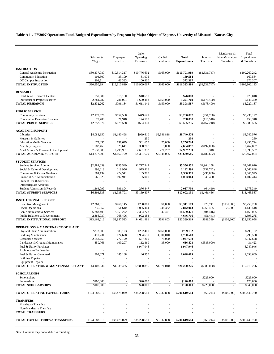**Table A11. FY2007 Operations Fund, Budgeted Expenditures by Program by Major Object of Expense, University of Missouri - Kansas City**

|                                                               |                           |                             | Other                  |                         |                                     |                        | Mandatory &                | Total                       |
|---------------------------------------------------------------|---------------------------|-----------------------------|------------------------|-------------------------|-------------------------------------|------------------------|----------------------------|-----------------------------|
|                                                               | Salaries &<br>Wages       | Employee<br><b>Benefits</b> | Operating<br>Expenses  | Capital<br>Expenditures | <b>Total</b><br><b>Expenditures</b> | Internal<br>Transfers  | Non-Mandatory<br>Transfers | Expenditures<br>& Transfers |
|                                                               |                           |                             |                        |                         |                                     |                        |                            |                             |
| <b>INSTRUCTION</b>                                            |                           |                             |                        |                         |                                     |                        |                            |                             |
| General Academic Instruction<br><b>Community Education</b>    | \$80,337,980<br>104,500   | \$19,514,317<br>33,109      | \$10,776,692<br>31,975 | \$163,000               | \$110,791,989<br>169,584            | (\$1,531,747)          |                            | \$109,260,242<br>169,584    |
| Off Campus Instruction                                        | 208,514                   | 63,393                      | 100,400                |                         | 372,307                             |                        |                            | 372,307                     |
| <b>TOTAL INSTRUCTION</b>                                      | \$80,650,994              | \$19,610,819                | \$10,909,067           | \$163,000               | \$111,333,880                       | (\$1,531,747)          |                            | \$109,802,133               |
|                                                               |                           |                             |                        |                         |                                     |                        |                            |                             |
| <b>RESEARCH</b><br>Institutes & Research Centers              | \$50,980                  | \$15,180                    | \$10,658               | ä,                      | \$76,818                            |                        |                            | \$76,818                    |
| Individual or Project Research                                | 2,781,282                 | 781,004                     | 1,600,483              | \$159,000               | 5,321,769                           | (\$178,400)            |                            | 5,143,369                   |
| <b>TOTAL RESEARCH</b>                                         | \$2,832,262               | \$796,184                   | \$1,611,141            | \$159,000               | \$5,398,587                         | ( \$178,400)           |                            | \$5,220,187                 |
| <b>PUBLIC SERVICE</b>                                         |                           |                             |                        |                         |                                     |                        |                            |                             |
| <b>Community Services</b>                                     | \$2,179,676               | \$657,580                   | \$449,621              |                         | \$3,286,877                         | $(\$51,700)$           |                            | \$3,235,177                 |
| Cooperative Extension Services                                | 72,400                    | 21,948                      | 174,510                |                         | 268,858                             | (115, 510)             |                            | 153,348                     |
| <b>TOTAL PUBLIC SERVICE</b>                                   | \$2,252,076               | \$679,528                   | \$624,131              |                         | \$3,555,735                         | (\$167,210)            |                            | \$3,388,525                 |
| <b>ACADEMIC SUPPORT</b>                                       |                           |                             |                        |                         |                                     |                        |                            |                             |
| Libraries                                                     | \$4,083,650               | \$1,140,498                 | \$969,610              | \$2,546,818             | \$8,740,576                         |                        |                            | \$8,740,576                 |
| Museum & Galleries                                            |                           |                             | 250                    |                         | 250                                 |                        |                            | 250                         |
| <b>Education Media Services</b>                               | 672,395                   | 197,679                     | 361,650                | 25,000                  | 1,256,724                           |                        |                            | 1,256,724                   |
| <b>Ancillary Support</b>                                      | 1,782,469                 | 528,641                     | 338,787                | 5,000                   | 2,654,897                           | (\$192,000)            | $\sim$                     | 2,462,897                   |
| Acad Admin & Personnel Development                            | 7,738,689                 | 2,295,981                   | 2,681,332              | 271,237                 | 12,987,239                          | 9,318                  |                            | 12,996,557                  |
| TOTAL ACADEMIC SUPPORT                                        | \$14,277,203              | \$4,162,799                 | \$4,351,629            | \$2,848,055             | \$25,639,686                        | (\$182,682)            |                            | \$25,457,004                |
| <b>STUDENT SERVICES</b>                                       |                           |                             |                        |                         |                                     |                        |                            |                             |
| <b>Student Services Admin</b>                                 | \$2,784,059               | \$855,549                   | \$1,717,244            |                         | \$5,356,852                         | \$1,904,158            |                            | \$7,261,010                 |
| Social & Cultural Development                                 | 998,218                   | 218,956                     | 975,416                |                         | 2,192,590                           | (131,742)              |                            | 2,060,848                   |
| Counseling & Career Guidance                                  | 981,134                   | 274,541                     | 105,300                |                         | 1,360,975                           | (295,000)              |                            | 1,065,975                   |
| Financial Aid Administration                                  | 766,023                   | 192,941                     | 95,000                 |                         | 1,053,964                           | 48,450                 |                            | 1,102,414                   |
| <b>Student Health Services</b>                                |                           |                             |                        |                         |                                     |                        |                            |                             |
| Intercollegiate Athletics                                     |                           |                             |                        |                         |                                     |                        |                            |                             |
| Student Admission & Records                                   | 1,364,099                 | 396,804                     | 276,847                |                         | 2,037,750                           | (64, 410)              |                            | 1,973,340                   |
| <b>TOTAL STUDENT SERVICES</b>                                 | \$6,893,533               | \$1,938,791                 | \$3,169,807            |                         | \$12,002,131                        | \$1,461,456            |                            | \$13,463,587                |
| <b>INSTITUTIONAL SUPPORT</b>                                  |                           |                             |                        |                         |                                     |                        |                            |                             |
| <b>Executive Management</b>                                   | \$2,261,913               | \$768,145                   | \$280,061              | \$1,000                 | \$3,311,119                         | \$78,741               | (\$131,600)                | \$3,258,260                 |
| <b>Fiscal Operations</b>                                      | 1,236,657                 | 351,610                     | 1,005,464              | 248,332                 | 2,842,063                           | 1,266,455              | 25,000                     | 4,133,518                   |
| Gen Administrative Services                                   | 6,783,405                 | 2,059,272                   | 2,384,273              | 342,471                 | 11,569,421                          | (404, 416)             |                            | 11,165,005                  |
| Public Relations & Development<br>TOTAL INSTITUTIONAL SUPPORT | 2,886,037<br>\$13,168,012 | 768,496<br>\$3,947,523      | 992,183<br>\$4,661,981 | \$591,803               | 4,646,716<br>\$22,369,319           | (51, 441)<br>\$889,339 | (\$106,600)                | 4,595,275<br>\$23,152,058   |
|                                                               |                           |                             |                        |                         |                                     |                        |                            |                             |
| <b>OPERATIONS &amp; MAINTENANCE OF PLANT</b>                  |                           |                             |                        |                         |                                     |                        |                            |                             |
| Physical Plant Administration                                 | \$273,609                 | \$83,123                    | \$282,400              | \$160,000               | \$799,132                           |                        |                            | \$799,132                   |
| <b>Building Maintenance</b><br><b>Custodial Services</b>      | 410,231<br>2,558,259      | 124,628                     | 1,954,639              | 4,301,010               | 6,790,508                           |                        |                            | 6,790,508<br>3,947,658      |
| Landscape & Grounds Maintenance                               | 359,766                   | 777,199<br>109,297          | 537,200<br>112,360     | 75,000<br>35,000        | 3,947,658<br>616,423                | (\$585,000)            |                            | 31,423                      |
| Fuel & Utility Purchases                                      |                           |                             | 6,947,946              |                         | 6,947,946                           |                        |                            | 6,947,946                   |
| Architecture/Engineering                                      |                           |                             |                        |                         |                                     |                        |                            |                             |
| Fuel & Utility Generated                                      | 807,071                   | 245,188                     | 46,350                 |                         | 1,098,609                           |                        |                            | 1,098,609                   |
| <b>Building Repairs</b>                                       |                           |                             |                        |                         |                                     |                        |                            |                             |
| <b>Equipment Repairs</b>                                      |                           |                             |                        |                         |                                     |                        |                            |                             |
| TOTAL OPERATION & MAINTENANCE-PLANT                           | \$4,408,936               | \$1,339,435                 | \$9,880,895            | \$4,571,010             | \$20,200,276                        | ( \$585,000)           |                            | \$19,615,276                |
| <b>SCHOLARSHIPS</b>                                           |                           |                             |                        |                         |                                     |                        |                            |                             |
| Scholarships                                                  |                           |                             |                        |                         |                                     | \$225,000              |                            | \$225,000                   |
| Fellowships                                                   | \$100,000                 |                             | \$20,000               |                         | \$120,000                           |                        |                            | 120,000                     |
| <b>TOTAL SCHOLARSHIPS</b>                                     | \$100,000                 |                             | \$20,000               |                         | \$120,000                           | \$225,000              |                            | \$345,000                   |
| TOTAL OPERATING EXPENDITURES                                  | \$124,583,016             | \$32,475,079                | \$35,228,651           | \$8,332,868             | \$200,619,614                       | $(\$69,244)$           | (\$106,600)                | \$200,443,770               |
| <b>TRANSFERS</b>                                              |                           |                             |                        |                         |                                     |                        |                            |                             |
| <b>Mandatory Transfers</b>                                    |                           |                             |                        |                         |                                     |                        |                            |                             |
| Non-Mandatory Transfers<br><b>TOTAL TRANSFERS</b>             |                           |                             |                        |                         |                                     |                        |                            |                             |
|                                                               |                           |                             |                        |                         |                                     |                        |                            |                             |
| <b>TOTAL EXPENDITURES &amp; TRANSFERS</b>                     | \$124,583,016             | \$32,475,079                | \$35,228,651           | \$8,332,868             | \$200,619,614                       | $(\$69,244)$           | (\$106,600)                | \$200,443,770               |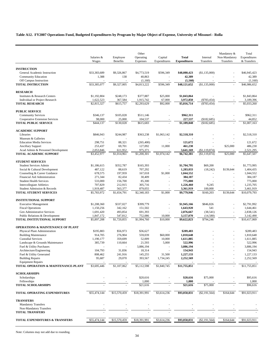# **Table A12. FY2007 Operations Fund, Budgeted Expenditures by Program by Major Object of Expense, University of Missouri - Rolla**

|                                                              |                      |                     | Other               |              |                      |                 | Mandatory &   | Total                  |  |
|--------------------------------------------------------------|----------------------|---------------------|---------------------|--------------|----------------------|-----------------|---------------|------------------------|--|
|                                                              | Salaries &           | Employee            | Operating           | Capital      | <b>Total</b>         | Internal        | Non-Mandatory | Expenditures           |  |
|                                                              | Wages                | Benefits            | Expenses            | Expenditures | <b>Expenditures</b>  | Transfers       | Transfers     | & Transfers            |  |
| <b>INSTRUCTION</b>                                           |                      |                     |                     |              |                      |                 |               |                        |  |
| General Academic Instruction                                 | \$33,383,689         | \$9,326,867         | \$4,773,519         | \$596,349    | \$48,080,423         | (\$1,135,000)   |               | \$46,945,423           |  |
| <b>Community Education</b>                                   | 1,388                | 138                 | 40,863              |              | 42,389               |                 |               | 42,389                 |  |
| Off Campus Instruction                                       |                      |                     | (1,160)             |              | (1,160)              |                 |               | (1,160)                |  |
| <b>TOTAL INSTRUCTION</b>                                     | \$33,385,077         | \$9,327,005         | \$4,813,222         | \$596,349    | \$48,121,652         | (\$1,135,000)   |               | \$46,986,652           |  |
| <b>RESEARCH</b>                                              |                      |                     |                     |              |                      |                 |               |                        |  |
| Institutes & Research Centers                                | \$1,192,804          | \$248,173           | \$377,887           | \$25,000     | \$1,843,864          |                 |               | \$1,843,864            |  |
| <b>Individual or Project Research</b>                        | 1,622,523            | 367,584             | 1,915,742           | 67,000       | 3,972,850            | ( \$783,454)    |               | 3,189,396              |  |
| <b>TOTAL RESEARCH</b>                                        | \$2,815,327          | \$615,757           | \$2,293,629         | \$92,000     | \$5,816,714          | $(*783,454)$    |               | \$5,033,260            |  |
| <b>PUBLIC SERVICE</b>                                        |                      |                     |                     |              |                      |                 |               |                        |  |
| <b>Community Services</b>                                    | \$346,137            | \$105,028           | \$511,146           |              | \$962,311            |                 |               | \$962,311              |  |
| Cooperative Extension Services                               | 98,000               | 25,000              | 104,537             |              | 227,537              | (\$182,685)     |               | 44,852                 |  |
| <b>TOTAL PUBLIC SERVICE</b>                                  | \$444,137            | \$130,028           | \$615,683           |              | \$1,189,848          | (\$182,685)     |               | \$1,007,163            |  |
|                                                              |                      |                     |                     |              |                      |                 |               |                        |  |
| <b>ACADEMIC SUPPORT</b>                                      |                      |                     |                     |              |                      |                 |               |                        |  |
| Libraries<br>Museum & Galleries                              | \$846,943            | \$244,987           | \$363,238           | \$1,063,142  | \$2,518,310          |                 |               | \$2,518,310            |  |
| <b>Education Media Services</b>                              | 298.751              | 88,321              | (265, 400)          | ä,           | 121,672              |                 |               | 121,672                |  |
| <b>Ancillary Support</b>                                     | 253,437              | 69,701              | 127,092             | 11,000       | 461,230              |                 | \$25,000      | 486,230                |  |
| Acad Admin & Personnel Development                           | 2,053,846            | 611,952             | 975,371             |              | 3,641,169            | (\$1,119,874)   |               | 2,521,295              |  |
| <b>TOTAL ACADEMIC SUPPORT</b>                                | \$3,452,977          | \$1,014,961         | \$1,200,301         | \$1,074,142  | \$6,742,381          | (\$1,119,874)   | \$25,000      | \$5,647,507            |  |
|                                                              |                      |                     |                     |              |                      |                 |               |                        |  |
| <b>STUDENT SERVICES</b>                                      |                      |                     |                     |              |                      |                 |               |                        |  |
| <b>Student Services Admin</b>                                | \$1,186,615          | \$352,787           | \$165,393           |              | \$1,704,795          | \$69,200        |               | \$1,773,995            |  |
| Social & Cultural Development                                | 487,122<br>678,575   | 88,619<br>197,959   | 707,292<br>167,018  |              | 1,283,033            | (18, 242)       | \$139,644     | 1,404,435<br>1,044,552 |  |
| Counseling & Career Guidance<br>Financial Aid Administration | 271,344              | 82,434              | 30,409              | \$1,000      | 1,044,552<br>384,187 |                 |               | 384,187                |  |
| <b>Student Health Services</b>                               | 533,000              | 156,700             | 85,300              | ä,           | 775,000              |                 |               | 775,000                |  |
| Intercollegiate Athletics                                    | 707,829              | 212,915             | 305,716             |              | 1,226,460            | 9,245           |               | 1,235,705              |  |
| Student Admission & Records                                  | 1,919,487            | 563,377             | 879,055             |              | 3,361,919            | 100,000         |               | 3,461,919              |  |
| <b>TOTAL STUDENT SERVICES</b>                                | \$5,783,972          | \$1,654,791         | \$2,340,183         | \$1,000      | \$9,779,946          | \$160,203       | \$139,644     | \$10,079,793           |  |
|                                                              |                      |                     |                     |              |                      |                 |               |                        |  |
| <b>INSTITUTIONAL SUPPORT</b><br><b>Executive Management</b>  | \$1,208,360          | \$337,027           | \$399,779           |              | \$1,945,166          | \$846,826       |               | \$2,791,992            |  |
| <b>Fiscal Operations</b>                                     | 1,150,256            | 342,162             | 151,502             |              | 1,643,920            | 541             | ×,            | 1,644,461              |  |
| Gen Administrative Services                                  | 1,691,420            | 493,854             | 691,393             | ä,           | 2,876,667            | (38, 541)       | $\sim$        | 2,838,126              |  |
| Public Relations & Development                               | 1,847,172            | 547,812             | 752,086             | 10,000       | 3,157,070            | (14,580)        |               | 3,142,490              |  |
| TOTAL INSTITUTIONAL SUPPORT                                  | \$5,897,208          | \$1,720,855         | \$1,994,760         | \$10,000     | \$9,622,823          | \$794.246       |               | \$10,417,069           |  |
|                                                              |                      |                     |                     |              |                      |                 |               |                        |  |
| <b>OPERATIONS &amp; MAINTENANCE OF PLANT</b>                 |                      |                     |                     |              | \$289,483            |                 |               | \$289,483              |  |
| Physical Plant Administration<br><b>Building Maintenance</b> | \$195,883<br>914,705 | \$56,973<br>276,904 | \$36,627<br>559,039 | \$60,000     | 1,810,648            |                 |               | 1,810,648              |  |
| <b>Custodial Services</b>                                    | 1,190,177            | 359,699             | 52,009              | 10,000       | 1,611,885            |                 |               | 1,611,885              |  |
| Landscape & Grounds Maintenance                              | 385,739              | 110,664             | 21,593              | 5,000        | 522,996              |                 | $\sim$        | 522,996                |  |
| Fuel & Utility Purchases                                     |                      |                     | 3,886,194           |              | 3,886,194            |                 |               | 3,886,194              |  |
| Architecture/Engineering                                     | 104,793              | 31,836              | 18,314              |              | 154,943              |                 |               | 154,943                |  |
| Fuel & Utility Generated                                     | 808,462              | 241,916             | 145,255             | 31,500       | 1,227,133            |                 |               | 1,227,133              |  |
| <b>Building Repairs</b>                                      | 95,687               | 29,070              | 393,567             | 1,734,245    | 2,252,569            |                 |               | 2,252,569              |  |
| <b>Equipment Repairs</b>                                     |                      |                     |                     |              |                      |                 |               |                        |  |
| TOTAL OPERATION & MAINTENANCE-PLANT                          | \$3,695,446          | \$1,107,062         | \$5,112,598         | \$1,840,745  | \$11,755,851         |                 |               | \$11,755,851           |  |
| <b>SCHOLARSHIPS</b>                                          |                      |                     |                     |              |                      |                 |               |                        |  |
| Scholarships                                                 |                      |                     | \$20,616            |              | \$20,616             | \$75,000        |               | \$95,616               |  |
| Fellowships                                                  |                      |                     | 1,000               |              | 1,000                |                 |               | 1,000                  |  |
| <b>TOTAL SCHOLARSHIPS</b>                                    |                      |                     | \$21,616            |              | \$21,616             | \$75,000        |               | \$96,616               |  |
| TOTAL OPERATING EXPENDITURES                                 | \$55,474,144         | \$15,570,459        | \$18,391,991        | \$3,614,236  | \$93,050,831         | $(\$2,191,564)$ | \$164,644     | \$91,023,911           |  |
| <b>TRANSFERS</b>                                             |                      |                     |                     |              |                      |                 |               |                        |  |
| <b>Mandatory Transfers</b>                                   |                      |                     |                     |              |                      |                 |               |                        |  |
| Non-Mandatory Transfers                                      |                      |                     |                     |              |                      |                 |               |                        |  |
| <b>TOTAL TRANSFERS</b>                                       |                      |                     |                     |              |                      |                 |               |                        |  |
| <b>TOTAL EXPENDITURES &amp; TRANSFERS</b>                    | \$55,474,144         | \$15,570,459        | \$18,391,991        | \$3,614,236  | \$93,050,831         | $(\$2,191,564)$ | \$164,644     | \$91,023,911           |  |
|                                                              |                      |                     |                     |              |                      |                 |               |                        |  |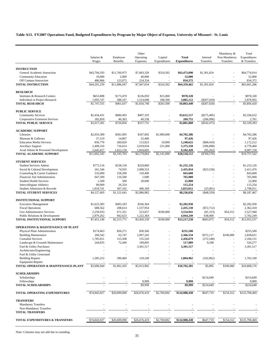**Table A13. FY2007 Operations Fund, Budgeted Expenditures by Program by Major Object of Expense, University of Missouri - St. Louis**

|                                                              | Salaries &               | Employee          | Other<br>Operating       | Capital      | <b>Total</b>         | Internal                | Mandatory &<br>Non-Mandatory | Total<br>Expenditures     |
|--------------------------------------------------------------|--------------------------|-------------------|--------------------------|--------------|----------------------|-------------------------|------------------------------|---------------------------|
|                                                              | Wages                    | <b>Benefits</b>   | Expenses                 | Expenditures | <b>Expenditures</b>  | Transfers               | Transfers                    | & Transfers               |
|                                                              |                          |                   |                          |              |                      |                         |                              |                           |
| <b>INSTRUCTION</b><br>General Academic Instruction           | \$43,704,293             | \$11,760,975      | \$7,683,320              | \$324,502    | \$63,473,090         | \$1,301,824             |                              | \$64,774,914              |
| <b>Community Education</b>                                   | 10,000                   | 2,000             | 40,000                   |              | 52,000               |                         |                              | 52,000                    |
| Off Campus Instruction                                       | 486,966                  | 123,072           | 224,334                  |              | 834,372              |                         |                              | 834,372                   |
| <b>TOTAL INSTRUCTION</b>                                     | \$44,201,259             | \$11,886,047      | \$7,947,654              | \$324,502    | \$64,359,462         | \$1,301,824             |                              | \$65,661,286              |
| <b>RESEARCH</b>                                              |                          |                   |                          |              |                      |                         |                              |                           |
| Institutes & Research Centers                                | \$653,808                | \$173,470         | \$136,050                | \$15,000     | \$978,328            |                         |                              | \$978,328                 |
| Individual or Project Research                               | 1,093,747                | 288,167           | 1,514,698                | 188,500      | 3,085,112            | $(\$207,020)$           |                              | 2,878,092                 |
| <b>TOTAL RESEARCH</b>                                        | \$1,747,555              | \$461,637         | \$1,650,748              | \$203,500    | \$4,063,440          | $(\$207,020)$           |                              | \$3,856,420               |
| <b>PUBLIC SERVICE</b>                                        |                          |                   |                          |              |                      |                         |                              |                           |
| <b>Community Services</b>                                    | \$2,434,431              | \$680,493         | \$497,193                |              | \$3,612,117          | $(\$275,485)$           |                              | \$3,336,632               |
| Cooperative Extension Services                               | 182,850                  | 46,363            | 40,538                   |              | 269,751              | (266,990)               |                              | 2,761                     |
| <b>TOTAL PUBLIC SERVICE</b>                                  | \$2,617,281              | \$726,856         | \$537,731                |              | \$3,881,868          | $(\$542,475)$           |                              | \$3,339,393               |
| <b>ACADEMIC SUPPORT</b>                                      |                          |                   |                          |              |                      |                         |                              |                           |
| Libraries                                                    | \$2,033,389              | \$581,895         | \$187,002                | \$1,900,000  | \$4,702,286          |                         |                              | \$4,702,286               |
| Museum & Galleries                                           | 57,219                   | 14,807            | 25,400                   |              | 97,426               |                         |                              | 97,426                    |
| <b>Education Media Services</b>                              | 856,770                  | 260,829           | 113,023                  | 10,000       | 1,240,622            | $(\$68,410)$            |                              | 1,172,212                 |
| <b>Ancillary Support</b>                                     | 2,409,310                | 716,014           | 2,019,034                | 231,000      | 5,375,358            | (596, 898)              | $\sim$                       | 4,778,460                 |
| Acad Admin & Personnel Development                           | 5,645,657                | 1,622,158         | 1,834,605                |              | 9,102,420            | (95, 262)               |                              | 9,007,158                 |
| <b>TOTAL ACADEMIC SUPPORT</b>                                | \$11,002,345             | \$3,195,703       | \$4,179,064              | \$2,141,000  | \$20,518,112         | ( \$760, 570)           |                              | \$19,757,542              |
| <b>STUDENT SERVICES</b>                                      |                          |                   |                          |              |                      |                         |                              |                           |
| <b>Student Services Admin</b>                                | \$773,116                | \$238,150         | \$220,860                |              | \$1,232,126          |                         |                              | \$1,232,126               |
| Social & Cultural Development                                | 261,546                  | 74,935            | 2,098,553                |              | 2,435,034            | (\$23,558)              |                              | 2.411.476                 |
| Counseling & Career Guidance                                 | 535,000                  | 158,200           | 150,400                  |              | 843,600              |                         |                              | 843,600                   |
| Financial Aid Administration                                 | 647,500                  | 116,500           | 1,000                    |              | 765,000              |                         |                              | 765,000                   |
| <b>Student Health Services</b>                               | 1,500                    | 500               | 20,000                   |              | 22,000               |                         |                              | 22,000                    |
| Intercollegiate Athletics                                    | 89,000                   | 26,254            |                          |              | 115,254              |                         |                              | 115,254                   |
| Student Admission & Records                                  | 1,819,741                | 507,102           | 496,169                  |              | 2,823,012            | (25,001)                |                              | 2,798,011                 |
| <b>TOTAL STUDENT SERVICES</b>                                | \$4,127,403              | \$1,121,641       | \$2,986,982              |              | \$8,236,026          | $(*48,559)$             |                              | \$8,187,467               |
| <b>INSTITUTIONAL SUPPORT</b>                                 |                          |                   |                          |              |                      |                         |                              |                           |
| <b>Executive Management</b>                                  | \$1,623,383              | \$493,183         | \$166,364                |              | \$2,282,930          |                         |                              | \$2,282,930               |
| <b>Fiscal Operations</b>                                     | 688,562                  | 208,614           | 1,537,954                |              | 2,435,130            | $(\$72,712)$            |                              | 2,362,418                 |
| Gen Administrative Services                                  | 2,259,933                | 671,351           | 523,657                  | \$100,000    | 3,554,941            | (81,313)                | \$54,312                     | 3,527,940                 |
| Public Relations & Development                               | 2,879,262<br>\$7,451,140 | 842,623           | 1,222,364<br>\$3,450,339 |              | 4,944,249            | 838,000                 |                              | 5,782,249<br>\$13,955,537 |
| TOTAL INSTITUTIONAL SUPPORT                                  |                          | \$2,215,771       |                          | \$100,000    | \$13,217,250         | \$683,975               | \$54,312                     |                           |
| <b>OPERATIONS &amp; MAINTENANCE OF PLANT</b>                 |                          |                   |                          |              |                      |                         |                              |                           |
| Physical Plant Administration                                | \$174,663                | \$50,271          | \$30,566                 |              | \$255,500            |                         |                              | \$255,500                 |
| <b>Building Maintenance</b>                                  | 206,542                  | 62,747            | 2,097,245                |              | 2,366,534            | \$372,117<br>(272, 548) | \$100,000                    | 2,838,651<br>2,184,131    |
| <b>Custodial Services</b><br>Landscape & Grounds Maintenance | 1,785,651<br>244,835     | 515,508<br>72,449 | 155,520<br>199,805       |              | 2,456,679<br>517,089 | 9,188                   |                              | 526,277                   |
| Fuel & Utility Purchases                                     |                          |                   | 3,301,517                |              | 3,301,517            |                         |                              | 3,301,517                 |
| Architecture/Engineering                                     |                          |                   |                          |              |                      |                         |                              |                           |
| Fuel & Utility Generated                                     |                          |                   |                          |              |                      |                         |                              |                           |
| <b>Building Repairs</b>                                      | 1,285,253                | 390,460           | 129,249                  |              | 1,804,962            | (102, 862)              |                              | 1,702,100                 |
| <b>Equipment Repairs</b>                                     |                          |                   |                          |              |                      |                         |                              |                           |
| TOTAL OPERATION & MAINTENANCE-PLANT                          | \$3,696,944              | \$1,091,435       | \$5,913,902              |              | \$10,702,281         | \$5,895                 | \$100,000                    | \$10,808,176              |
| <b>SCHOLARSHIPS</b>                                          |                          |                   |                          |              |                      |                         |                              |                           |
| Scholarships                                                 |                          |                   |                          |              |                      | \$214,649               |                              | \$214,649                 |
| Fellowships                                                  |                          |                   | 9,999                    |              | 9,999                |                         |                              | 9,999                     |
| <b>TOTAL SCHOLARSHIPS</b>                                    |                          |                   | \$9,999                  |              | \$9,999              | \$214,649               |                              | \$224,648                 |
| TOTAL OPERATING EXPENDITURES                                 | \$74,843,927             | \$20,699,090      | \$26,676,419             | \$2,769,002  | \$124,988,438        | \$647,719               | \$154,312                    | \$125,790,469             |
| <b>TRANSFERS</b>                                             |                          |                   |                          |              |                      |                         |                              |                           |
| <b>Mandatory Transfers</b>                                   |                          |                   |                          |              |                      |                         |                              |                           |
| Non-Mandatory Transfers<br><b>TOTAL TRANSFERS</b>            |                          |                   |                          |              |                      |                         |                              |                           |
|                                                              |                          |                   |                          |              |                      |                         |                              |                           |
| <b>TOTAL EXPENDITURES &amp; TRANSFERS</b>                    | \$74,843,927             | \$20,699,090      | \$26,676,419             | \$2,769,002  | \$124,988,438        | \$647,719               | \$154,312                    | \$125,790,469             |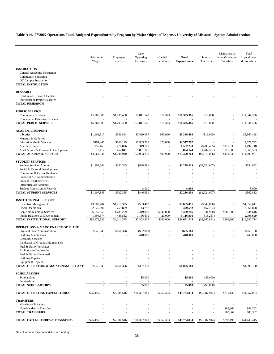**Table A14. FY2007 Operations Fund, Budgeted Expenditures by Program by Major Object of Expense, University of Missouri - System Administration**

|                                                             | Salaries &               | Employee               | Other<br>Operating     | Capital      | <b>Total</b>             | Internal                   | Mandatory &<br>Non-Mandatory | Total<br>Expenditures  |
|-------------------------------------------------------------|--------------------------|------------------------|------------------------|--------------|--------------------------|----------------------------|------------------------------|------------------------|
|                                                             | Wages                    | <b>Benefits</b>        | Expenses               | Expenditures | <b>Expenditures</b>      | Transfers                  | Transfers                    | & Transfers            |
|                                                             |                          |                        |                        |              |                          |                            |                              |                        |
| <b>INSTRUCTION</b><br>General Academic Instruction          |                          |                        |                        |              |                          |                            |                              |                        |
| <b>Community Education</b>                                  |                          |                        |                        |              |                          |                            |                              |                        |
| Off Campus Instruction                                      |                          |                        |                        |              |                          |                            |                              |                        |
| <b>TOTAL INSTRUCTION</b>                                    |                          |                        |                        |              |                          |                            |                              |                        |
|                                                             |                          |                        |                        |              |                          |                            |                              |                        |
| <b>RESEARCH</b><br>Institutes & Research Centers            |                          |                        |                        |              |                          |                            |                              |                        |
| Individual or Project Research                              |                          |                        |                        |              |                          |                            |                              |                        |
| <b>TOTAL RESEARCH</b>                                       |                          |                        |                        |              |                          |                            |                              |                        |
|                                                             |                          |                        |                        |              |                          |                            |                              |                        |
| <b>PUBLIC SERVICE</b>                                       |                          |                        |                        |              |                          |                            |                              |                        |
| <b>Community Services</b><br>Cooperative Extension Services | \$5,760,008              | \$1,735,460            | \$3,811,545            | \$18,373     | \$11,325,386             | \$19,000                   |                              | \$11,344,386           |
| <b>TOTAL PUBLIC SERVICE</b>                                 | \$5,760,008              | \$1,735,460            | \$3,811,545            | \$18,373     | \$11,325,386             | \$19,000                   |                              | \$11,344,386           |
|                                                             |                          |                        |                        |              |                          |                            |                              |                        |
| <b>ACADEMIC SUPPORT</b>                                     |                          |                        |                        |              |                          |                            |                              |                        |
| Libraries                                                   | \$1,101,517              | \$351,894              | \$3,869,097            | \$63,990     | \$5,386,498              | (\$19,000)                 |                              | \$5,367,498            |
| Museum & Galleries                                          |                          |                        |                        |              |                          |                            |                              |                        |
| <b>Education Media Services</b><br><b>Ancillary Support</b> | \$494,445<br>956,465     | \$160,129<br>276,076   | \$1,903,218<br>349,729 | \$20,000     | \$2,577,792<br>1,582,270 | $(\$208,485)$              | \$118,333                    | 2,577,792<br>1,492,118 |
| Acad Admin & Personnel Development                          | 1,510,117                | 452,841                | 1,861,186              |              | 3,824,144                | (1,782,591)                | 325,000                      | 2,366,553              |
| <b>TOTAL ACADEMIC SUPPORT</b>                               | \$4,062,544              | \$1,240,940            | \$7,983,230            | \$83,990     | \$13,370,704             | (\$2,010,076)              | \$443,333                    | \$11,803,961           |
|                                                             |                          |                        |                        |              |                          |                            |                              |                        |
| <b>STUDENT SERVICES</b>                                     |                          |                        |                        |              |                          |                            |                              |                        |
| <b>Student Services Admin</b>                               | \$1,107,883              | \$332,365              | \$838,591              |              | \$2,278,839              | (S1, 724, 007)             |                              | \$554,832              |
| Social & Cultural Development                               |                          |                        |                        |              |                          |                            |                              |                        |
| Counseling & Career Guidance                                |                          |                        |                        |              |                          |                            |                              |                        |
| Financial Aid Administration                                |                          |                        |                        |              |                          |                            |                              |                        |
| <b>Student Health Services</b>                              |                          |                        |                        |              |                          |                            |                              |                        |
| Intercollegiate Athletics<br>Student Admission & Records    |                          |                        | 8,000                  |              | 8,000                    |                            |                              | 8,000                  |
| <b>TOTAL STUDENT SERVICES</b>                               | \$1,107,883              | \$332,365              | \$846,591              |              | \$2,286,839              | (\$1,724,007)              |                              | \$562,832              |
|                                                             |                          |                        |                        |              |                          |                            |                              |                        |
| <b>INSTITUTIONAL SUPPORT</b>                                |                          |                        |                        |              |                          |                            |                              | \$4,955,641            |
| <b>Executive Management</b><br><b>Fiscal Operations</b>     | \$3,902,704<br>2,525,896 | \$1,119,325<br>759,899 | \$583,462<br>143,797   |              | \$5,605,491<br>3,429,592 | ( \$649, 850)<br>(467,764) |                              | 2,961,828              |
| Gen Administrative Services                                 | 6,050,559                | 1,789,299              | 1,419,888              | \$240,000    | 9,499,746                | (931, 930)                 | \$266,800                    | 8,834,616              |
| Public Relations & Development                              | 1,494,374                | 445,852                | 1,156,690              | 20,000       | 3,116,916                | (318, 287)                 |                              | 2,798,629              |
| TOTAL INSTITUTIONAL SUPPORT                                 | \$13,973,533             | \$4,114,375            | \$3,303,837            | \$260,000    | \$21,651,745             | (S2, 367, 831)             | \$266,800                    | \$19,550,714           |
|                                                             |                          |                        |                        |              |                          |                            |                              |                        |
| <b>OPERATIONS &amp; MAINTENANCE OF PLANT</b>                |                          |                        |                        |              |                          |                            |                              |                        |
| Physical Plant Administration                               | \$546,645                | \$161,376              | (\$52,861)             |              | \$655,160                |                            |                              | \$655,160              |
| <b>Building Maintenance</b><br><b>Custodial Services</b>    |                          |                        | 440,000                |              | 440,000                  |                            |                              | 440,000                |
| Landscape & Grounds Maintenance                             |                          |                        |                        |              |                          |                            |                              |                        |
| Fuel & Utility Purchases                                    |                          |                        |                        |              |                          |                            |                              |                        |
| Architecture/Engineering                                    |                          |                        |                        |              |                          |                            |                              |                        |
| Fuel & Utility Generated                                    |                          |                        |                        |              |                          |                            |                              |                        |
| <b>Building Repairs</b>                                     |                          |                        |                        |              |                          |                            |                              |                        |
| <b>Equipment Repairs</b>                                    |                          |                        |                        |              |                          |                            |                              |                        |
| TOTAL OPERATION & MAINTENANCE-PLANT                         | \$546,645                | \$161,376              | \$387,139              |              | \$1,095,160              |                            |                              | \$1,095,160            |
| <b>SCHOLARSHIPS</b>                                         |                          |                        |                        |              |                          |                            |                              |                        |
| Scholarships                                                |                          |                        | \$5,000                |              | \$5,000                  | (\$5,000)                  |                              |                        |
| Fellowships                                                 |                          |                        |                        |              |                          |                            |                              |                        |
| <b>TOTAL SCHOLARSHIPS</b>                                   |                          |                        | \$5,000                |              | \$5,000                  | (\$5,000)                  |                              |                        |
| <b>TOTAL OPERATING EXPENDITURES</b>                         | \$25,450,613             | \$7,584,516            | \$16,337,341           | \$362,363    | \$49,734,834             | $(\$6,087,914)$            | \$710,133                    | \$44,357,053           |
| <b>TRANSFERS</b>                                            |                          |                        |                        |              |                          |                            |                              |                        |
| <b>Mandatory Transfers</b>                                  |                          |                        |                        |              |                          |                            |                              |                        |
| Non-Mandatory Transfers                                     |                          |                        |                        |              |                          |                            | \$88,362                     | \$88,362               |
| <b>TOTAL TRANSFERS</b>                                      |                          |                        |                        |              |                          |                            | \$88,362                     | \$88,362               |
| <b>TOTAL EXPENDITURES &amp; TRANSFERS</b>                   | \$25,450,613             | \$7,584,516            | \$16,337,341           | \$362,363    | \$49,734,834             | $(\$6,087,914)$            | \$798,495                    | \$44,445,415           |
|                                                             |                          |                        |                        |              |                          |                            |                              |                        |